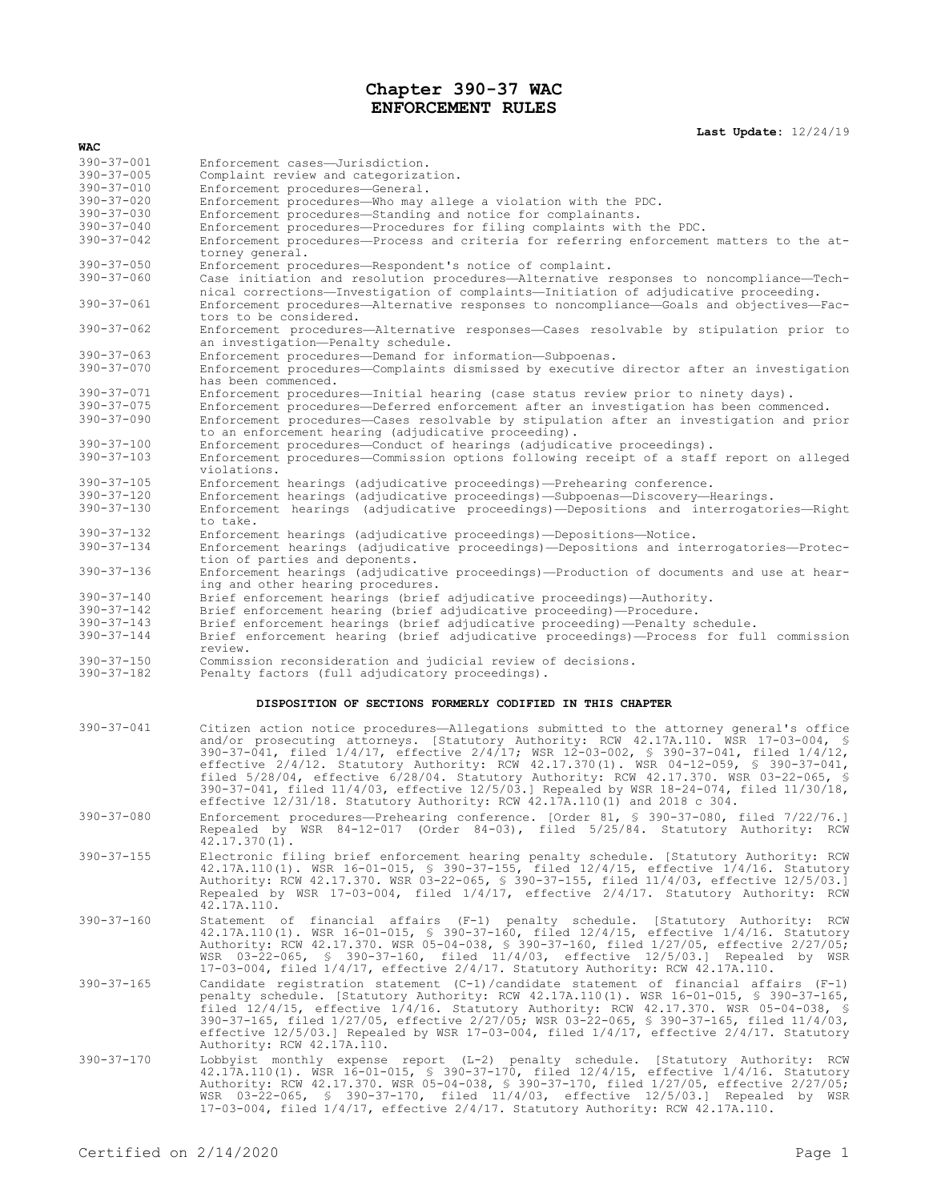## **Chapter 390-37 WAC ENFORCEMENT RULES**

**Last Update:** 12/24/19

| WAC                                  |                                                                                                                                                                                                                                                                                                                                                                                                                                                                                                                                                                                                                                                              |
|--------------------------------------|--------------------------------------------------------------------------------------------------------------------------------------------------------------------------------------------------------------------------------------------------------------------------------------------------------------------------------------------------------------------------------------------------------------------------------------------------------------------------------------------------------------------------------------------------------------------------------------------------------------------------------------------------------------|
| $390 - 37 - 001$                     | Enforcement cases-Jurisdiction.                                                                                                                                                                                                                                                                                                                                                                                                                                                                                                                                                                                                                              |
| $390 - 37 - 005$                     | Complaint review and categorization.                                                                                                                                                                                                                                                                                                                                                                                                                                                                                                                                                                                                                         |
| $390 - 37 - 010$                     | Enforcement procedures-General.                                                                                                                                                                                                                                                                                                                                                                                                                                                                                                                                                                                                                              |
| $390 - 37 - 020$<br>$390 - 37 - 030$ | Enforcement procedures—Who may allege a violation with the PDC.                                                                                                                                                                                                                                                                                                                                                                                                                                                                                                                                                                                              |
| $390 - 37 - 040$                     | Enforcement procedures-Standing and notice for complainants.<br>Enforcement procedures-Procedures for filing complaints with the PDC.                                                                                                                                                                                                                                                                                                                                                                                                                                                                                                                        |
| $390 - 37 - 042$                     | Enforcement procedures-Process and criteria for referring enforcement matters to the at-<br>torney general.                                                                                                                                                                                                                                                                                                                                                                                                                                                                                                                                                  |
| $390 - 37 - 050$                     | Enforcement procedures-Respondent's notice of complaint.                                                                                                                                                                                                                                                                                                                                                                                                                                                                                                                                                                                                     |
| $390 - 37 - 060$                     | Case initiation and resolution procedures-Alternative responses to noncompliance-Tech-<br>nical corrections—Investigation of complaints—Initiation of adjudicative proceeding.                                                                                                                                                                                                                                                                                                                                                                                                                                                                               |
| $390 - 37 - 061$<br>$390 - 37 - 062$ | Enforcement procedures-Alternative responses to noncompliance-Goals and objectives-Fac-<br>tors to be considered.                                                                                                                                                                                                                                                                                                                                                                                                                                                                                                                                            |
|                                      | Enforcement procedures-Alternative responses-Cases resolvable by stipulation prior to<br>an investigation-Penalty schedule.                                                                                                                                                                                                                                                                                                                                                                                                                                                                                                                                  |
| $390 - 37 - 063$<br>$390 - 37 - 070$ | Enforcement procedures-Demand for information-Subpoenas.                                                                                                                                                                                                                                                                                                                                                                                                                                                                                                                                                                                                     |
|                                      | Enforcement procedures—Complaints dismissed by executive director after an investigation<br>has been commenced.                                                                                                                                                                                                                                                                                                                                                                                                                                                                                                                                              |
| $390 - 37 - 071$                     | Enforcement procedures—Initial hearing (case status review prior to ninety days).                                                                                                                                                                                                                                                                                                                                                                                                                                                                                                                                                                            |
| $390 - 37 - 075$                     | Enforcement procedures—Deferred enforcement after an investigation has been commenced.                                                                                                                                                                                                                                                                                                                                                                                                                                                                                                                                                                       |
| $390 - 37 - 090$                     | Enforcement procedures-Cases resolvable by stipulation after an investigation and prior                                                                                                                                                                                                                                                                                                                                                                                                                                                                                                                                                                      |
|                                      | to an enforcement hearing (adjudicative proceeding).                                                                                                                                                                                                                                                                                                                                                                                                                                                                                                                                                                                                         |
| $390 - 37 - 100$<br>$390 - 37 - 103$ | Enforcement procedures-Conduct of hearings (adjudicative proceedings).                                                                                                                                                                                                                                                                                                                                                                                                                                                                                                                                                                                       |
|                                      | Enforcement procedures—Commission options following receipt of a staff report on alleged<br>violations.                                                                                                                                                                                                                                                                                                                                                                                                                                                                                                                                                      |
| $390 - 37 - 105$                     | Enforcement hearings (adjudicative proceedings)—Prehearing conference.                                                                                                                                                                                                                                                                                                                                                                                                                                                                                                                                                                                       |
| $390 - 37 - 120$                     | Enforcement hearings (adjudicative proceedings)—Subpoenas—Discovery—Hearings.                                                                                                                                                                                                                                                                                                                                                                                                                                                                                                                                                                                |
| $390 - 37 - 130$                     | Enforcement hearings (adjudicative proceedings)—Depositions and interrogatories—Right<br>to take.                                                                                                                                                                                                                                                                                                                                                                                                                                                                                                                                                            |
| $390 - 37 - 132$                     | Enforcement hearings (adjudicative proceedings)—Depositions—Notice.                                                                                                                                                                                                                                                                                                                                                                                                                                                                                                                                                                                          |
| $390 - 37 - 134$                     | Enforcement hearings (adjudicative proceedings)—Depositions and interrogatories—Protec-<br>tion of parties and deponents.                                                                                                                                                                                                                                                                                                                                                                                                                                                                                                                                    |
| $390 - 37 - 136$                     | Enforcement hearings (adjudicative proceedings)—Production of documents and use at hear-<br>ing and other hearing procedures.                                                                                                                                                                                                                                                                                                                                                                                                                                                                                                                                |
| $390 - 37 - 140$<br>$390 - 37 - 142$ | Brief enforcement hearings (brief adjudicative proceedings)—Authority.<br>Brief enforcement hearing (brief adjudicative proceeding)—Procedure.                                                                                                                                                                                                                                                                                                                                                                                                                                                                                                               |
| $390 - 37 - 143$                     | Brief enforcement hearings (brief adjudicative proceeding)—Penalty schedule.                                                                                                                                                                                                                                                                                                                                                                                                                                                                                                                                                                                 |
| $390 - 37 - 144$                     | Brief enforcement hearing (brief adjudicative proceedings)—Process for full commission<br>review.                                                                                                                                                                                                                                                                                                                                                                                                                                                                                                                                                            |
| $390 - 37 - 150$<br>$390 - 37 - 182$ | Commission reconsideration and judicial review of decisions.<br>Penalty factors (full adjudicatory proceedings).                                                                                                                                                                                                                                                                                                                                                                                                                                                                                                                                             |
|                                      | DISPOSITION OF SECTIONS FORMERLY CODIFIED IN THIS CHAPTER                                                                                                                                                                                                                                                                                                                                                                                                                                                                                                                                                                                                    |
| $390 - 37 - 041$                     | Citizen action notice procedures—Allegations submitted to the attorney general's office<br>and/or prosecuting attorneys. [Statutory Authority: RCW 42.17A.110. WSR 17-03-004, §<br>390-37-041, filed 1/4/17, effective 2/4/17; WSR 12-03-002, § 390-37-041, filed 1/4/12,<br>effective $2/4/12$ . Statutory Authority: RCW 42.17.370(1). WSR 04-12-059, § 390-37-041,<br>filed $5/28/04$ , effective $6/28/04$ . Statutory Authority: RCW 42.17.370. WSR 03-22-065, §<br>390-37-041, filed $11/4/03$ , effective $12/5/03$ .] Repealed by WSR $18-24-074$ , filed $11/30/18$ ,<br>effective 12/31/18. Statutory Authority: RCW 42.17A.110(1) and 2018 c 304. |
| $390 - 37 - 080$                     | Enforcement procedures-Prehearing conference. [Order 81, \$ 390-37-080, filed 7/22/76.]<br>Repealed by WSR 84-12-017 (Order 84-03), filed 5/25/84. Statutory Authority: RCW<br>$42.17.370(1)$ .                                                                                                                                                                                                                                                                                                                                                                                                                                                              |
| $390 - 37 - 155$                     | Electronic filing brief enforcement hearing penalty schedule. [Statutory Authority: RCW<br>42.17A.110(1). WSR 16-01-015, § 390-37-155, filed 12/4/15, effective 1/4/16. Statutory<br>Authority: RCW 42.17.370. WSR 03-22-065, § 390-37-155, filed 11/4/03, effective 12/5/03.]<br>Repealed by WSR 17-03-004, filed 1/4/17, effective 2/4/17. Statutory Authority: RCW<br>42.17A.110.                                                                                                                                                                                                                                                                         |
| $390 - 37 - 160$                     | Statement of financial affairs (F-1) penalty schedule. [Statutory Authority: RCW<br>42.17A.110(1). WSR 16-01-015, § 390-37-160, filed 12/4/15, effective 1/4/16. Statutory<br>Authority: RCW 42.17.370. WSR 05-04-038, § 390-37-160, filed 1/27/05, effective 2/27/05;<br>WSR 03-22-065, § 390-37-160, filed 11/4/03, effective 12/5/03.] Repealed by WSR<br>17-03-004, filed 1/4/17, effective 2/4/17. Statutory Authority: RCW 42.17A.110.                                                                                                                                                                                                                 |
| $390 - 37 - 165$                     | Candidate registration statement $(C-1)/c$ andidate statement of financial affairs (F-1)<br>penalty schedule. [Statutory Authority: RCW 42.17A.110(1). WSR 16-01-015, § 390-37-165,<br>filed $12/4/15$ , effective $1/4/16$ . Statutory Authority: RCW 42.17.370. WSR 05-04-038, §<br>390-37-165, filed 1/27/05, effective 2/27/05; WSR 03-22-065, § 390-37-165, filed 11/4/03,<br>effective $12/5/03$ .] Repealed by WSR 17-03-004, filed $1/4/17$ , effective $2/4/17$ . Statutory<br>Authority: RCW 42.17A.110.                                                                                                                                           |
| $390 - 37 - 170$                     | Lobbyist monthly expense report (L-2) penalty schedule. [Statutory Authority: RCW<br>42.17A.110(1). WSR 16-01-015, § 390-37-170, filed $12/4/15$ , effective $1/4/16$ . Statutory<br>Authority: RCW 42.17.370. WSR 05-04-038, § 390-37-170, filed 1/27/05, effective 2/27/05;<br>WSR 03-22-065, \$ 390-37-170, filed 11/4/03, effective 12/5/03.] Repealed by WSR<br>17-03-004, filed 1/4/17, effective 2/4/17. Statutory Authority: RCW 42.17A.110.                                                                                                                                                                                                         |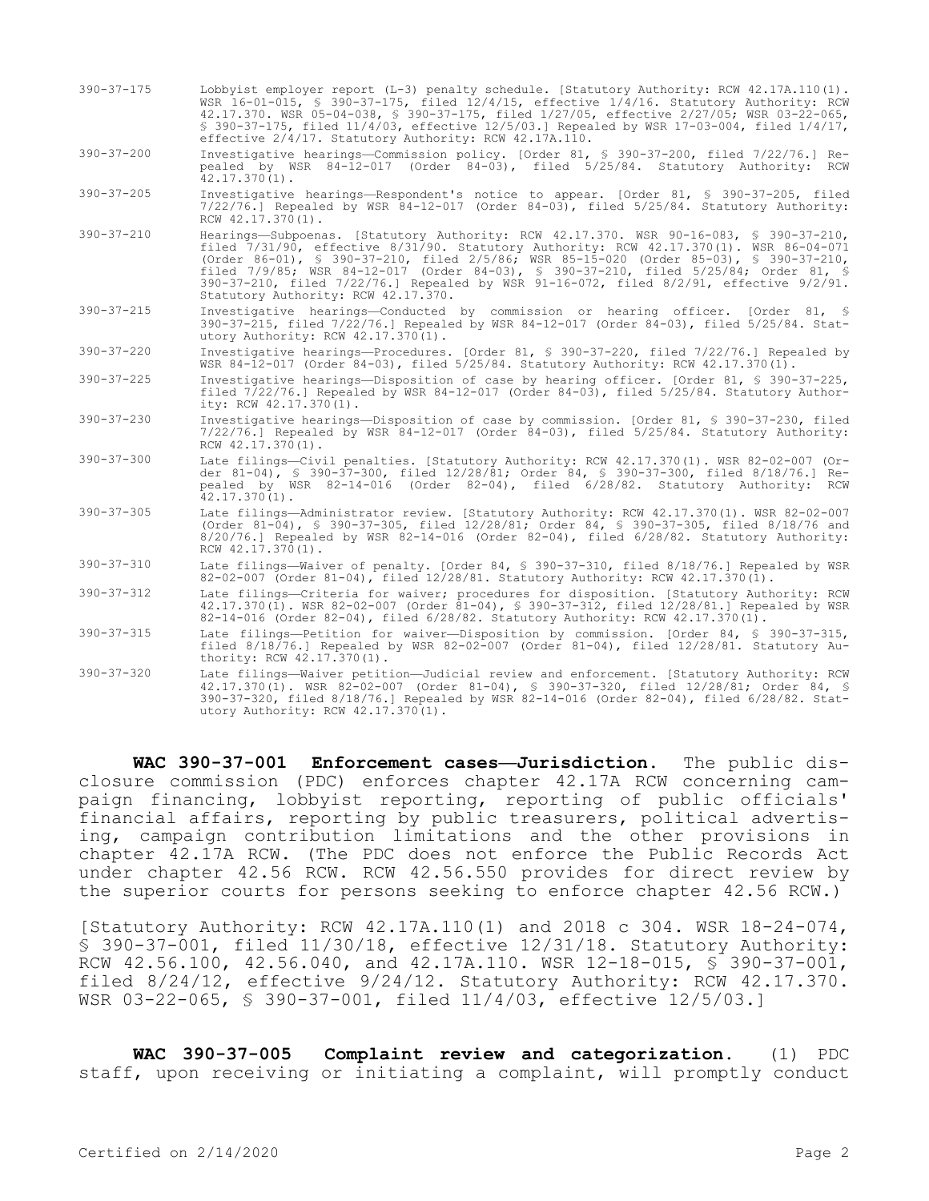390-37-175 Lobbyist employer report (L-3) penalty schedule. [Statutory Authority: RCW 42.17A.110(1). WSR 16-01-015, § 390-37-175, filed 12/4/15, effective 1/4/16. Statutory Authority: RCW 42.17.370. WSR 05-04-038, § 390-37-175, filed 1/27/05, effective 2/27/05; WSR 03-22-065, § 390-37-175, filed 11/4/03, effective 12/5/03.] Repealed by WSR 17-03-004, filed 1/4/17, effective 2/4/17. Statutory Authority: RCW 42.17A.110.

390-37-200 Investigative hearings—Commission policy. [Order 81, § 390-37-200, filed 7/22/76.] Repealed by WSR 84-12-017 (Order 84-03), filed 5/25/84. Statutory Authority: RCW 42.17.370(1).

- 390-37-205 Investigative hearings—Respondent's notice to appear. [Order 81, § 390-37-205, filed 7/22/76.] Repealed by WSR 84-12-017 (Order 84-03), filed 5/25/84. Statutory Authority: RCW 42.17.370(1).
- 390-37-210 Hearings—Subpoenas. [Statutory Authority: RCW 42.17.370. WSR 90-16-083, § 390-37-210, filed 7/31/90, effective 8/31/90. Statutory Authority: RCW 42.17.370(1). WSR 86-04-071 (Order 86-01), § 390-37-210, filed 2/5/86; WSR 85-15-020 (Order 85-03), § 390-37-210, filed 7/9/85; WSR 84-12-017 (Order 84-03), § 390-37-210, filed 5/25/84; Order 81, § 390-37-210, filed 7/22/76.] Repealed by WSR 91-16-072, filed 8/2/91, effective 9/2/91. Statutory Authority: RCW 42.17.370.
- 390-37-215 Investigative hearings—Conducted by commission or hearing officer. [Order 81, § 390-37-215, filed 7/22/76.] Repealed by WSR 84-12-017 (Order 84-03), filed 5/25/84. Statutory Authority: RCW 42.17.370(1).
- 390-37-220 Investigative hearings—Procedures. [Order 81, § 390-37-220, filed 7/22/76.] Repealed by WSR 84-12-017 (Order 84-03), filed 5/25/84. Statutory Authority: RCW 42.17.370(1).
- 390-37-225 Investigative hearings—Disposition of case by hearing officer. [Order 81, § 390-37-225, filed 7/22/76.] Repealed by WSR 84-12-017 (Order 84-03), filed 5/25/84. Statutory Authority: RCW 42.17.370(1).
- 390-37-230 Investigative hearings—Disposition of case by commission. [Order 81, § 390-37-230, filed 7/22/76.] Repealed by WSR 84-12-017 (Order 84-03), filed 5/25/84. Statutory Authority: RCW 42.17.370(1).
- 390-37-300 Late filings—Civil penalties. [Statutory Authority: RCW 42.17.370(1). WSR 82-02-007 (Order 81-04), § 390-37-300, filed 12/28/81; Order 84, § 390-37-300, filed 8/18/76.] Repealed by WSR 82-14-016 (Order 82-04), filed 6/28/82. Statutory Authority: RCW  $42.17.370(1)$ .
- 390-37-305 Late filings—Administrator review. [Statutory Authority: RCW 42.17.370(1). WSR 82-02-007 (Order 81-04), § 390-37-305, filed 12/28/81; Order 84, § 390-37-305, filed 8/18/76 and 8/20/76.] Repealed by WSR 82-14-016 (Order 82-04), filed 6/28/82. Statutory Authority: RCW 42.17.370(1).
- 390-37-310 Late filings—Waiver of penalty. [Order 84, § 390-37-310, filed 8/18/76.] Repealed by WSR 82-02-007 (Order 81-04), filed 12/28/81. Statutory Authority: RCW 42.17.370(1).
- 390-37-312 Late filings—Criteria for waiver; procedures for disposition. [Statutory Authority: RCW 42.17.370(1). WSR 82-02-007 (Order 81-04), § 390-37-312, filed 12/28/81.] Repealed by WSR 82-14-016 (Order 82-04), filed 6/28/82. Statutory Authority: RCW 42.17.370(1).
- 390-37-315 Late filings—Petition for waiver—Disposition by commission. [Order 84, § 390-37-315, filed 8/18/76.] Repealed by WSR 82-02-007 (Order 81-04), filed 12/28/81. Statutory Authority: RCW 42.17.370(1).
- 390-37-320 Late filings—Waiver petition—Judicial review and enforcement. [Statutory Authority: RCW 42.17.370(1). WSR 82-02-007 (Order 81-04), § 390-37-320, filed 12/28/81; Order 84, § 390-37-320, filed 8/18/76.] Repealed by WSR 82-14-016 (Order 82-04), filed 6/28/82. Statutory Authority: RCW 42.17.370(1).

**WAC 390-37-001 Enforcement cases—Jurisdiction.** The public disclosure commission (PDC) enforces chapter 42.17A RCW concerning campaign financing, lobbyist reporting, reporting of public officials' financial affairs, reporting by public treasurers, political advertising, campaign contribution limitations and the other provisions in chapter 42.17A RCW. (The PDC does not enforce the Public Records Act under chapter 42.56 RCW. RCW 42.56.550 provides for direct review by the superior courts for persons seeking to enforce chapter 42.56 RCW.)

[Statutory Authority: RCW 42.17A.110(1) and 2018 c 304. WSR 18-24-074, § 390-37-001, filed 11/30/18, effective 12/31/18. Statutory Authority: RCW 42.56.100, 42.56.040, and 42.17A.110. WSR 12-18-015, § 390-37-001, filed 8/24/12, effective 9/24/12. Statutory Authority: RCW 42.17.370. WSR 03-22-065, § 390-37-001, filed 11/4/03, effective 12/5/03.]

**WAC 390-37-005 Complaint review and categorization.** (1) PDC staff, upon receiving or initiating a complaint, will promptly conduct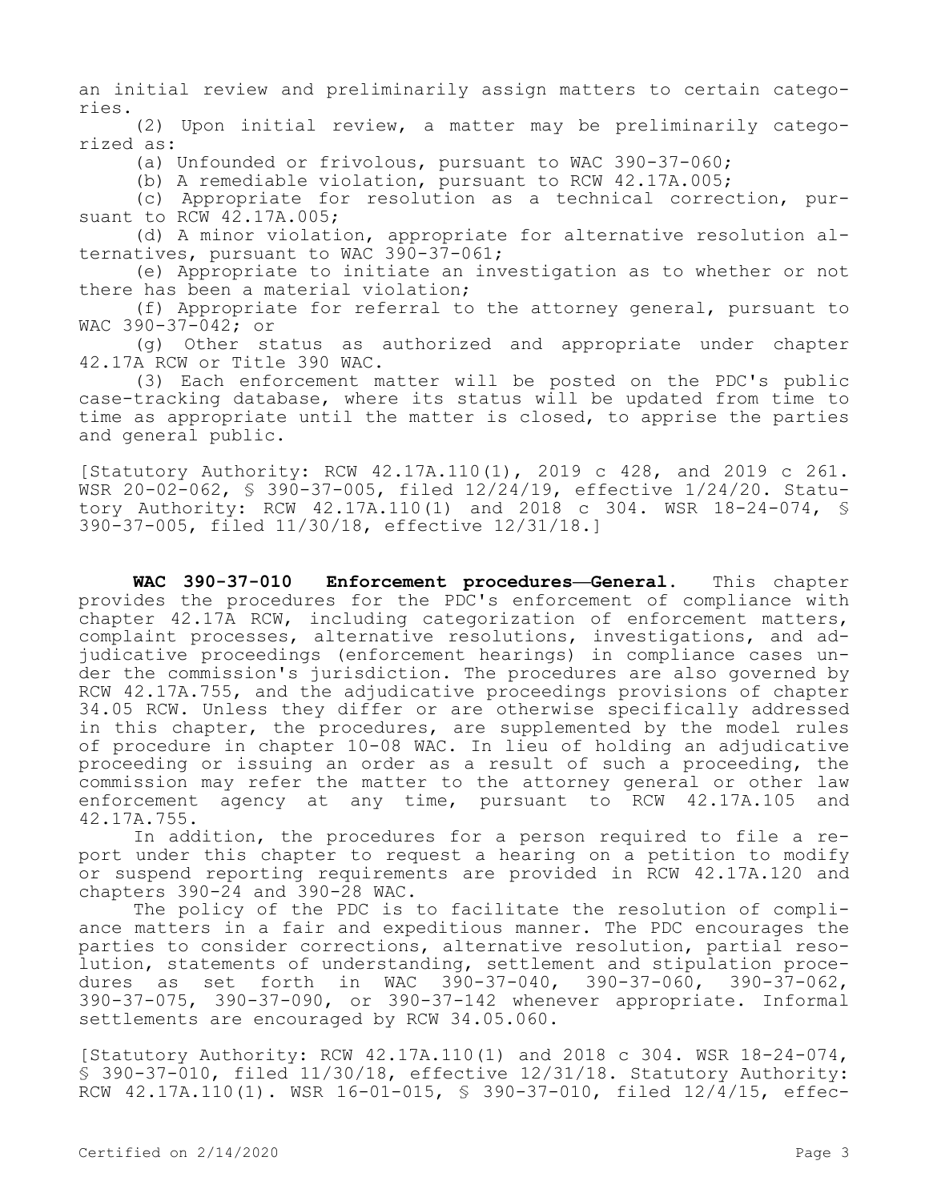an initial review and preliminarily assign matters to certain categories.

(2) Upon initial review, a matter may be preliminarily categorized as:

(a) Unfounded or frivolous, pursuant to WAC 390-37-060;

(b) A remediable violation, pursuant to RCW 42.17A.005;

(c) Appropriate for resolution as a technical correction, pursuant to RCW 42.17A.005;

(d) A minor violation, appropriate for alternative resolution alternatives, pursuant to WAC 390-37-061;

(e) Appropriate to initiate an investigation as to whether or not there has been a material violation;

(f) Appropriate for referral to the attorney general, pursuant to WAC 390-37-042; or

(g) Other status as authorized and appropriate under chapter 42.17A RCW or Title 390 WAC.

(3) Each enforcement matter will be posted on the PDC's public case-tracking database, where its status will be updated from time to time as appropriate until the matter is closed, to apprise the parties and general public.

[Statutory Authority: RCW 42.17A.110(1), 2019 c 428, and 2019 c 261. WSR 20-02-062, § 390-37-005, filed 12/24/19, effective 1/24/20. Statutory Authority: RCW 42.17A.110(1) and 2018 c 304. WSR 18-24-074, § 390-37-005, filed 11/30/18, effective 12/31/18.]

**WAC 390-37-010 Enforcement procedures—General.** This chapter provides the procedures for the PDC's enforcement of compliance with chapter 42.17A RCW, including categorization of enforcement matters, complaint processes, alternative resolutions, investigations, and adjudicative proceedings (enforcement hearings) in compliance cases under the commission's jurisdiction. The procedures are also governed by RCW 42.17A.755, and the adjudicative proceedings provisions of chapter 34.05 RCW. Unless they differ or are otherwise specifically addressed in this chapter, the procedures, are supplemented by the model rules of procedure in chapter 10-08 WAC. In lieu of holding an adjudicative proceeding or issuing an order as a result of such a proceeding, the commission may refer the matter to the attorney general or other law enforcement agency at any time, pursuant to RCW 42.17A.105 and 42.17A.755.

In addition, the procedures for a person required to file a report under this chapter to request a hearing on a petition to modify or suspend reporting requirements are provided in RCW 42.17A.120 and chapters 390-24 and 390-28 WAC.

The policy of the PDC is to facilitate the resolution of compliance matters in a fair and expeditious manner. The PDC encourages the parties to consider corrections, alternative resolution, partial resolution, statements of understanding, settlement and stipulation procedures as set forth in WAC 390-37-040, 390-37-060, 390-37-062, 390-37-075, 390-37-090, or 390-37-142 whenever appropriate. Informal settlements are encouraged by RCW 34.05.060.

[Statutory Authority: RCW 42.17A.110(1) and 2018 c 304. WSR 18-24-074, § 390-37-010, filed 11/30/18, effective 12/31/18. Statutory Authority: RCW 42.17A.110(1). WSR 16-01-015, § 390-37-010, filed 12/4/15, effec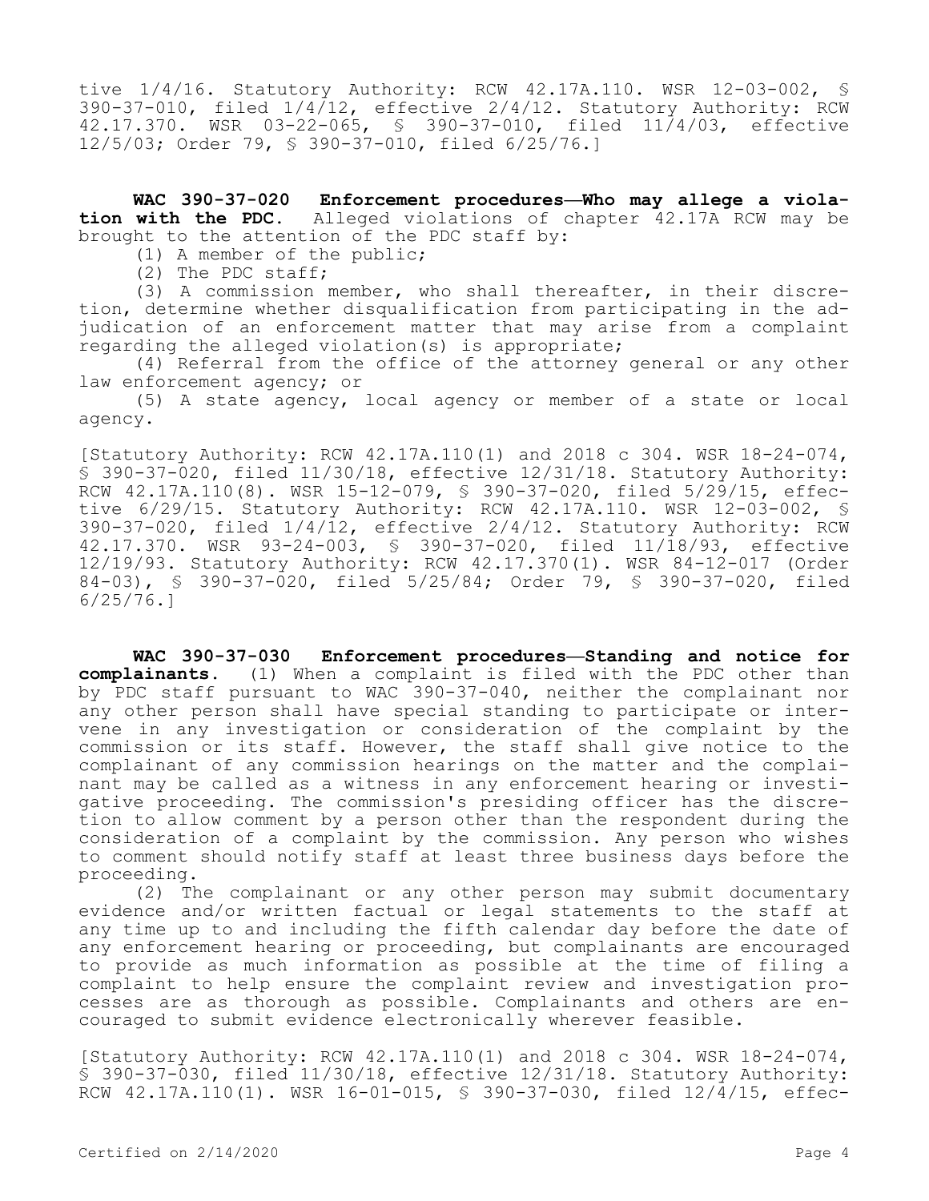tive 1/4/16. Statutory Authority: RCW 42.17A.110. WSR 12-03-002, § 390-37-010, filed  $1/4/12$ , effective  $2/4/12$ . Statutory Authority: RCW 42.17.370. WSR 03-22-065, § 390-37-010, filed 11/4/03, effective 12/5/03; Order 79, § 390-37-010, filed 6/25/76.]

**WAC 390-37-020 Enforcement procedures—Who may allege a violation with the PDC.** Alleged violations of chapter 42.17A RCW may be brought to the attention of the PDC staff by:

(1) A member of the public;

(2) The PDC staff;

(3) A commission member, who shall thereafter, in their discretion, determine whether disqualification from participating in the adjudication of an enforcement matter that may arise from a complaint regarding the alleged violation(s) is appropriate;

(4) Referral from the office of the attorney general or any other law enforcement agency; or

(5) A state agency, local agency or member of a state or local agency.

[Statutory Authority: RCW 42.17A.110(1) and 2018 c 304. WSR 18-24-074, § 390-37-020, filed 11/30/18, effective 12/31/18. Statutory Authority: RCW 42.17A.110(8). WSR 15-12-079, § 390-37-020, filed 5/29/15, effective 6/29/15. Statutory Authority: RCW 42.17A.110. WSR 12-03-002, § 390-37-020, filed 1/4/12, effective 2/4/12. Statutory Authority: RCW 42.17.370. WSR 93-24-003, § 390-37-020, filed 11/18/93, effective 12/19/93. Statutory Authority: RCW 42.17.370(1). WSR 84-12-017 (Order 84-03), § 390-37-020, filed 5/25/84; Order 79, § 390-37-020, filed 6/25/76.]

**WAC 390-37-030 Enforcement procedures—Standing and notice for complainants.** (1) When a complaint is filed with the PDC other than by PDC staff pursuant to WAC 390-37-040, neither the complainant nor any other person shall have special standing to participate or intervene in any investigation or consideration of the complaint by the commission or its staff. However, the staff shall give notice to the complainant of any commission hearings on the matter and the complainant may be called as a witness in any enforcement hearing or investigative proceeding. The commission's presiding officer has the discretion to allow comment by a person other than the respondent during the consideration of a complaint by the commission. Any person who wishes to comment should notify staff at least three business days before the proceeding.

(2) The complainant or any other person may submit documentary evidence and/or written factual or legal statements to the staff at any time up to and including the fifth calendar day before the date of any enforcement hearing or proceeding, but complainants are encouraged to provide as much information as possible at the time of filing a complaint to help ensure the complaint review and investigation processes are as thorough as possible. Complainants and others are encouraged to submit evidence electronically wherever feasible.

[Statutory Authority: RCW 42.17A.110(1) and 2018 c 304. WSR 18-24-074, § 390-37-030, filed 11/30/18, effective 12/31/18. Statutory Authority: RCW 42.17A.110(1). WSR 16-01-015, § 390-37-030, filed 12/4/15, effec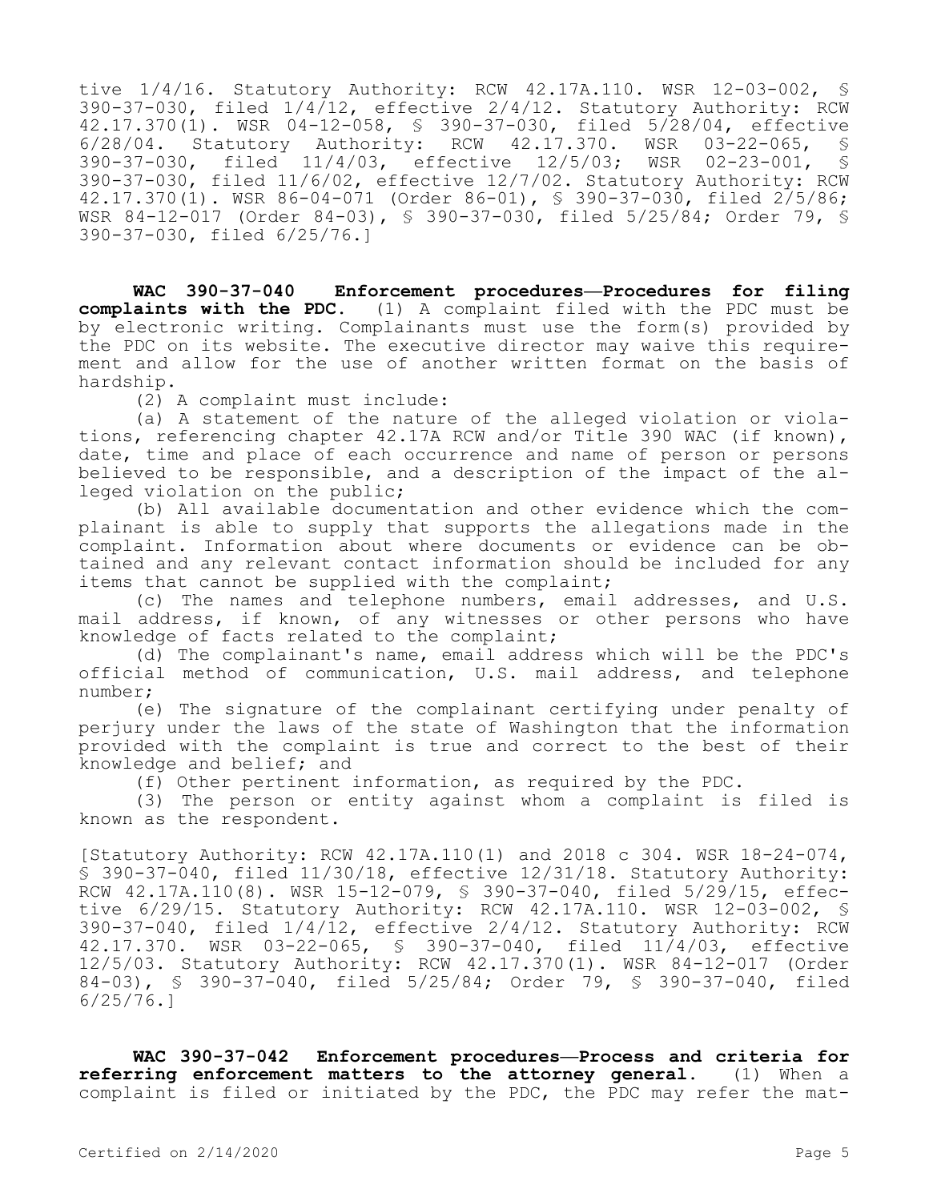tive 1/4/16. Statutory Authority: RCW 42.17A.110. WSR 12-03-002, § 390-37-030, filed 1/4/12, effective 2/4/12. Statutory Authority: RCW 42.17.370(1). WSR 04-12-058, § 390-37-030, filed 5/28/04, effective 6/28/04. Statutory Authority: RCW 42.17.370. WSR 03-22-065, § 390-37-030, filed 11/4/03, effective 12/5/03; WSR 02-23-001, § 390-37-030, filed 11/6/02, effective 12/7/02. Statutory Authority: RCW 42.17.370(1). WSR 86-04-071 (Order 86-01), § 390-37-030, filed 2/5/86; WSR 84-12-017 (Order 84-03), § 390-37-030, filed 5/25/84; Order 79, § 390-37-030, filed 6/25/76.]

**WAC 390-37-040 Enforcement procedures—Procedures for filing complaints with the PDC.** (1) A complaint filed with the PDC must be by electronic writing. Complainants must use the form(s) provided by the PDC on its website. The executive director may waive this requirement and allow for the use of another written format on the basis of hardship.

(2) A complaint must include:

(a) A statement of the nature of the alleged violation or violations, referencing chapter 42.17A RCW and/or Title 390 WAC (if known), date, time and place of each occurrence and name of person or persons believed to be responsible, and a description of the impact of the alleged violation on the public;

(b) All available documentation and other evidence which the complainant is able to supply that supports the allegations made in the complaint. Information about where documents or evidence can be obtained and any relevant contact information should be included for any items that cannot be supplied with the complaint;

(c) The names and telephone numbers, email addresses, and U.S. mail address, if known, of any witnesses or other persons who have knowledge of facts related to the complaint;

(d) The complainant's name, email address which will be the PDC's official method of communication, U.S. mail address, and telephone number;

(e) The signature of the complainant certifying under penalty of perjury under the laws of the state of Washington that the information provided with the complaint is true and correct to the best of their knowledge and belief; and

(f) Other pertinent information, as required by the PDC.

(3) The person or entity against whom a complaint is filed is known as the respondent.

[Statutory Authority: RCW 42.17A.110(1) and 2018 c 304. WSR 18-24-074, § 390-37-040, filed 11/30/18, effective 12/31/18. Statutory Authority: RCW 42.17A.110(8). WSR 15-12-079, § 390-37-040, filed 5/29/15, effective 6/29/15. Statutory Authority: RCW 42.17A.110. WSR 12-03-002, § 390-37-040, filed 1/4/12, effective 2/4/12. Statutory Authority: RCW 42.17.370. WSR 03-22-065, § 390-37-040, filed 11/4/03, effective 12/5/03. Statutory Authority: RCW 42.17.370(1). WSR 84-12-017 (Order 84-03), § 390-37-040, filed 5/25/84; Order 79, § 390-37-040, filed 6/25/76.]

**WAC 390-37-042 Enforcement procedures—Process and criteria for referring enforcement matters to the attorney general.** (1) When a complaint is filed or initiated by the PDC, the PDC may refer the mat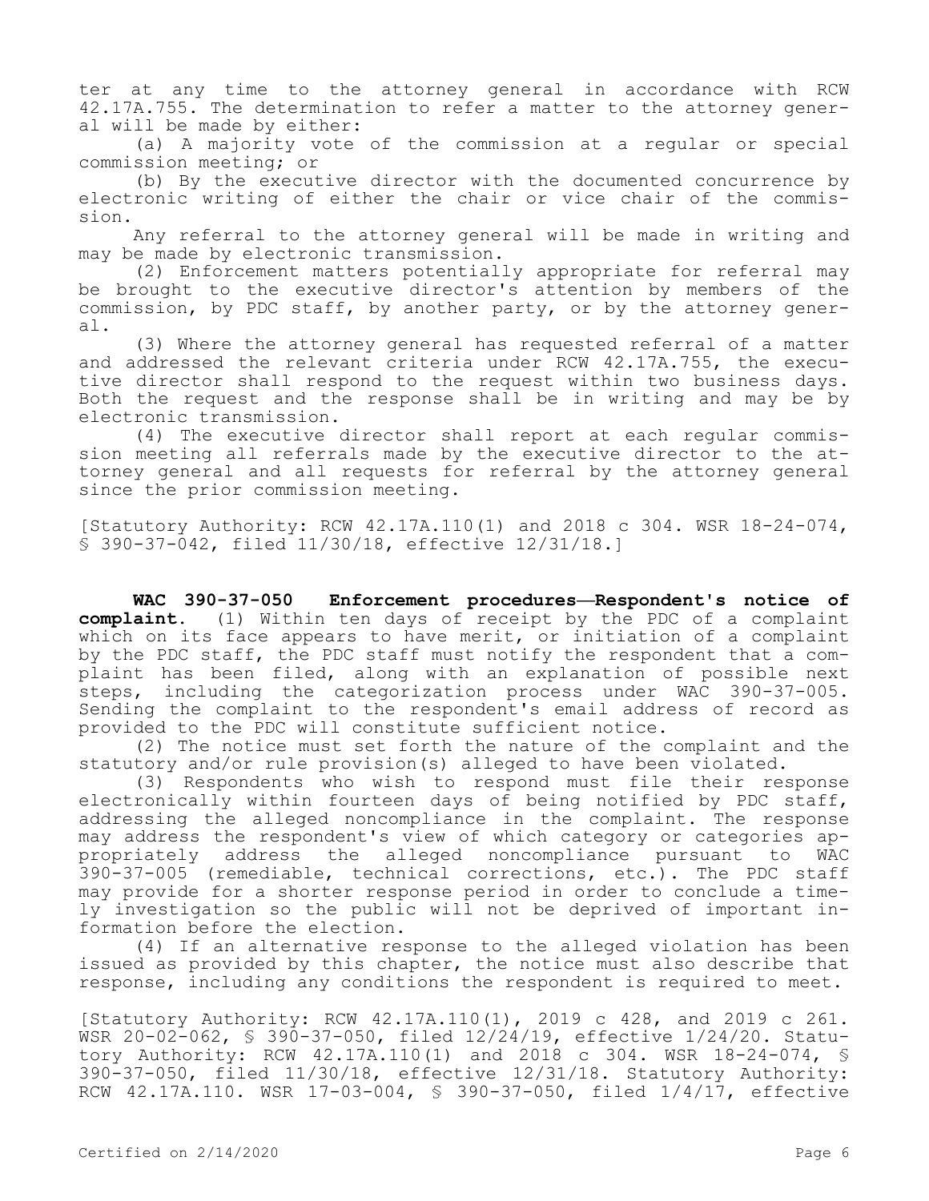ter at any time to the attorney general in accordance with RCW 42.17A.755. The determination to refer a matter to the attorney general will be made by either:

(a) A majority vote of the commission at a regular or special commission meeting; or

(b) By the executive director with the documented concurrence by electronic writing of either the chair or vice chair of the commission.

Any referral to the attorney general will be made in writing and may be made by electronic transmission.

(2) Enforcement matters potentially appropriate for referral may be brought to the executive director's attention by members of the commission, by PDC staff, by another party, or by the attorney general.

(3) Where the attorney general has requested referral of a matter and addressed the relevant criteria under RCW 42.17A.755, the executive director shall respond to the request within two business days. Both the request and the response shall be in writing and may be by electronic transmission.

(4) The executive director shall report at each regular commission meeting all referrals made by the executive director to the attorney general and all requests for referral by the attorney general since the prior commission meeting.

[Statutory Authority: RCW 42.17A.110(1) and 2018 c 304. WSR 18-24-074, § 390-37-042, filed 11/30/18, effective 12/31/18.]

**WAC 390-37-050 Enforcement procedures—Respondent's notice of complaint.** (1) Within ten days of receipt by the PDC of a complaint which on its face appears to have merit, or initiation of a complaint by the PDC staff, the PDC staff must notify the respondent that a complaint has been filed, along with an explanation of possible next steps, including the categorization process under WAC 390-37-005. Sending the complaint to the respondent's email address of record as provided to the PDC will constitute sufficient notice.

(2) The notice must set forth the nature of the complaint and the statutory and/or rule provision(s) alleged to have been violated.

(3) Respondents who wish to respond must file their response electronically within fourteen days of being notified by PDC staff, addressing the alleged noncompliance in the complaint. The response may address the respondent's view of which category or categories appropriately address the alleged noncompliance pursuant to WAC 390-37-005 (remediable, technical corrections, etc.). The PDC staff may provide for a shorter response period in order to conclude a timely investigation so the public will not be deprived of important information before the election.

(4) If an alternative response to the alleged violation has been issued as provided by this chapter, the notice must also describe that response, including any conditions the respondent is required to meet.

[Statutory Authority: RCW 42.17A.110(1), 2019 c 428, and 2019 c 261. WSR 20-02-062, § 390-37-050, filed 12/24/19, effective 1/24/20. Statutory Authority: RCW 42.17A.110(1) and 2018 c 304. WSR 18-24-074, § 390-37-050, filed 11/30/18, effective 12/31/18. Statutory Authority: RCW 42.17A.110. WSR 17-03-004, § 390-37-050, filed 1/4/17, effective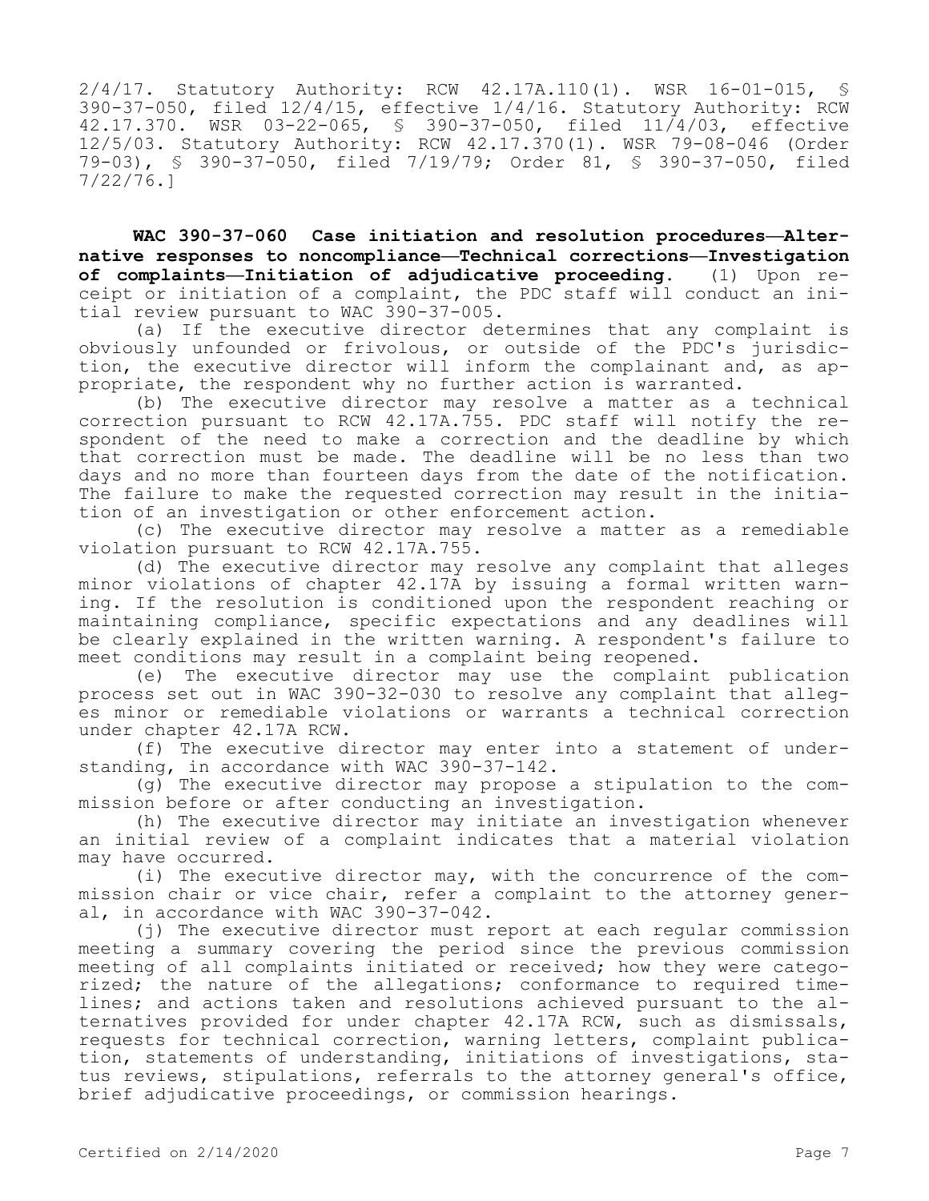2/4/17. Statutory Authority: RCW 42.17A.110(1). WSR 16-01-015, 390-37-050, filed 12/4/15, effective 1/4/16. Statutory Authority: RCW 42.17.370. WSR 03-22-065, § 390-37-050, filed 11/4/03, effective 12/5/03. Statutory Authority: RCW 42.17.370(1). WSR 79-08-046 (Order 79-03), § 390-37-050, filed 7/19/79; Order 81, § 390-37-050, filed 7/22/76.]

**WAC 390-37-060 Case initiation and resolution procedures—Alternative responses to noncompliance—Technical corrections—Investigation of complaints—Initiation of adjudicative proceeding.** (1) Upon receipt or initiation of a complaint, the PDC staff will conduct an initial review pursuant to WAC 390-37-005.

(a) If the executive director determines that any complaint is obviously unfounded or frivolous, or outside of the PDC's jurisdiction, the executive director will inform the complainant and, as appropriate, the respondent why no further action is warranted.

(b) The executive director may resolve a matter as a technical correction pursuant to RCW 42.17A.755. PDC staff will notify the respondent of the need to make a correction and the deadline by which that correction must be made. The deadline will be no less than two days and no more than fourteen days from the date of the notification. The failure to make the requested correction may result in the initiation of an investigation or other enforcement action.

(c) The executive director may resolve a matter as a remediable violation pursuant to RCW 42.17A.755.

(d) The executive director may resolve any complaint that alleges minor violations of chapter 42.17A by issuing a formal written warning. If the resolution is conditioned upon the respondent reaching or maintaining compliance, specific expectations and any deadlines will be clearly explained in the written warning. A respondent's failure to meet conditions may result in a complaint being reopened.

(e) The executive director may use the complaint publication process set out in WAC 390-32-030 to resolve any complaint that alleges minor or remediable violations or warrants a technical correction under chapter 42.17A RCW.

(f) The executive director may enter into a statement of understanding, in accordance with WAC 390-37-142.

(g) The executive director may propose a stipulation to the commission before or after conducting an investigation.

(h) The executive director may initiate an investigation whenever an initial review of a complaint indicates that a material violation may have occurred.

(i) The executive director may, with the concurrence of the commission chair or vice chair, refer a complaint to the attorney general, in accordance with WAC 390-37-042.

(j) The executive director must report at each regular commission meeting a summary covering the period since the previous commission meeting of all complaints initiated or received; how they were categorized; the nature of the allegations; conformance to required timelines; and actions taken and resolutions achieved pursuant to the alternatives provided for under chapter 42.17A RCW, such as dismissals, requests for technical correction, warning letters, complaint publication, statements of understanding, initiations of investigations, status reviews, stipulations, referrals to the attorney general's office, brief adjudicative proceedings, or commission hearings.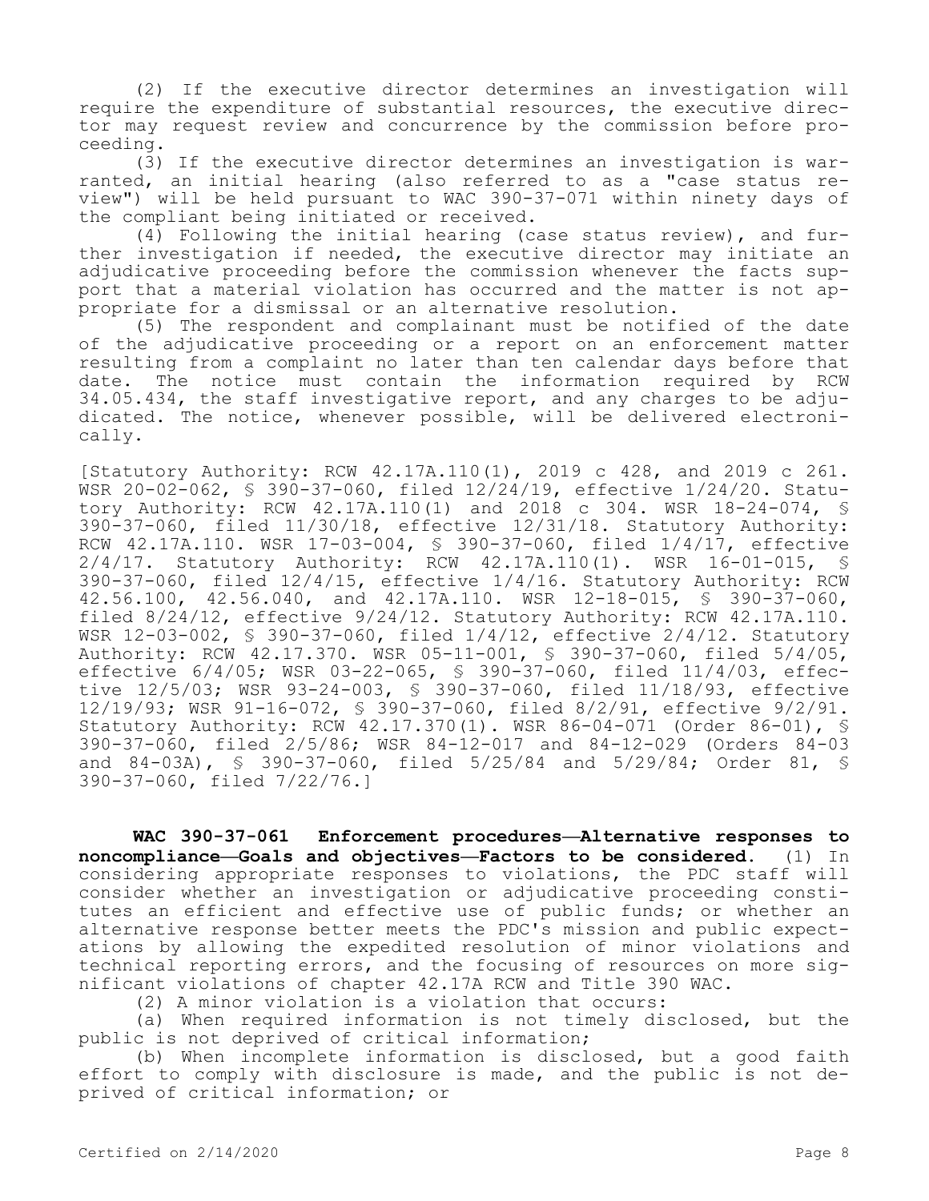(2) If the executive director determines an investigation will require the expenditure of substantial resources, the executive director may request review and concurrence by the commission before proceeding.

(3) If the executive director determines an investigation is warranted, an initial hearing (also referred to as a "case status review") will be held pursuant to WAC 390-37-071 within ninety days of the compliant being initiated or received.

(4) Following the initial hearing (case status review), and further investigation if needed, the executive director may initiate an adjudicative proceeding before the commission whenever the facts support that a material violation has occurred and the matter is not appropriate for a dismissal or an alternative resolution.

(5) The respondent and complainant must be notified of the date of the adjudicative proceeding or a report on an enforcement matter resulting from a complaint no later than ten calendar days before that date. The notice must contain the information required by RCW 34.05.434, the staff investigative report, and any charges to be adjudicated. The notice, whenever possible, will be delivered electronically.

[Statutory Authority: RCW 42.17A.110(1), 2019 c 428, and 2019 c 261. WSR 20-02-062, § 390-37-060, filed 12/24/19, effective 1/24/20. Statutory Authority: RCW 42.17A.110(1) and 2018 c 304. WSR 18-24-074, § 390-37-060, filed 11/30/18, effective 12/31/18. Statutory Authority: RCW 42.17A.110. WSR 17-03-004, § 390-37-060, filed 1/4/17, effective 2/4/17. Statutory Authority: RCW 42.17A.110(1). WSR 16-01-015, § 390-37-060, filed 12/4/15, effective 1/4/16. Statutory Authority: RCW 42.56.100, 42.56.040, and 42.17A.110. WSR 12-18-015, § 390-37-060, filed 8/24/12, effective 9/24/12. Statutory Authority: RCW 42.17A.110. WSR 12-03-002, § 390-37-060, filed 1/4/12, effective 2/4/12. Statutory Authority: RCW 42.17.370. WSR 05-11-001, § 390-37-060, filed 5/4/05, effective 6/4/05; WSR 03-22-065, § 390-37-060, filed 11/4/03, effective 12/5/03; WSR 93-24-003, § 390-37-060, filed 11/18/93, effective 12/19/93; WSR 91-16-072, § 390-37-060, filed 8/2/91, effective 9/2/91. Statutory Authority: RCW 42.17.370(1). WSR 86-04-071 (Order 86-01), § 390-37-060, filed 2/5/86; WSR 84-12-017 and 84-12-029 (Orders 84-03 and 84-03A), § 390-37-060, filed 5/25/84 and 5/29/84; Order 81, § 390-37-060, filed 7/22/76.]

**WAC 390-37-061 Enforcement procedures—Alternative responses to noncompliance—Goals and objectives—Factors to be considered.** (1) In considering appropriate responses to violations, the PDC staff will consider whether an investigation or adjudicative proceeding constitutes an efficient and effective use of public funds; or whether an alternative response better meets the PDC's mission and public expectations by allowing the expedited resolution of minor violations and technical reporting errors, and the focusing of resources on more significant violations of chapter 42.17A RCW and Title 390 WAC.

(2) A minor violation is a violation that occurs:

(a) When required information is not timely disclosed, but the public is not deprived of critical information;

(b) When incomplete information is disclosed, but a good faith effort to comply with disclosure is made, and the public is not deprived of critical information; or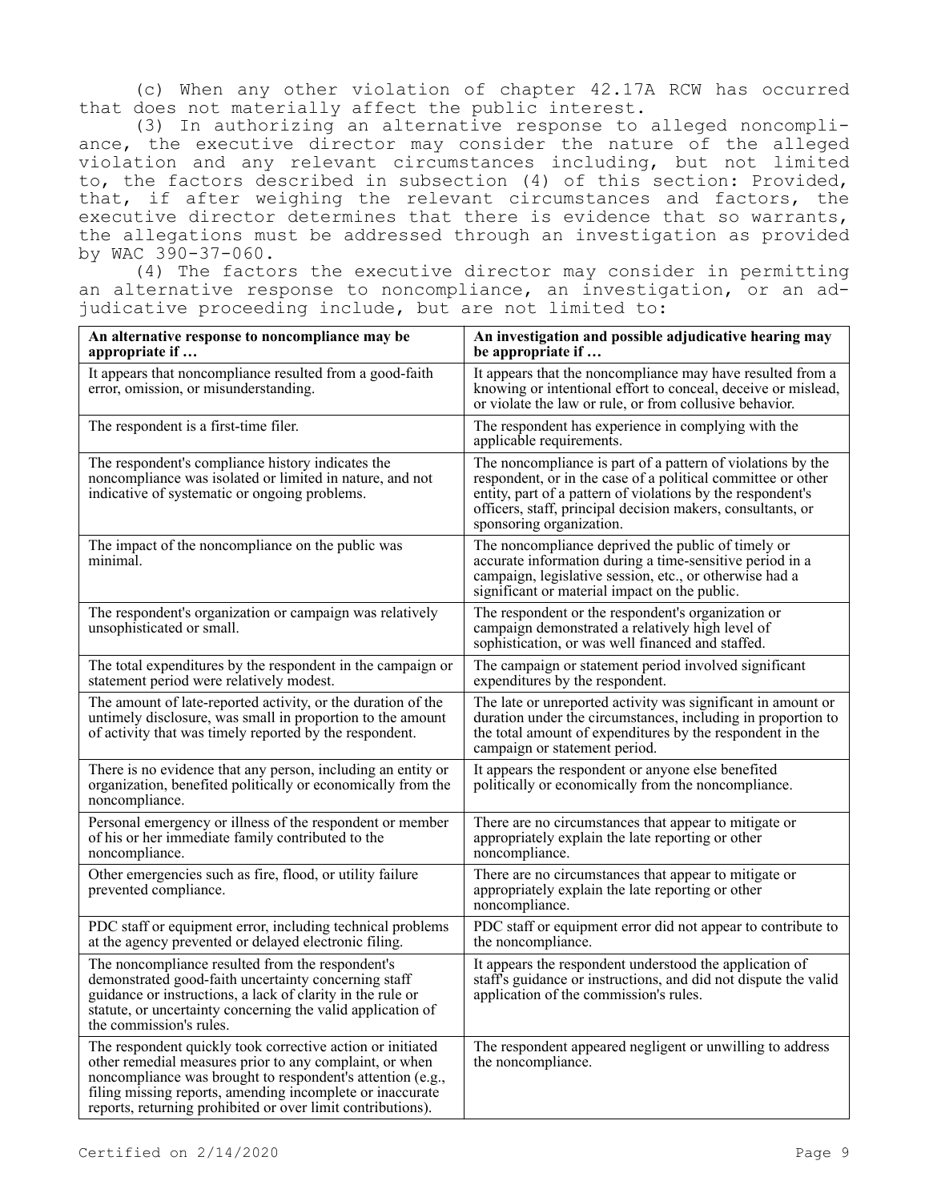(c) When any other violation of chapter 42.17A RCW has occurred that does not materially affect the public interest.

(3) In authorizing an alternative response to alleged noncompliance, the executive director may consider the nature of the alleged violation and any relevant circumstances including, but not limited to, the factors described in subsection (4) of this section: Provided, that, if after weighing the relevant circumstances and factors, the executive director determines that there is evidence that so warrants, the allegations must be addressed through an investigation as provided by WAC 390-37-060.

(4) The factors the executive director may consider in permitting an alternative response to noncompliance, an investigation, or an adjudicative proceeding include, but are not limited to:

| An alternative response to noncompliance may be<br>appropriate if                                                                                                                                                                                                                                               | An investigation and possible adjudicative hearing may<br>be appropriate if                                                                                                                                                                                                           |
|-----------------------------------------------------------------------------------------------------------------------------------------------------------------------------------------------------------------------------------------------------------------------------------------------------------------|---------------------------------------------------------------------------------------------------------------------------------------------------------------------------------------------------------------------------------------------------------------------------------------|
| It appears that noncompliance resulted from a good-faith<br>error, omission, or misunderstanding.                                                                                                                                                                                                               | It appears that the noncompliance may have resulted from a<br>knowing or intentional effort to conceal, deceive or mislead,<br>or violate the law or rule, or from collusive behavior.                                                                                                |
| The respondent is a first-time filer.                                                                                                                                                                                                                                                                           | The respondent has experience in complying with the<br>applicable requirements.                                                                                                                                                                                                       |
| The respondent's compliance history indicates the<br>noncompliance was isolated or limited in nature, and not<br>indicative of systematic or ongoing problems.                                                                                                                                                  | The noncompliance is part of a pattern of violations by the<br>respondent, or in the case of a political committee or other<br>entity, part of a pattern of violations by the respondent's<br>officers, staff, principal decision makers, consultants, or<br>sponsoring organization. |
| The impact of the noncompliance on the public was<br>minimal.                                                                                                                                                                                                                                                   | The noncompliance deprived the public of timely or<br>accurate information during a time-sensitive period in a<br>campaign, legislative session, etc., or otherwise had a<br>significant or material impact on the public.                                                            |
| The respondent's organization or campaign was relatively<br>unsophisticated or small.                                                                                                                                                                                                                           | The respondent or the respondent's organization or<br>campaign demonstrated a relatively high level of<br>sophistication, or was well financed and staffed.                                                                                                                           |
| The total expenditures by the respondent in the campaign or<br>statement period were relatively modest.                                                                                                                                                                                                         | The campaign or statement period involved significant<br>expenditures by the respondent.                                                                                                                                                                                              |
| The amount of late-reported activity, or the duration of the<br>untimely disclosure, was small in proportion to the amount<br>of activity that was timely reported by the respondent.                                                                                                                           | The late or unreported activity was significant in amount or<br>duration under the circumstances, including in proportion to<br>the total amount of expenditures by the respondent in the<br>campaign or statement period.                                                            |
| There is no evidence that any person, including an entity or<br>organization, benefited politically or economically from the<br>noncompliance.                                                                                                                                                                  | It appears the respondent or anyone else benefited<br>politically or economically from the noncompliance.                                                                                                                                                                             |
| Personal emergency or illness of the respondent or member<br>of his or her immediate family contributed to the<br>noncompliance.                                                                                                                                                                                | There are no circumstances that appear to mitigate or<br>appropriately explain the late reporting or other<br>noncompliance.                                                                                                                                                          |
| Other emergencies such as fire, flood, or utility failure<br>prevented compliance.                                                                                                                                                                                                                              | There are no circumstances that appear to mitigate or<br>appropriately explain the late reporting or other<br>noncompliance.                                                                                                                                                          |
| PDC staff or equipment error, including technical problems<br>at the agency prevented or delayed electronic filing.                                                                                                                                                                                             | PDC staff or equipment error did not appear to contribute to<br>the noncompliance.                                                                                                                                                                                                    |
| The noncompliance resulted from the respondent's<br>demonstrated good-faith uncertainty concerning staff<br>guidance or instructions, a lack of clarity in the rule or<br>statute, or uncertainty concerning the valid application of<br>the commission's rules.                                                | It appears the respondent understood the application of<br>staff's guidance or instructions, and did not dispute the valid<br>application of the commission's rules.                                                                                                                  |
| The respondent quickly took corrective action or initiated<br>other remedial measures prior to any complaint, or when<br>noncompliance was brought to respondent's attention (e.g.,<br>filing missing reports, amending incomplete or inaccurate<br>reports, returning prohibited or over limit contributions). | The respondent appeared negligent or unwilling to address<br>the noncompliance.                                                                                                                                                                                                       |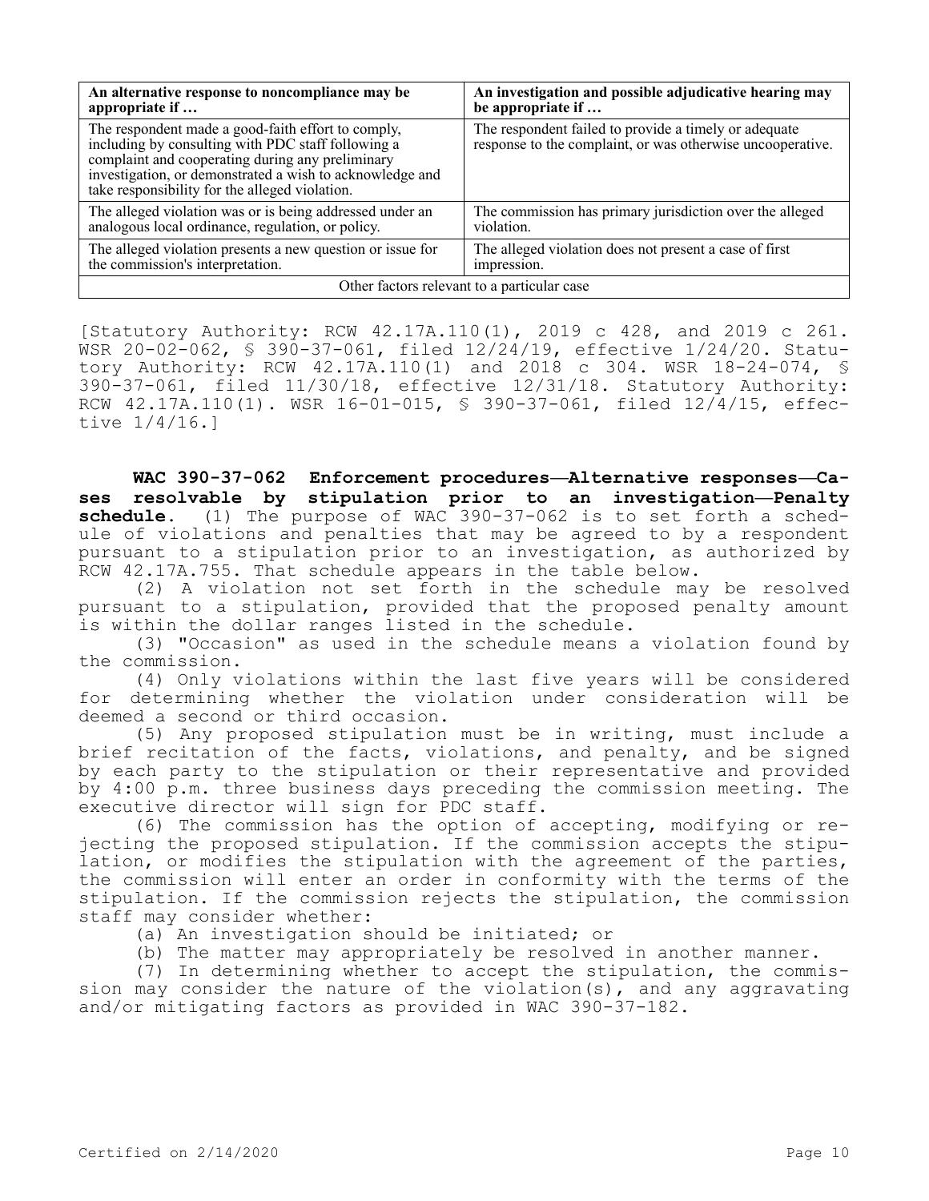| An alternative response to noncompliance may be                                                                                                                                                                                                                            | An investigation and possible adjudicative hearing may                                                              |  |  |  |
|----------------------------------------------------------------------------------------------------------------------------------------------------------------------------------------------------------------------------------------------------------------------------|---------------------------------------------------------------------------------------------------------------------|--|--|--|
| appropriate if                                                                                                                                                                                                                                                             | be appropriate if                                                                                                   |  |  |  |
| The respondent made a good-faith effort to comply,<br>including by consulting with PDC staff following a<br>complaint and cooperating during any preliminary<br>investigation, or demonstrated a wish to acknowledge and<br>take responsibility for the alleged violation. | The respondent failed to provide a timely or adequate<br>response to the complaint, or was otherwise uncooperative. |  |  |  |
| The alleged violation was or is being addressed under an                                                                                                                                                                                                                   | The commission has primary jurisdiction over the alleged                                                            |  |  |  |
| analogous local ordinance, regulation, or policy.                                                                                                                                                                                                                          | violation.                                                                                                          |  |  |  |
| The alleged violation presents a new question or issue for                                                                                                                                                                                                                 | The alleged violation does not present a case of first                                                              |  |  |  |
| the commission's interpretation.                                                                                                                                                                                                                                           | impression.                                                                                                         |  |  |  |
| Other factors relevant to a particular case                                                                                                                                                                                                                                |                                                                                                                     |  |  |  |

[Statutory Authority: RCW 42.17A.110(1), 2019 c 428, and 2019 c 261. WSR 20-02-062, § 390-37-061, filed 12/24/19, effective 1/24/20. Statutory Authority: RCW 42.17A.110(1) and 2018 c 304. WSR 18-24-074, § 390-37-061, filed 11/30/18, effective 12/31/18. Statutory Authority: RCW 42.17A.110(1). WSR 16-01-015, § 390-37-061, filed 12/4/15, effective 1/4/16.]

**WAC 390-37-062 Enforcement procedures—Alternative responses—Cases resolvable by stipulation prior to an investigation—Penalty schedule.** (1) The purpose of WAC 390-37-062 is to set forth a schedule of violations and penalties that may be agreed to by a respondent pursuant to a stipulation prior to an investigation, as authorized by RCW 42.17A.755. That schedule appears in the table below.

(2) A violation not set forth in the schedule may be resolved pursuant to a stipulation, provided that the proposed penalty amount is within the dollar ranges listed in the schedule.

(3) "Occasion" as used in the schedule means a violation found by the commission.

(4) Only violations within the last five years will be considered for determining whether the violation under consideration will be deemed a second or third occasion.

(5) Any proposed stipulation must be in writing, must include a brief recitation of the facts, violations, and penalty, and be signed by each party to the stipulation or their representative and provided by 4:00 p.m. three business days preceding the commission meeting. The executive director will sign for PDC staff.

(6) The commission has the option of accepting, modifying or rejecting the proposed stipulation. If the commission accepts the stipulation, or modifies the stipulation with the agreement of the parties, the commission will enter an order in conformity with the terms of the stipulation. If the commission rejects the stipulation, the commission staff may consider whether:

(a) An investigation should be initiated; or

(b) The matter may appropriately be resolved in another manner.

(7) In determining whether to accept the stipulation, the commission may consider the nature of the violation(s), and any aggravating and/or mitigating factors as provided in WAC 390-37-182.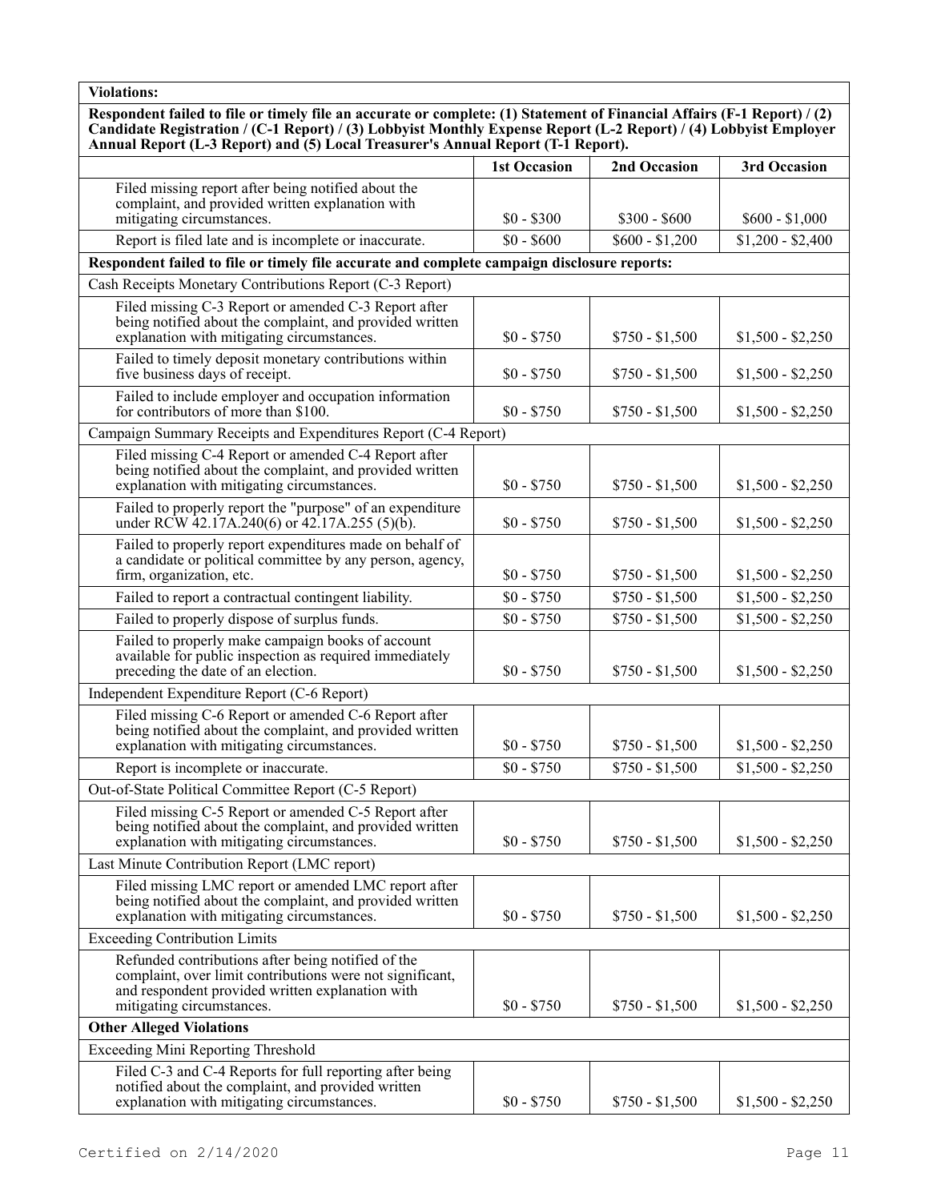**Respondent failed to file or timely file an accurate or complete: (1) Statement of Financial Affairs (F-1 Report) / (2) Candidate Registration / (C-1 Report) / (3) Lobbyist Monthly Expense Report (L-2 Report) / (4) Lobbyist Employer Annual Report (L-3 Report) and (5) Local Treasurer's Annual Report (T-1 Report).**

|                                                                                                                                                                                                  | <b>1st Occasion</b> | 2nd Occasion    | 3rd Occasion      |
|--------------------------------------------------------------------------------------------------------------------------------------------------------------------------------------------------|---------------------|-----------------|-------------------|
| Filed missing report after being notified about the<br>complaint, and provided written explanation with                                                                                          |                     |                 |                   |
| mitigating circumstances.                                                                                                                                                                        | $$0 - $300$         | $$300 - $600$   | $$600 - $1,000$   |
| Report is filed late and is incomplete or inaccurate.                                                                                                                                            | $$0 - $600$         | $$600 - $1,200$ | $$1,200 - $2,400$ |
| Respondent failed to file or timely file accurate and complete campaign disclosure reports:                                                                                                      |                     |                 |                   |
| Cash Receipts Monetary Contributions Report (C-3 Report)                                                                                                                                         |                     |                 |                   |
| Filed missing C-3 Report or amended C-3 Report after<br>being notified about the complaint, and provided written<br>explanation with mitigating circumstances.                                   | $$0 - $750$         | $$750 - $1,500$ | $$1,500 - $2,250$ |
| Failed to timely deposit monetary contributions within<br>five business days of receipt.                                                                                                         | $$0 - $750$         | $$750 - $1,500$ | $$1,500 - $2,250$ |
| Failed to include employer and occupation information<br>for contributors of more than \$100.                                                                                                    | $$0 - $750$         | $$750 - $1,500$ | $$1,500 - $2,250$ |
| Campaign Summary Receipts and Expenditures Report (C-4 Report)                                                                                                                                   |                     |                 |                   |
| Filed missing C-4 Report or amended C-4 Report after<br>being notified about the complaint, and provided written<br>explanation with mitigating circumstances.                                   | $$0 - $750$         | $$750 - $1,500$ | $$1,500 - $2,250$ |
| Failed to properly report the "purpose" of an expenditure<br>under RCW 42.17A.240(6) or 42.17A.255 (5)(b).                                                                                       | $$0 - $750$         | $$750 - $1,500$ | $$1,500 - $2,250$ |
| Failed to properly report expenditures made on behalf of<br>a candidate or political committee by any person, agency,<br>firm, organization, etc.                                                | $$0 - $750$         | $$750 - $1,500$ | $$1,500 - $2,250$ |
| Failed to report a contractual contingent liability.                                                                                                                                             | $$0 - $750$         | $$750 - $1,500$ | $$1,500 - $2,250$ |
| Failed to properly dispose of surplus funds.                                                                                                                                                     | $$0 - $750$         | $$750 - $1,500$ | $$1,500 - $2,250$ |
| Failed to properly make campaign books of account<br>available for public inspection as required immediately<br>preceding the date of an election.                                               | $$0 - $750$         | $$750 - $1,500$ | $$1,500 - $2,250$ |
| Independent Expenditure Report (C-6 Report)                                                                                                                                                      |                     |                 |                   |
| Filed missing C-6 Report or amended C-6 Report after<br>being notified about the complaint, and provided written<br>explanation with mitigating circumstances.                                   | $$0 - $750$         | $$750 - $1,500$ | $$1,500 - $2,250$ |
| Report is incomplete or inaccurate.                                                                                                                                                              | $$0 - $750$         | $$750 - $1,500$ | $$1,500 - $2,250$ |
| Out-of-State Political Committee Report (C-5 Report)                                                                                                                                             |                     |                 |                   |
| Filed missing C-5 Report or amended C-5 Report after<br>being notified about the complaint, and provided written<br>explanation with mitigating circumstances.                                   | $$0 - $750$         | $$750 - $1,500$ | $$1,500 - $2,250$ |
| Last Minute Contribution Report (LMC report)                                                                                                                                                     |                     |                 |                   |
| Filed missing LMC report or amended LMC report after<br>being notified about the complaint, and provided written<br>explanation with mitigating circumstances.                                   | $$0 - $750$         | $$750 - $1,500$ | $$1,500 - $2,250$ |
| <b>Exceeding Contribution Limits</b>                                                                                                                                                             |                     |                 |                   |
| Refunded contributions after being notified of the<br>complaint, over limit contributions were not significant,<br>and respondent provided written explanation with<br>mitigating circumstances. | $$0 - $750$         | $$750 - $1,500$ | $$1,500 - $2,250$ |
| <b>Other Alleged Violations</b>                                                                                                                                                                  |                     |                 |                   |
| <b>Exceeding Mini Reporting Threshold</b>                                                                                                                                                        |                     |                 |                   |
| Filed C-3 and C-4 Reports for full reporting after being<br>notified about the complaint, and provided written<br>explanation with mitigating circumstances.                                     | $$0 - $750$         | $$750 - $1,500$ | $$1,500 - $2,250$ |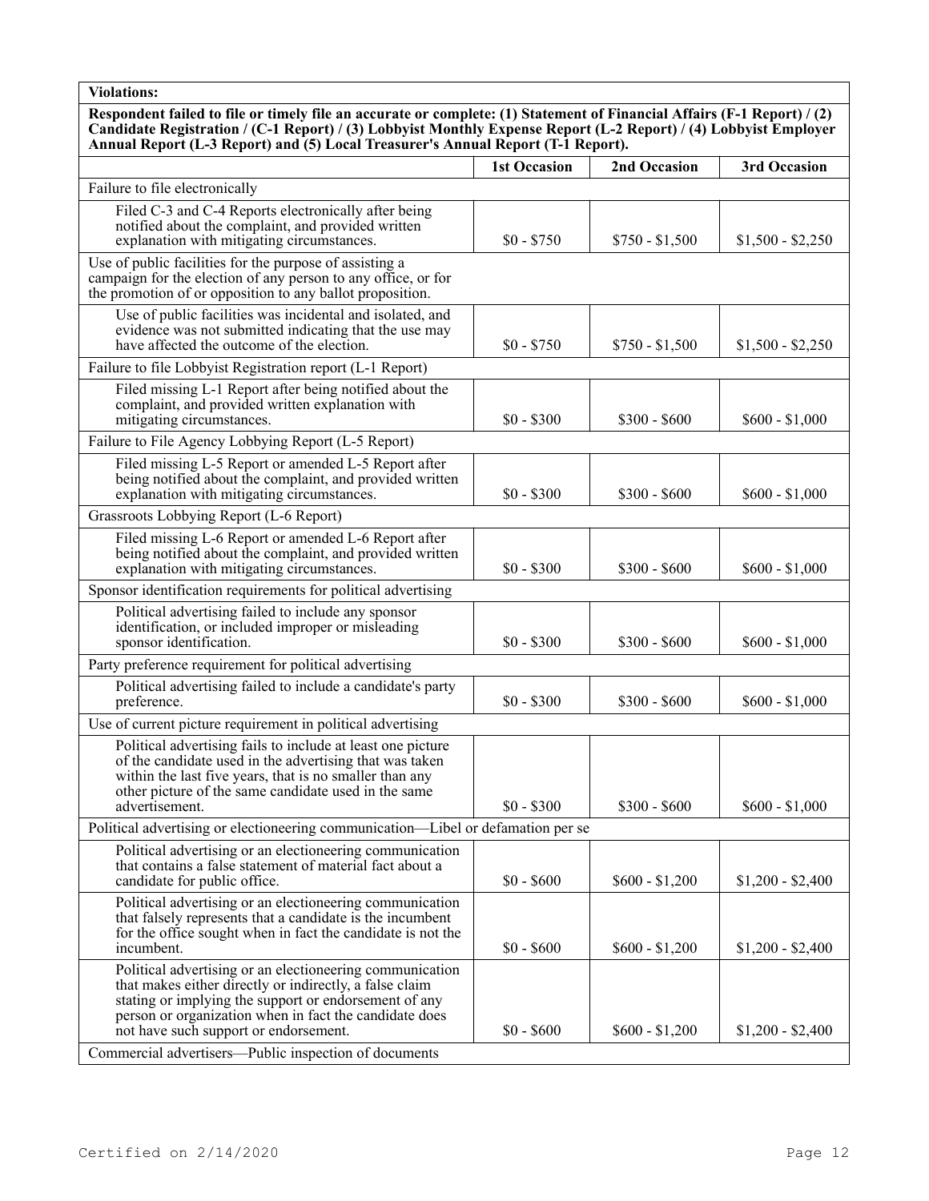**Respondent failed to file or timely file an accurate or complete: (1) Statement of Financial Affairs (F-1 Report) / (2) Candidate Registration / (C-1 Report) / (3) Lobbyist Monthly Expense Report (L-2 Report) / (4) Lobbyist Employer Annual Report (L-3 Report) and (5) Local Treasurer's Annual Report (T-1 Report).**

|                                                                                                                                                                                                                                                                                 | <b>1st Occasion</b> | 2nd Occasion    | 3rd Occasion      |
|---------------------------------------------------------------------------------------------------------------------------------------------------------------------------------------------------------------------------------------------------------------------------------|---------------------|-----------------|-------------------|
| Failure to file electronically                                                                                                                                                                                                                                                  |                     |                 |                   |
| Filed C-3 and C-4 Reports electronically after being<br>notified about the complaint, and provided written<br>explanation with mitigating circumstances.                                                                                                                        | $$0 - $750$         | $$750 - $1,500$ | $$1,500 - $2,250$ |
| Use of public facilities for the purpose of assisting a<br>campaign for the election of any person to any office, or for<br>the promotion of or opposition to any ballot proposition.                                                                                           |                     |                 |                   |
| Use of public facilities was incidental and isolated, and<br>evidence was not submitted indicating that the use may<br>have affected the outcome of the election.                                                                                                               | $$0 - $750$         | $$750 - $1,500$ | $$1,500 - $2,250$ |
| Failure to file Lobbyist Registration report (L-1 Report)                                                                                                                                                                                                                       |                     |                 |                   |
| Filed missing L-1 Report after being notified about the<br>complaint, and provided written explanation with<br>mitigating circumstances.                                                                                                                                        | $$0 - $300$         | $$300 - $600$   | $$600 - $1,000$   |
| Failure to File Agency Lobbying Report (L-5 Report)                                                                                                                                                                                                                             |                     |                 |                   |
| Filed missing L-5 Report or amended L-5 Report after<br>being notified about the complaint, and provided written<br>explanation with mitigating circumstances.                                                                                                                  | $$0 - $300$         | $$300 - $600$   | $$600 - $1,000$   |
| Grassroots Lobbying Report (L-6 Report)                                                                                                                                                                                                                                         |                     |                 |                   |
| Filed missing L-6 Report or amended L-6 Report after<br>being notified about the complaint, and provided written<br>explanation with mitigating circumstances.                                                                                                                  | $$0 - $300$         | $$300 - $600$   | $$600 - $1,000$   |
| Sponsor identification requirements for political advertising                                                                                                                                                                                                                   |                     |                 |                   |
| Political advertising failed to include any sponsor<br>identification, or included improper or misleading<br>sponsor identification.                                                                                                                                            | $$0 - $300$         | $$300 - $600$   | $$600 - $1,000$   |
| Party preference requirement for political advertising                                                                                                                                                                                                                          |                     |                 |                   |
| Political advertising failed to include a candidate's party<br>preference.                                                                                                                                                                                                      | $$0 - $300$         | $$300 - $600$   | $$600 - $1,000$   |
| Use of current picture requirement in political advertising                                                                                                                                                                                                                     |                     |                 |                   |
| Political advertising fails to include at least one picture<br>of the candidate used in the advertising that was taken<br>within the last five years, that is no smaller than any<br>other picture of the same candidate used in the same<br>advertisement.                     | $$0 - $300$         | $$300 - $600$   | $$600 - $1,000$   |
| Political advertising or electioneering communication—Libel or defamation per se                                                                                                                                                                                                |                     |                 |                   |
| Political advertising or an electioneering communication<br>that contains a false statement of material fact about a<br>candidate for public office.                                                                                                                            | $$0 - $600$         | $$600 - $1,200$ | $$1,200 - $2,400$ |
| Political advertising or an electioneering communication<br>that falsely represents that a candidate is the incumbent<br>for the office sought when in fact the candidate is not the<br>incumbent.                                                                              | $$0 - $600$         | $$600 - $1,200$ | $$1,200 - $2,400$ |
| Political advertising or an electioneering communication<br>that makes either directly or indirectly, a false claim<br>stating or implying the support or endorsement of any<br>person or organization when in fact the candidate does<br>not have such support or endorsement. | $$0 - $600$         | $$600 - $1,200$ | $$1,200 - $2,400$ |
| Commercial advertisers—Public inspection of documents                                                                                                                                                                                                                           |                     |                 |                   |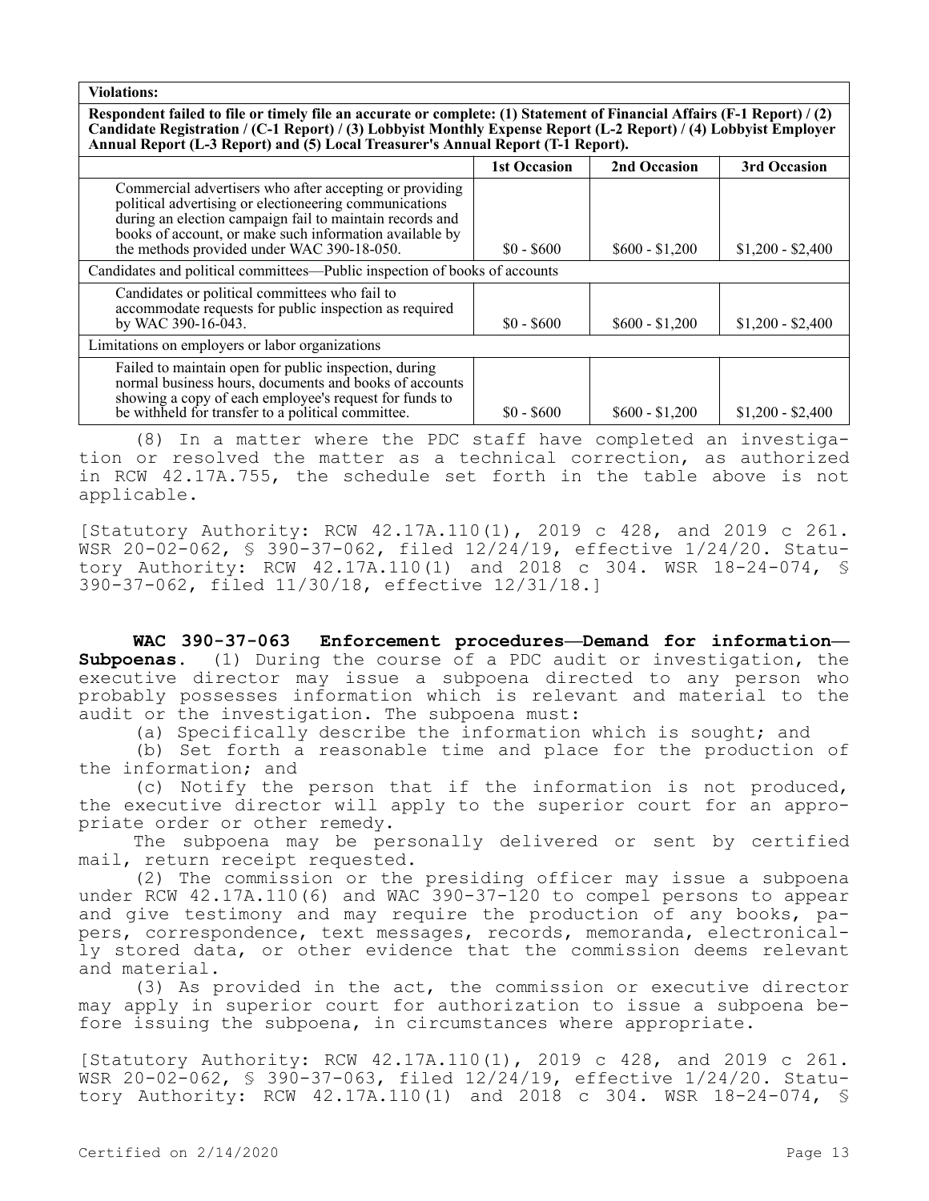**Respondent failed to file or timely file an accurate or complete: (1) Statement of Financial Affairs (F-1 Report) / (2) Candidate Registration / (C-1 Report) / (3) Lobbyist Monthly Expense Report (L-2 Report) / (4) Lobbyist Employer Annual Report (L-3 Report) and (5) Local Treasurer's Annual Report (T-1 Report).**

|                                                                                                                                                                                                                                                                                        | <b>1st Occasion</b> | 2nd Occasion    | 3rd Occasion      |  |
|----------------------------------------------------------------------------------------------------------------------------------------------------------------------------------------------------------------------------------------------------------------------------------------|---------------------|-----------------|-------------------|--|
| Commercial advertisers who after accepting or providing<br>political advertising or electioneering communications<br>during an election campaign fail to maintain records and<br>books of account, or make such information available by<br>the methods provided under WAC 390-18-050. | $$0 - $600$         | $$600 - $1,200$ | $$1,200 - $2,400$ |  |
| Candidates and political committees—Public inspection of books of accounts                                                                                                                                                                                                             |                     |                 |                   |  |
| Candidates or political committees who fail to<br>accommodate requests for public inspection as required<br>by WAC 390-16-043.                                                                                                                                                         | $$0 - $600$         | $$600 - $1,200$ | $$1,200 - $2,400$ |  |
| Limitations on employers or labor organizations                                                                                                                                                                                                                                        |                     |                 |                   |  |
| Failed to maintain open for public inspection, during<br>normal business hours, documents and books of accounts<br>showing a copy of each employee's request for funds to<br>be withheld for transfer to a political committee.                                                        | $$0 - $600$         | $$600 - $1,200$ | $$1,200 - $2,400$ |  |

(8) In a matter where the PDC staff have completed an investigation or resolved the matter as a technical correction, as authorized in RCW 42.17A.755, the schedule set forth in the table above is not applicable.

[Statutory Authority: RCW 42.17A.110(1), 2019 c 428, and 2019 c 261. WSR 20-02-062, § 390-37-062, filed 12/24/19, effective 1/24/20. Statutory Authority: RCW 42.17A.110(1) and 2018 c 304. WSR 18-24-074, § 390-37-062, filed 11/30/18, effective 12/31/18.]

**WAC 390-37-063 Enforcement procedures—Demand for information— Subpoenas.** (1) During the course of a PDC audit or investigation, the executive director may issue a subpoena directed to any person who probably possesses information which is relevant and material to the audit or the investigation. The subpoena must:

(a) Specifically describe the information which is sought; and

(b) Set forth a reasonable time and place for the production of the information; and

(c) Notify the person that if the information is not produced, the executive director will apply to the superior court for an appropriate order or other remedy.

The subpoena may be personally delivered or sent by certified mail, return receipt requested.

(2) The commission or the presiding officer may issue a subpoena under RCW 42.17A.110(6) and WAC 390-37-120 to compel persons to appear and give testimony and may require the production of any books, papers, correspondence, text messages, records, memoranda, electronically stored data, or other evidence that the commission deems relevant and material.

(3) As provided in the act, the commission or executive director may apply in superior court for authorization to issue a subpoena before issuing the subpoena, in circumstances where appropriate.

[Statutory Authority: RCW 42.17A.110(1), 2019 c 428, and 2019 c 261. WSR 20-02-062, § 390-37-063, filed 12/24/19, effective 1/24/20. Statutory Authority: RCW 42.17A.110(1) and 2018 c 304. WSR 18-24-074, §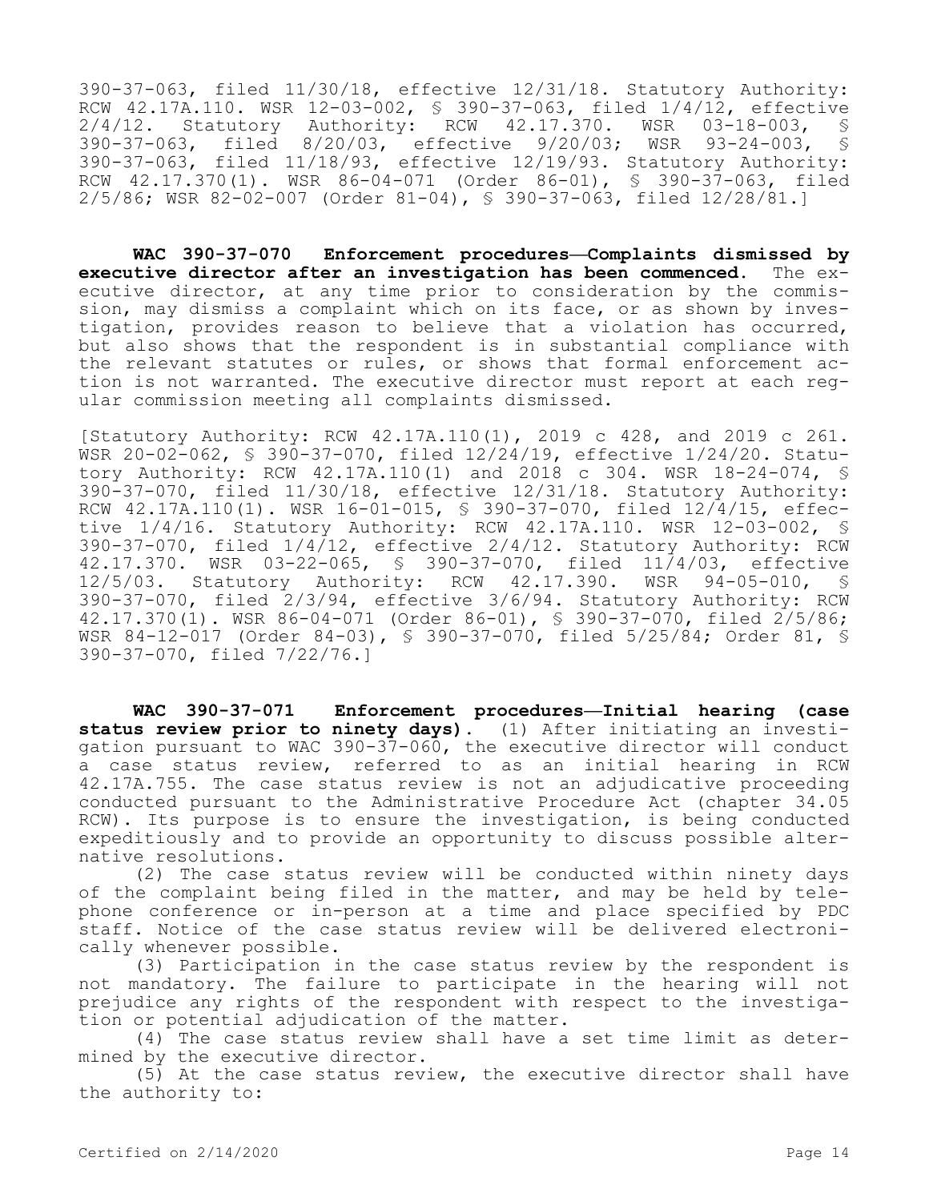390-37-063, filed 11/30/18, effective 12/31/18. Statutory Authority: RCW 42.17A.110. WSR 12-03-002, \$ 390-37-063, filed 1/4/12, effective<br>2/4/12. Statutory Authority: RCW 42.17.370. WSR 03-18-003, \$ 2/4/12. Statutory Authority: RCW 42.17.370. WSR 03-18-003, §<br>390-37-063, filed 8/20/03, effective 9/20/03; WSR 93-24-003, §  $\text{filed} \quad 8/20/03, \quad \text{effective} \quad 9/20/03; \quad \text{WSR} \quad 93-24-003,$ 390-37-063, filed 11/18/93, effective 12/19/93. Statutory Authority: RCW 42.17.370(1). WSR 86-04-071 (Order 86-01), § 390-37-063, filed 2/5/86; WSR 82-02-007 (Order 81-04), § 390-37-063, filed 12/28/81.]

**WAC 390-37-070 Enforcement procedures—Complaints dismissed by executive director after an investigation has been commenced.** The executive director, at any time prior to consideration by the commission, may dismiss a complaint which on its face, or as shown by investigation, provides reason to believe that a violation has occurred, but also shows that the respondent is in substantial compliance with the relevant statutes or rules, or shows that formal enforcement action is not warranted. The executive director must report at each regular commission meeting all complaints dismissed.

[Statutory Authority: RCW 42.17A.110(1), 2019 c 428, and 2019 c 261. WSR 20-02-062, § 390-37-070, filed 12/24/19, effective 1/24/20. Statutory Authority: RCW 42.17A.110(1) and 2018 c 304. WSR 18-24-074, § 390-37-070, filed 11/30/18, effective 12/31/18. Statutory Authority: RCW 42.17A.110(1). WSR 16-01-015, § 390-37-070, filed 12/4/15, effective 1/4/16. Statutory Authority: RCW 42.17A.110. WSR 12-03-002, § 390-37-070, filed 1/4/12, effective 2/4/12. Statutory Authority: RCW 42.17.370. WSR 03-22-065, § 390-37-070, filed 11/4/03, effective 12/5/03. Statutory Authority: RCW 42.17.390. WSR 94-05-010, § 390-37-070, filed 2/3/94, effective 3/6/94. Statutory Authority: RCW 42.17.370(1). WSR 86-04-071 (Order 86-01), § 390-37-070, filed 2/5/86; WSR 84-12-017 (Order 84-03), § 390-37-070, filed 5/25/84; Order 81, § 390-37-070, filed 7/22/76.]

**WAC 390-37-071 Enforcement procedures—Initial hearing (case status review prior to ninety days).** (1) After initiating an investigation pursuant to WAC 390-37-060, the executive director will conduct a case status review, referred to as an initial hearing in RCW 42.17A.755. The case status review is not an adjudicative proceeding conducted pursuant to the Administrative Procedure Act (chapter 34.05 RCW). Its purpose is to ensure the investigation, is being conducted expeditiously and to provide an opportunity to discuss possible alternative resolutions.

(2) The case status review will be conducted within ninety days of the complaint being filed in the matter, and may be held by telephone conference or in-person at a time and place specified by PDC staff. Notice of the case status review will be delivered electronically whenever possible.

(3) Participation in the case status review by the respondent is not mandatory. The failure to participate in the hearing will not prejudice any rights of the respondent with respect to the investigation or potential adjudication of the matter.

(4) The case status review shall have a set time limit as determined by the executive director.

(5) At the case status review, the executive director shall have the authority to: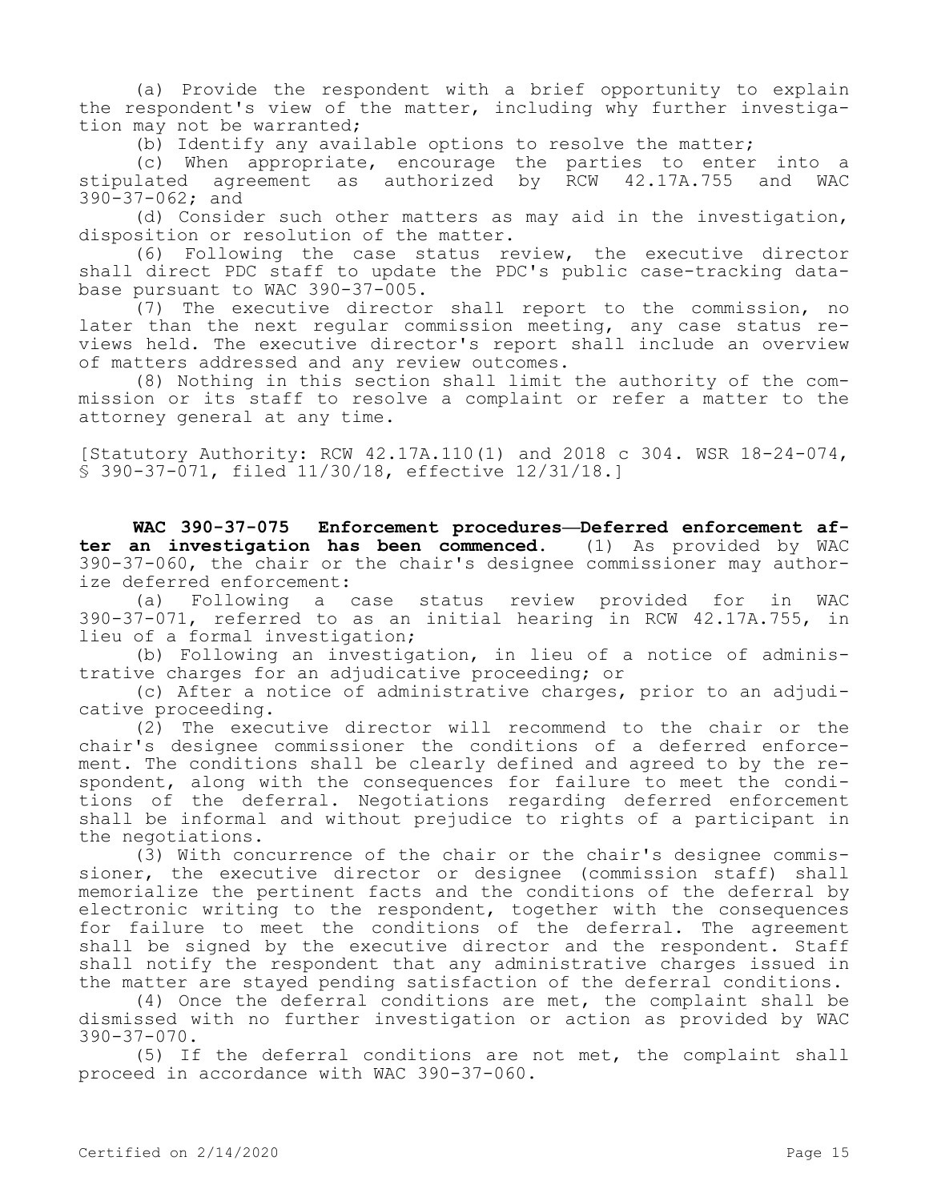(a) Provide the respondent with a brief opportunity to explain the respondent's view of the matter, including why further investigation may not be warranted;

(b) Identify any available options to resolve the matter;

(c) When appropriate, encourage the parties to enter into a stipulated agreement as authorized by RCW 42.17A.755 and WAC 390-37-062; and

(d) Consider such other matters as may aid in the investigation, disposition or resolution of the matter.

(6) Following the case status review, the executive director shall direct PDC staff to update the PDC's public case-tracking database pursuant to WAC 390-37-005.

(7) The executive director shall report to the commission, no later than the next regular commission meeting, any case status reviews held. The executive director's report shall include an overview of matters addressed and any review outcomes.

(8) Nothing in this section shall limit the authority of the commission or its staff to resolve a complaint or refer a matter to the attorney general at any time.

[Statutory Authority: RCW 42.17A.110(1) and 2018 c 304. WSR 18-24-074, § 390-37-071, filed 11/30/18, effective 12/31/18.]

**WAC 390-37-075 Enforcement procedures—Deferred enforcement after an investigation has been commenced.** (1) As provided by WAC 390-37-060, the chair or the chair's designee commissioner may authorize deferred enforcement:

(a) Following a case status review provided for in WAC 390-37-071, referred to as an initial hearing in RCW 42.17A.755, in lieu of a formal investigation;

(b) Following an investigation, in lieu of a notice of administrative charges for an adjudicative proceeding; or

(c) After a notice of administrative charges, prior to an adjudicative proceeding.

(2) The executive director will recommend to the chair or the chair's designee commissioner the conditions of a deferred enforcement. The conditions shall be clearly defined and agreed to by the respondent, along with the consequences for failure to meet the conditions of the deferral. Negotiations regarding deferred enforcement shall be informal and without prejudice to rights of a participant in the negotiations.

(3) With concurrence of the chair or the chair's designee commissioner, the executive director or designee (commission staff) shall memorialize the pertinent facts and the conditions of the deferral by electronic writing to the respondent, together with the consequences for failure to meet the conditions of the deferral. The agreement shall be signed by the executive director and the respondent. Staff shall notify the respondent that any administrative charges issued in the matter are stayed pending satisfaction of the deferral conditions.

(4) Once the deferral conditions are met, the complaint shall be dismissed with no further investigation or action as provided by WAC 390-37-070.

(5) If the deferral conditions are not met, the complaint shall proceed in accordance with WAC 390-37-060.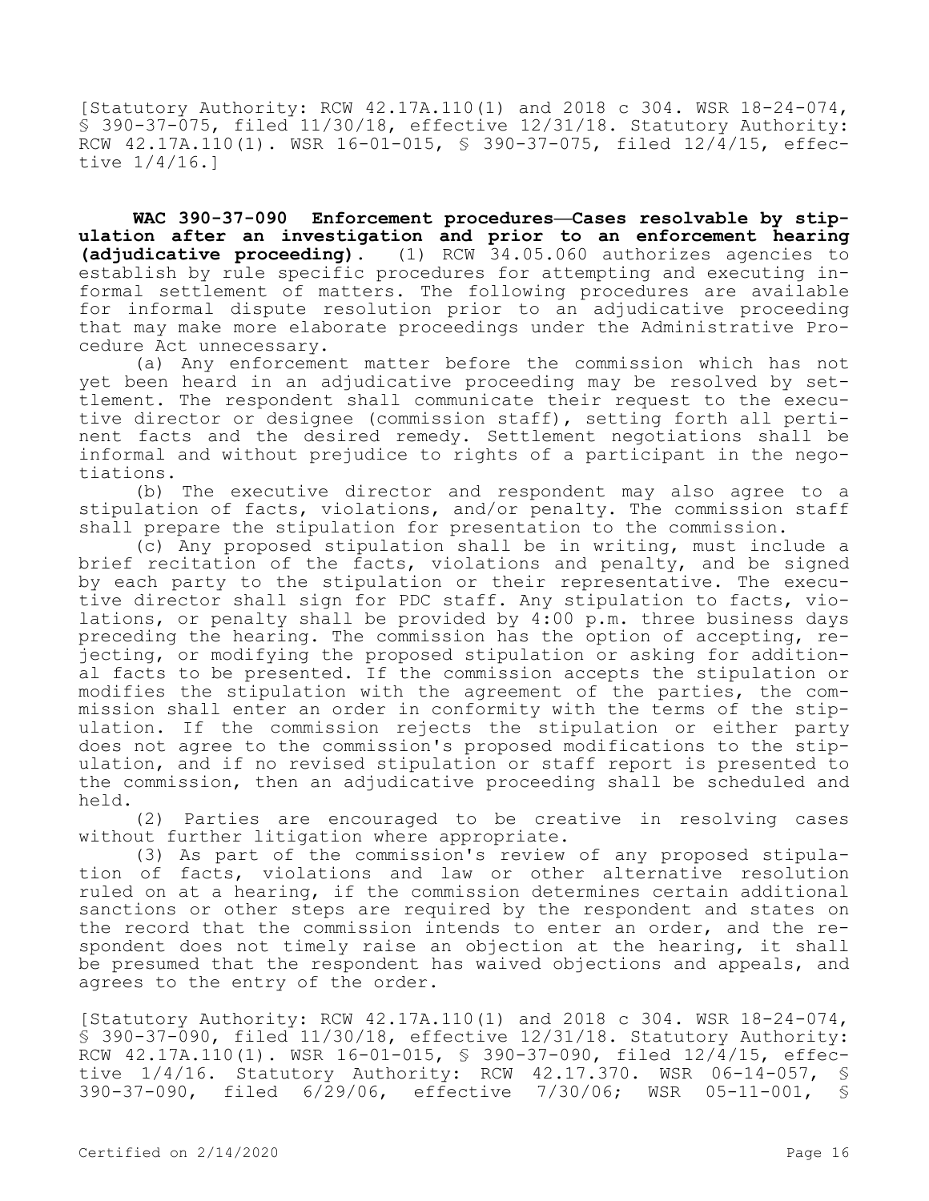[Statutory Authority: RCW 42.17A.110(1) and 2018 c 304. WSR 18-24-074, § 390-37-075, filed 11/30/18, effective 12/31/18. Statutory Authority: RCW  $42.17A.110(1)$ . WSR  $16-01-015$ , \$ 390-37-075, filed  $12/\frac{4}{15}$ , effective 1/4/16.]

WAC 390-37-090 Enforcement procedures-Cases resolvable by stip**ulation after an investigation and prior to an enforcement hearing (adjudicative proceeding).** (1) RCW 34.05.060 authorizes agencies to establish by rule specific procedures for attempting and executing informal settlement of matters. The following procedures are available for informal dispute resolution prior to an adjudicative proceeding that may make more elaborate proceedings under the Administrative Procedure Act unnecessary.

(a) Any enforcement matter before the commission which has not yet been heard in an adjudicative proceeding may be resolved by settlement. The respondent shall communicate their request to the executive director or designee (commission staff), setting forth all pertinent facts and the desired remedy. Settlement negotiations shall be informal and without prejudice to rights of a participant in the negotiations.

(b) The executive director and respondent may also agree to a stipulation of facts, violations, and/or penalty. The commission staff shall prepare the stipulation for presentation to the commission.

(c) Any proposed stipulation shall be in writing, must include a brief recitation of the facts, violations and penalty, and be signed by each party to the stipulation or their representative. The executive director shall sign for PDC staff. Any stipulation to facts, violations, or penalty shall be provided by 4:00 p.m. three business days preceding the hearing. The commission has the option of accepting, rejecting, or modifying the proposed stipulation or asking for additional facts to be presented. If the commission accepts the stipulation or modifies the stipulation with the agreement of the parties, the commission shall enter an order in conformity with the terms of the stipulation. If the commission rejects the stipulation or either party does not agree to the commission's proposed modifications to the stipulation, and if no revised stipulation or staff report is presented to the commission, then an adjudicative proceeding shall be scheduled and held.

(2) Parties are encouraged to be creative in resolving cases without further litigation where appropriate.

(3) As part of the commission's review of any proposed stipulation of facts, violations and law or other alternative resolution ruled on at a hearing, if the commission determines certain additional sanctions or other steps are required by the respondent and states on the record that the commission intends to enter an order, and the respondent does not timely raise an objection at the hearing, it shall be presumed that the respondent has waived objections and appeals, and agrees to the entry of the order.

[Statutory Authority: RCW 42.17A.110(1) and 2018 c 304. WSR 18-24-074, § 390-37-090, filed 11/30/18, effective 12/31/18. Statutory Authority: RCW 42.17A.110(1). WSR 16-01-015, § 390-37-090, filed 12/4/15, effective 1/4/16. Statutory Authority: RCW 42.17.370. WSR 06-14-057, § 390-37-090, filed 6/29/06, effective 7/30/06; WSR 05-11-001, §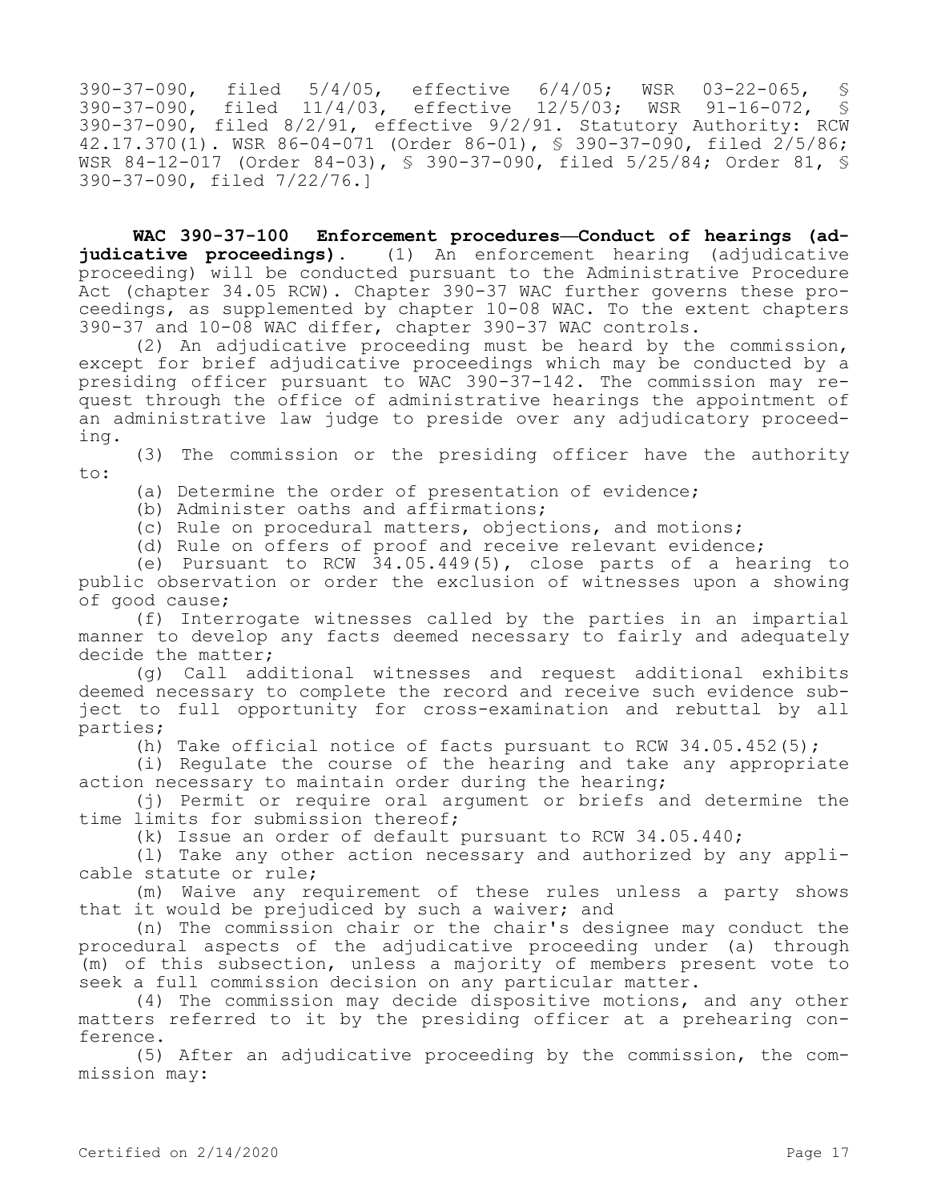390-37-090, filed 5/4/05, effective 6/4/05; WSR 03-22-065, § 390-37-090, filed 11/4/03, effective 12/5/03; WSR 91-16-072, § 390-37-090, filed 8/2/91, effective 9/2/91. Statutory Authority: RCW 42.17.370(1). WSR 86-04-071 (Order 86-01), § 390-37-090, filed 2/5/86; WSR 84-12-017 (Order 84-03), § 390-37-090, filed 5/25/84; Order 81, § 390-37-090, filed 7/22/76.]

**WAC 390-37-100 Enforcement procedures—Conduct of hearings (adjudicative proceedings).** (1) An enforcement hearing (adjudicative proceeding) will be conducted pursuant to the Administrative Procedure Act (chapter 34.05 RCW). Chapter 390-37 WAC further governs these proceedings, as supplemented by chapter 10-08 WAC. To the extent chapters 390-37 and 10-08 WAC differ, chapter 390-37 WAC controls.

(2) An adjudicative proceeding must be heard by the commission, except for brief adjudicative proceedings which may be conducted by a presiding officer pursuant to WAC 390-37-142. The commission may request through the office of administrative hearings the appointment of an administrative law judge to preside over any adjudicatory proceeding.

(3) The commission or the presiding officer have the authority to:

(a) Determine the order of presentation of evidence;

(b) Administer oaths and affirmations;

(c) Rule on procedural matters, objections, and motions;

(d) Rule on offers of proof and receive relevant evidence;

(e) Pursuant to RCW 34.05.449(5), close parts of a hearing to public observation or order the exclusion of witnesses upon a showing of good cause;

(f) Interrogate witnesses called by the parties in an impartial manner to develop any facts deemed necessary to fairly and adequately decide the matter;

(g) Call additional witnesses and request additional exhibits deemed necessary to complete the record and receive such evidence subject to full opportunity for cross-examination and rebuttal by all parties;

(h) Take official notice of facts pursuant to RCW  $34.05.452(5)$ ;

(i) Regulate the course of the hearing and take any appropriate action necessary to maintain order during the hearing;

(j) Permit or require oral argument or briefs and determine the time limits for submission thereof;

(k) Issue an order of default pursuant to RCW 34.05.440;

(l) Take any other action necessary and authorized by any applicable statute or rule;

(m) Waive any requirement of these rules unless a party shows that it would be prejudiced by such a waiver; and

(n) The commission chair or the chair's designee may conduct the procedural aspects of the adjudicative proceeding under (a) through (m) of this subsection, unless a majority of members present vote to seek a full commission decision on any particular matter.

(4) The commission may decide dispositive motions, and any other matters referred to it by the presiding officer at a prehearing conference.

(5) After an adjudicative proceeding by the commission, the commission may: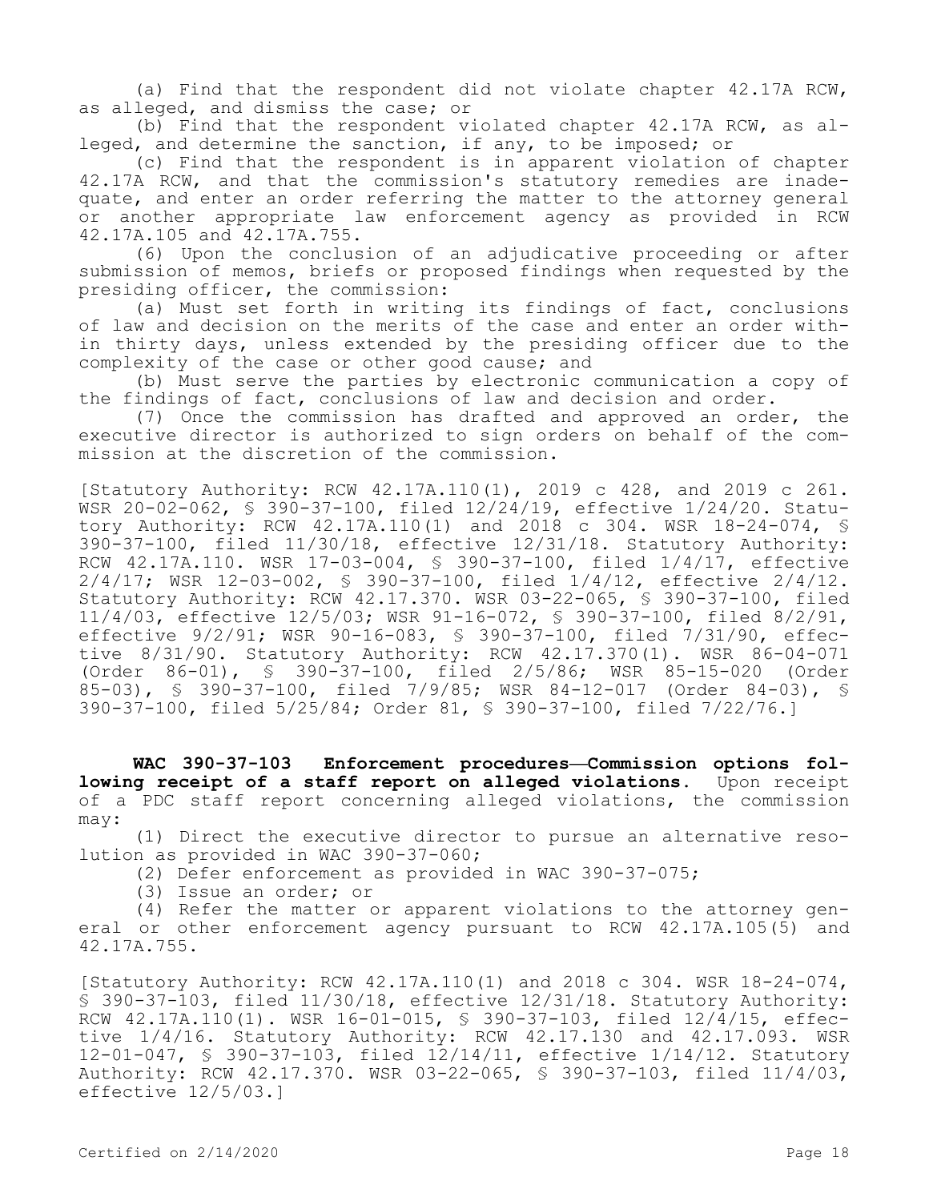(a) Find that the respondent did not violate chapter 42.17A RCW, as alleged, and dismiss the case; or

(b) Find that the respondent violated chapter 42.17A RCW, as alleged, and determine the sanction, if any, to be imposed; or

(c) Find that the respondent is in apparent violation of chapter 42.17A RCW, and that the commission's statutory remedies are inadequate, and enter an order referring the matter to the attorney general or another appropriate law enforcement agency as provided in RCW 42.17A.105 and 42.17A.755.

(6) Upon the conclusion of an adjudicative proceeding or after submission of memos, briefs or proposed findings when requested by the presiding officer, the commission:

(a) Must set forth in writing its findings of fact, conclusions of law and decision on the merits of the case and enter an order within thirty days, unless extended by the presiding officer due to the complexity of the case or other good cause; and

(b) Must serve the parties by electronic communication a copy of the findings of fact, conclusions of law and decision and order.

(7) Once the commission has drafted and approved an order, the executive director is authorized to sign orders on behalf of the commission at the discretion of the commission.

[Statutory Authority: RCW 42.17A.110(1), 2019 c 428, and 2019 c 261. WSR 20-02-062, § 390-37-100, filed 12/24/19, effective 1/24/20. Statutory Authority: RCW 42.17A.110(1) and 2018 c 304. WSR 18-24-074, § 390-37-100, filed 11/30/18, effective 12/31/18. Statutory Authority: RCW 42.17A.110. WSR 17-03-004, § 390-37-100, filed 1/4/17, effective 2/4/17; WSR 12-03-002, § 390-37-100, filed 1/4/12, effective 2/4/12. Statutory Authority: RCW 42.17.370. WSR 03-22-065, § 390-37-100, filed 11/4/03, effective 12/5/03; WSR 91-16-072, § 390-37-100, filed 8/2/91, effective 9/2/91; WSR 90-16-083, § 390-37-100, filed 7/31/90, effective 8/31/90. Statutory Authority: RCW 42.17.370(1). WSR 86-04-071 (Order 86-01), § 390-37-100, filed 2/5/86; WSR 85-15-020 (Order 85-03), § 390-37-100, filed 7/9/85; WSR 84-12-017 (Order 84-03), § 390-37-100, filed 5/25/84; Order 81, § 390-37-100, filed 7/22/76.]

**WAC 390-37-103 Enforcement procedures—Commission options following receipt of a staff report on alleged violations.** Upon receipt of a PDC staff report concerning alleged violations, the commission may:

(1) Direct the executive director to pursue an alternative resolution as provided in WAC 390-37-060;

(2) Defer enforcement as provided in WAC 390-37-075;

(3) Issue an order; or

(4) Refer the matter or apparent violations to the attorney general or other enforcement agency pursuant to RCW 42.17A.105(5) and 42.17A.755.

[Statutory Authority: RCW 42.17A.110(1) and 2018 c 304. WSR 18-24-074, § 390-37-103, filed 11/30/18, effective 12/31/18. Statutory Authority: RCW 42.17A.110(1). WSR 16-01-015, § 390-37-103, filed 12/4/15, effective 1/4/16. Statutory Authority: RCW 42.17.130 and 42.17.093. WSR 12-01-047, § 390-37-103, filed 12/14/11, effective 1/14/12. Statutory Authority: RCW 42.17.370. WSR 03-22-065, § 390-37-103, filed 11/4/03, effective 12/5/03.]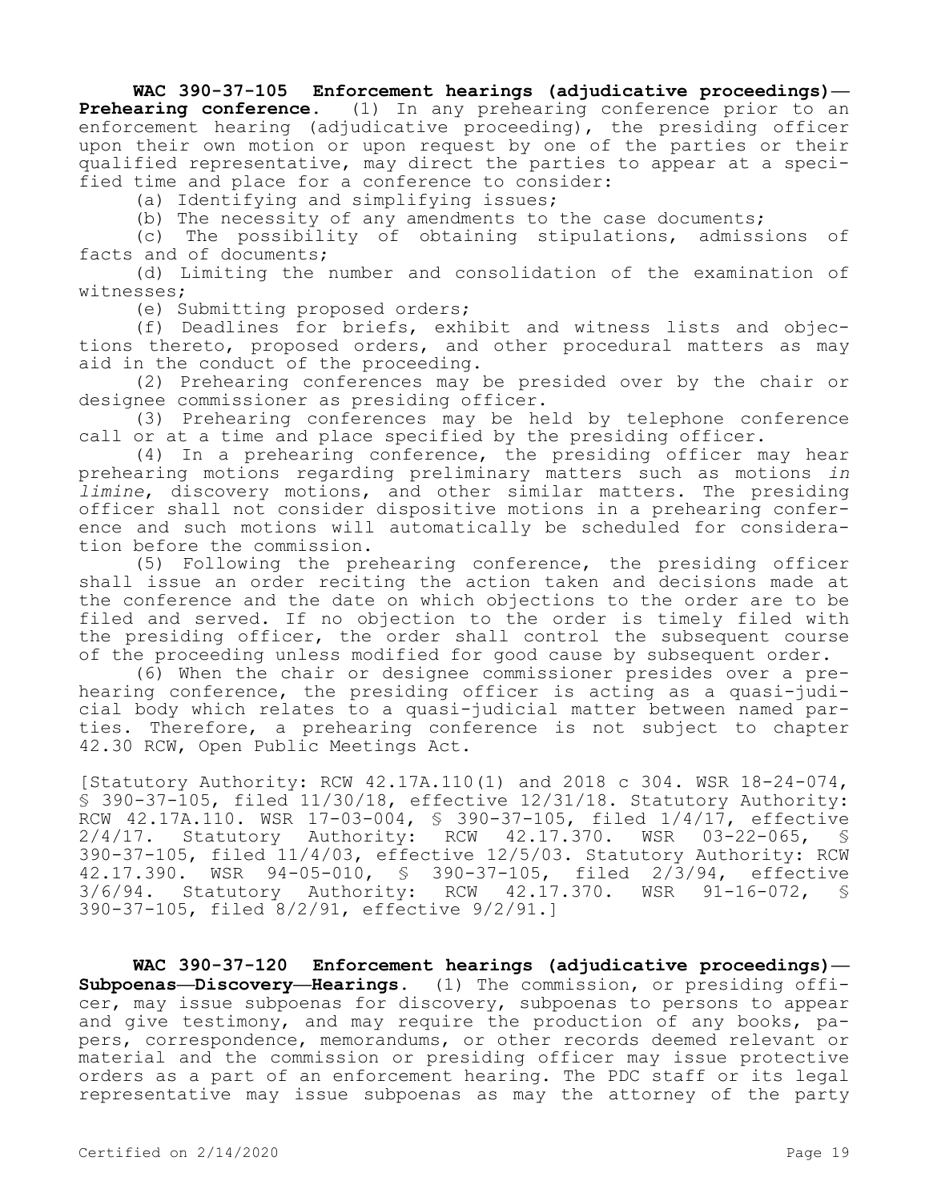## **WAC 390-37-105 Enforcement hearings (adjudicative proceedings)—**

**Prehearing conference.** (1) In any prehearing conference prior to an enforcement hearing (adjudicative proceeding), the presiding officer upon their own motion or upon request by one of the parties or their qualified representative, may direct the parties to appear at a specified time and place for a conference to consider:

(a) Identifying and simplifying issues;

(b) The necessity of any amendments to the case documents;

(c) The possibility of obtaining stipulations, admissions of facts and of documents;

(d) Limiting the number and consolidation of the examination of witnesses;

(e) Submitting proposed orders;

(f) Deadlines for briefs, exhibit and witness lists and objections thereto, proposed orders, and other procedural matters as may aid in the conduct of the proceeding.

(2) Prehearing conferences may be presided over by the chair or designee commissioner as presiding officer.

(3) Prehearing conferences may be held by telephone conference call or at a time and place specified by the presiding officer.

(4) In a prehearing conference, the presiding officer may hear prehearing motions regarding preliminary matters such as motions *in limine*, discovery motions, and other similar matters. The presiding officer shall not consider dispositive motions in a prehearing conference and such motions will automatically be scheduled for consideration before the commission.

(5) Following the prehearing conference, the presiding officer shall issue an order reciting the action taken and decisions made at the conference and the date on which objections to the order are to be filed and served. If no objection to the order is timely filed with the presiding officer, the order shall control the subsequent course of the proceeding unless modified for good cause by subsequent order.

(6) When the chair or designee commissioner presides over a prehearing conference, the presiding officer is acting as a quasi-judicial body which relates to a quasi-judicial matter between named parties. Therefore, a prehearing conference is not subject to chapter 42.30 RCW, Open Public Meetings Act.

[Statutory Authority: RCW 42.17A.110(1) and 2018 c 304. WSR 18-24-074, § 390-37-105, filed 11/30/18, effective 12/31/18. Statutory Authority: RCW 42.17A.110. WSR 17-03-004, § 390-37-105, filed 1/4/17, effective 2/4/17. Statutory Authority: RCW 42.17.370. WSR 03-22-065, § 390-37-105, filed 11/4/03, effective 12/5/03. Statutory Authority: RCW 42.17.390. WSR 94-05-010, § 390-37-105, filed 2/3/94, effective 3/6/94. Statutory Authority: RCW 42.17.370. WSR 91-16-072, § 390-37-105, filed 8/2/91, effective 9/2/91.]

**WAC 390-37-120 Enforcement hearings (adjudicative proceedings)— Subpoenas—Discovery—Hearings.** (1) The commission, or presiding officer, may issue subpoenas for discovery, subpoenas to persons to appear and give testimony, and may require the production of any books, papers, correspondence, memorandums, or other records deemed relevant or material and the commission or presiding officer may issue protective orders as a part of an enforcement hearing. The PDC staff or its legal representative may issue subpoenas as may the attorney of the party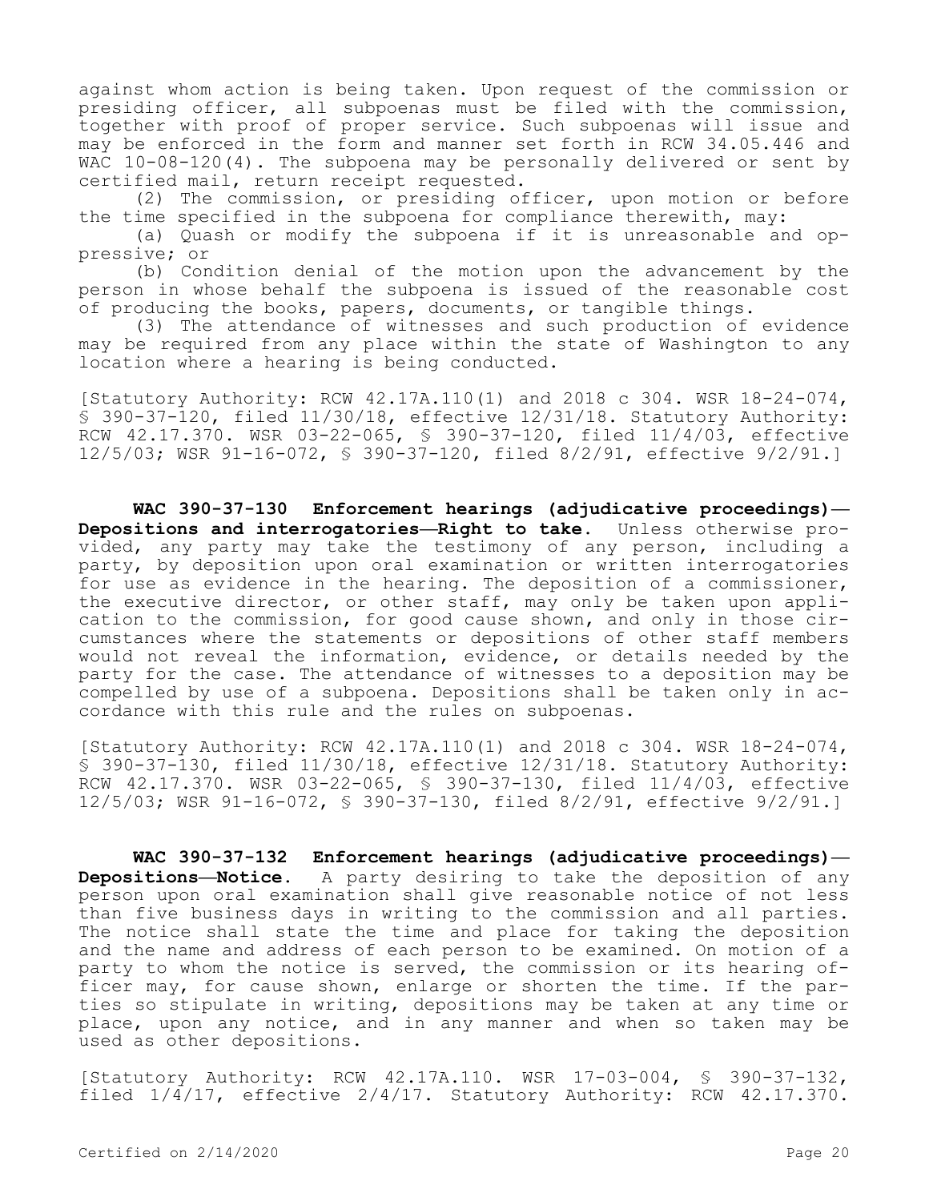against whom action is being taken. Upon request of the commission or presiding officer, all subpoenas must be filed with the commission, together with proof of proper service. Such subpoenas will issue and may be enforced in the form and manner set forth in RCW 34.05.446 and WAC 10-08-120(4). The subpoena may be personally delivered or sent by certified mail, return receipt requested.

(2) The commission, or presiding officer, upon motion or before the time specified in the subpoena for compliance therewith, may:

(a) Quash or modify the subpoena if it is unreasonable and oppressive; or

(b) Condition denial of the motion upon the advancement by the person in whose behalf the subpoena is issued of the reasonable cost of producing the books, papers, documents, or tangible things.

(3) The attendance of witnesses and such production of evidence may be required from any place within the state of Washington to any location where a hearing is being conducted.

[Statutory Authority: RCW 42.17A.110(1) and 2018 c 304. WSR 18-24-074, § 390-37-120, filed 11/30/18, effective 12/31/18. Statutory Authority: RCW 42.17.370. WSR 03-22-065, § 390-37-120, filed 11/4/03, effective 12/5/03; WSR 91-16-072, § 390-37-120, filed 8/2/91, effective 9/2/91.]

**WAC 390-37-130 Enforcement hearings (adjudicative proceedings)— Depositions and interrogatories—Right to take.** Unless otherwise provided, any party may take the testimony of any person, including a party, by deposition upon oral examination or written interrogatories for use as evidence in the hearing. The deposition of a commissioner, the executive director, or other staff, may only be taken upon application to the commission, for good cause shown, and only in those circumstances where the statements or depositions of other staff members would not reveal the information, evidence, or details needed by the party for the case. The attendance of witnesses to a deposition may be compelled by use of a subpoena. Depositions shall be taken only in accordance with this rule and the rules on subpoenas.

[Statutory Authority: RCW 42.17A.110(1) and 2018 c 304. WSR 18-24-074, § 390-37-130, filed 11/30/18, effective 12/31/18. Statutory Authority: RCW 42.17.370. WSR 03-22-065, § 390-37-130, filed 11/4/03, effective 12/5/03; WSR 91-16-072, § 390-37-130, filed 8/2/91, effective 9/2/91.]

**WAC 390-37-132 Enforcement hearings (adjudicative proceedings)— Depositions—Notice.** A party desiring to take the deposition of any person upon oral examination shall give reasonable notice of not less than five business days in writing to the commission and all parties. The notice shall state the time and place for taking the deposition and the name and address of each person to be examined. On motion of a party to whom the notice is served, the commission or its hearing officer may, for cause shown, enlarge or shorten the time. If the parties so stipulate in writing, depositions may be taken at any time or place, upon any notice, and in any manner and when so taken may be used as other depositions.

[Statutory Authority: RCW 42.17A.110. WSR 17-03-004, § 390-37-132, filed 1/4/17, effective 2/4/17. Statutory Authority: RCW 42.17.370.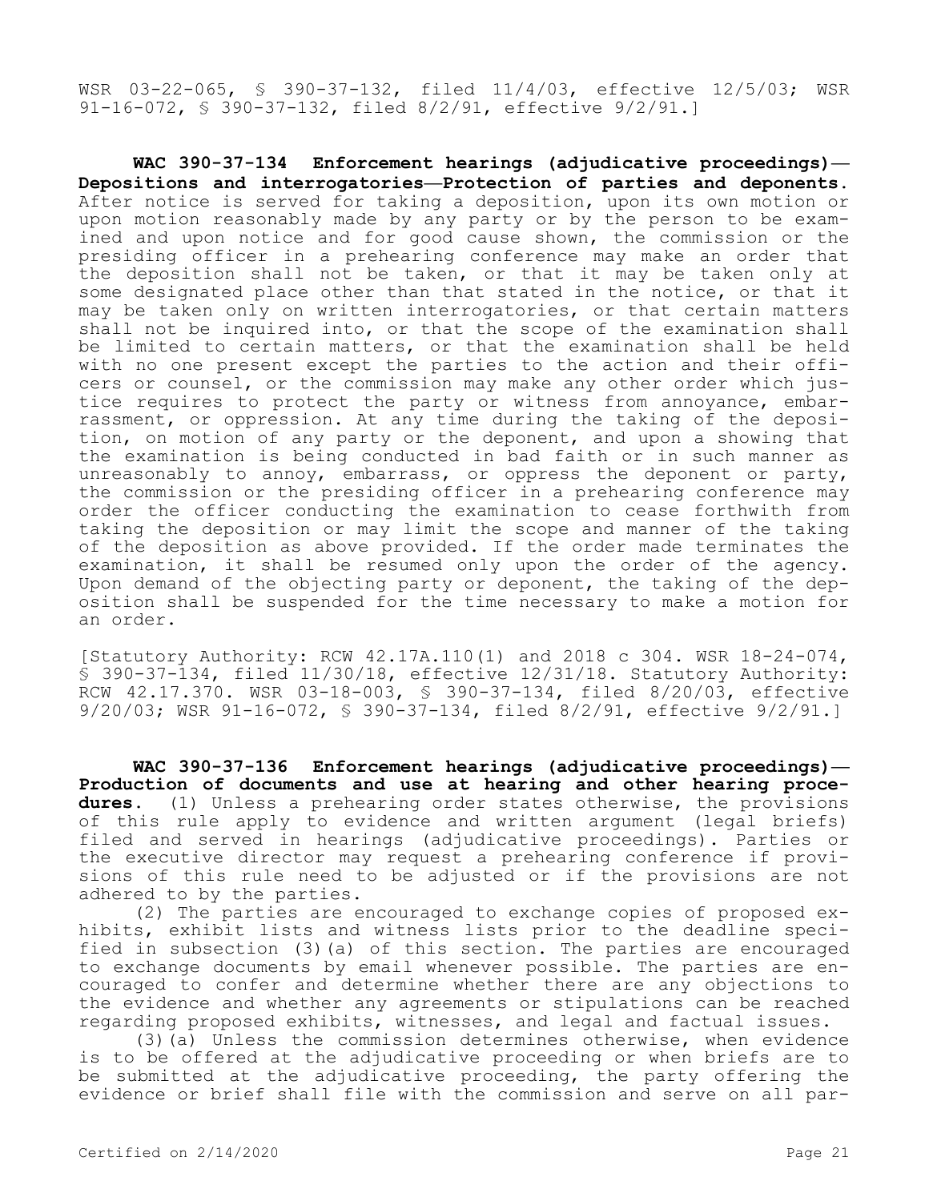WSR 03-22-065, § 390-37-132, filed 11/4/03, effective 12/5/03; WSR 91-16-072, § 390-37-132, filed 8/2/91, effective 9/2/91.]

**WAC 390-37-134 Enforcement hearings (adjudicative proceedings)— Depositions and interrogatories—Protection of parties and deponents.**  After notice is served for taking a deposition, upon its own motion or upon motion reasonably made by any party or by the person to be examined and upon notice and for good cause shown, the commission or the presiding officer in a prehearing conference may make an order that the deposition shall not be taken, or that it may be taken only at some designated place other than that stated in the notice, or that it may be taken only on written interrogatories, or that certain matters shall not be inquired into, or that the scope of the examination shall be limited to certain matters, or that the examination shall be held with no one present except the parties to the action and their officers or counsel, or the commission may make any other order which justice requires to protect the party or witness from annoyance, embarrassment, or oppression. At any time during the taking of the deposition, on motion of any party or the deponent, and upon a showing that the examination is being conducted in bad faith or in such manner as unreasonably to annoy, embarrass, or oppress the deponent or party, the commission or the presiding officer in a prehearing conference may order the officer conducting the examination to cease forthwith from taking the deposition or may limit the scope and manner of the taking of the deposition as above provided. If the order made terminates the examination, it shall be resumed only upon the order of the agency. Upon demand of the objecting party or deponent, the taking of the deposition shall be suspended for the time necessary to make a motion for an order.

[Statutory Authority: RCW 42.17A.110(1) and 2018 c 304. WSR 18-24-074, § 390-37-134, filed 11/30/18, effective 12/31/18. Statutory Authority: RCW 42.17.370. WSR 03-18-003, § 390-37-134, filed 8/20/03, effective 9/20/03; WSR 91-16-072, § 390-37-134, filed 8/2/91, effective 9/2/91.]

**WAC 390-37-136 Enforcement hearings (adjudicative proceedings)— Production of documents and use at hearing and other hearing procedures.** (1) Unless a prehearing order states otherwise, the provisions of this rule apply to evidence and written argument (legal briefs) filed and served in hearings (adjudicative proceedings). Parties or the executive director may request a prehearing conference if provisions of this rule need to be adjusted or if the provisions are not adhered to by the parties.

(2) The parties are encouraged to exchange copies of proposed exhibits, exhibit lists and witness lists prior to the deadline specified in subsection (3)(a) of this section. The parties are encouraged to exchange documents by email whenever possible. The parties are encouraged to confer and determine whether there are any objections to the evidence and whether any agreements or stipulations can be reached regarding proposed exhibits, witnesses, and legal and factual issues.

(3)(a) Unless the commission determines otherwise, when evidence is to be offered at the adjudicative proceeding or when briefs are to be submitted at the adjudicative proceeding, the party offering the evidence or brief shall file with the commission and serve on all par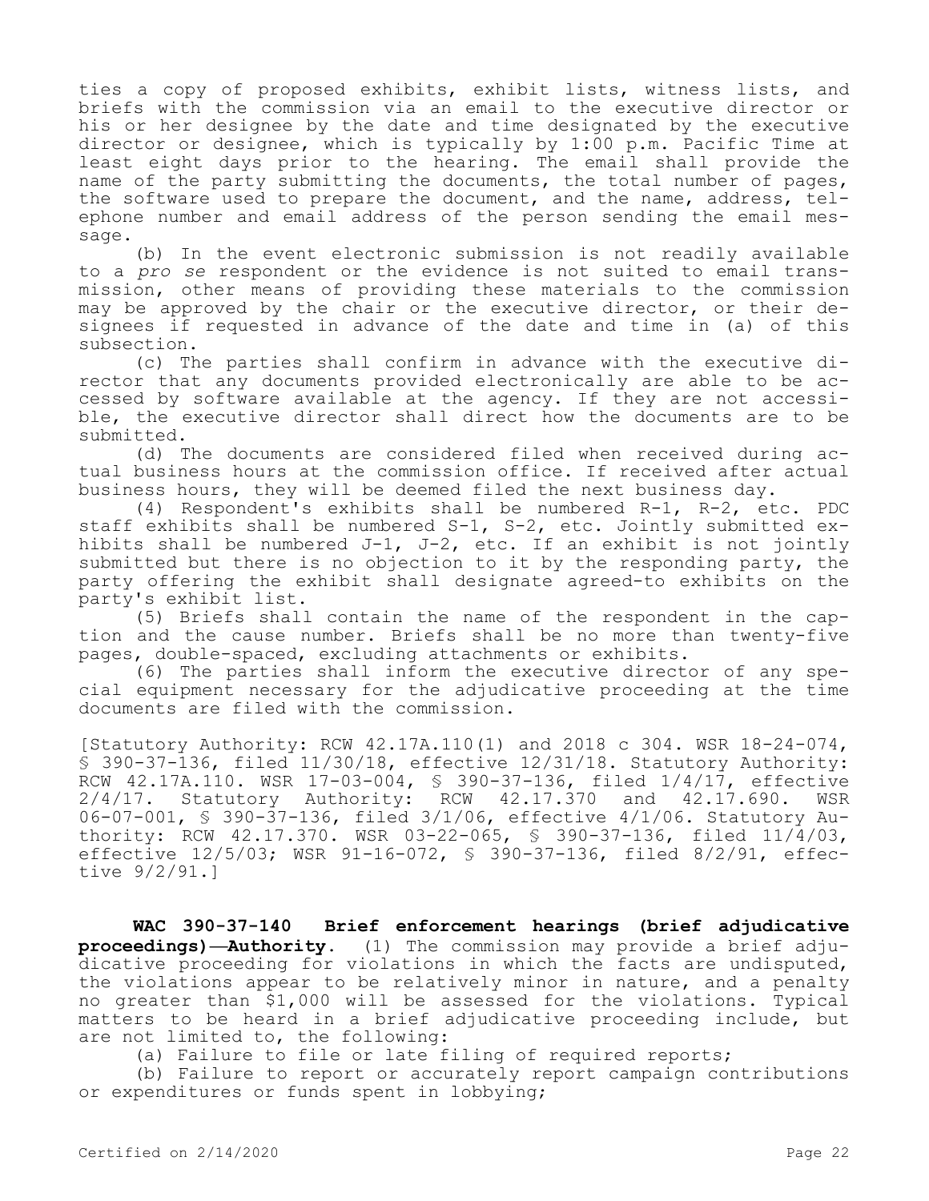ties a copy of proposed exhibits, exhibit lists, witness lists, and briefs with the commission via an email to the executive director or his or her designee by the date and time designated by the executive director or designee, which is typically by 1:00 p.m. Pacific Time at least eight days prior to the hearing. The email shall provide the name of the party submitting the documents, the total number of pages, the software used to prepare the document, and the name, address, telephone number and email address of the person sending the email message.

(b) In the event electronic submission is not readily available to a *pro se* respondent or the evidence is not suited to email transmission, other means of providing these materials to the commission may be approved by the chair or the executive director, or their designees if requested in advance of the date and time in (a) of this subsection.

(c) The parties shall confirm in advance with the executive director that any documents provided electronically are able to be accessed by software available at the agency. If they are not accessible, the executive director shall direct how the documents are to be submitted.

(d) The documents are considered filed when received during actual business hours at the commission office. If received after actual business hours, they will be deemed filed the next business day.

(4) Respondent's exhibits shall be numbered R-1, R-2, etc. PDC staff exhibits shall be numbered S-1, S-2, etc. Jointly submitted exhibits shall be numbered J-1, J-2, etc. If an exhibit is not jointly submitted but there is no objection to it by the responding party, the party offering the exhibit shall designate agreed-to exhibits on the party's exhibit list.

(5) Briefs shall contain the name of the respondent in the caption and the cause number. Briefs shall be no more than twenty-five pages, double-spaced, excluding attachments or exhibits.

(6) The parties shall inform the executive director of any special equipment necessary for the adjudicative proceeding at the time documents are filed with the commission.

[Statutory Authority: RCW 42.17A.110(1) and 2018 c 304. WSR 18-24-074, § 390-37-136, filed 11/30/18, effective 12/31/18. Statutory Authority: RCW 42.17A.110. WSR 17-03-004, § 390-37-136, filed 1/4/17, effective 2/4/17. Statutory Authority: RCW 42.17.370 and 42.17.690. WSR 06-07-001, § 390-37-136, filed 3/1/06, effective 4/1/06. Statutory Authority: RCW 42.17.370. WSR 03-22-065, § 390-37-136, filed 11/4/03, effective 12/5/03; WSR 91-16-072, § 390-37-136, filed 8/2/91, effective 9/2/91.]

**WAC 390-37-140 Brief enforcement hearings (brief adjudicative proceedings)—Authority.** (1) The commission may provide a brief adjudicative proceeding for violations in which the facts are undisputed, the violations appear to be relatively minor in nature, and a penalty no greater than \$1,000 will be assessed for the violations. Typical matters to be heard in a brief adjudicative proceeding include, but are not limited to, the following:

(a) Failure to file or late filing of required reports;

(b) Failure to report or accurately report campaign contributions or expenditures or funds spent in lobbying;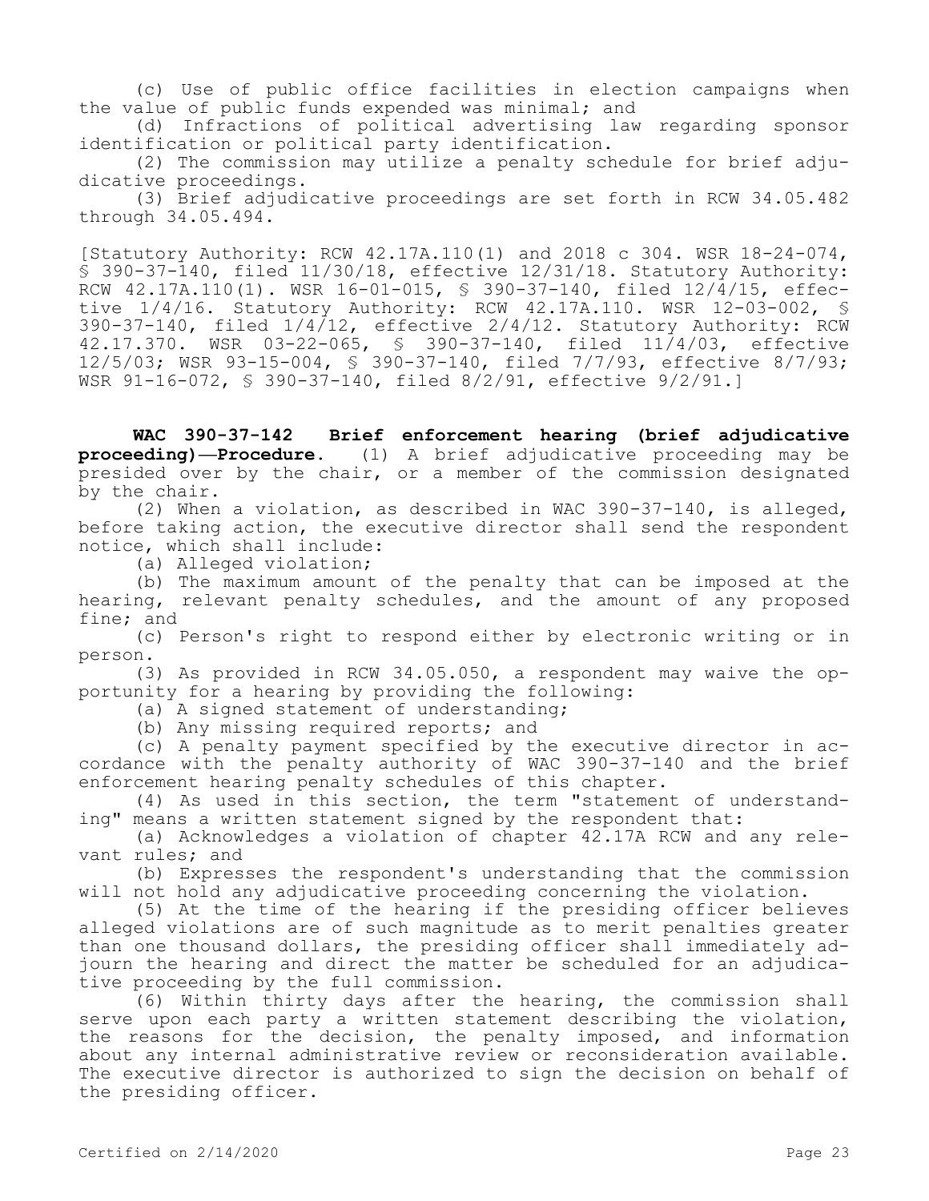(c) Use of public office facilities in election campaigns when the value of public funds expended was minimal; and

(d) Infractions of political advertising law regarding sponsor identification or political party identification.

(2) The commission may utilize a penalty schedule for brief adjudicative proceedings.

(3) Brief adjudicative proceedings are set forth in RCW 34.05.482 through 34.05.494.

[Statutory Authority: RCW 42.17A.110(1) and 2018 c 304. WSR 18-24-074, § 390-37-140, filed 11/30/18, effective 12/31/18. Statutory Authority: RCW 42.17A.110(1). WSR 16-01-015, § 390-37-140, filed 12/4/15, effective 1/4/16. Statutory Authority: RCW 42.17A.110. WSR 12-03-002, § 390-37-140, filed 1/4/12, effective 2/4/12. Statutory Authority: RCW 42.17.370. WSR 03-22-065, § 390-37-140, filed 11/4/03, effective 12/5/03; WSR 93-15-004, § 390-37-140, filed 7/7/93, effective 8/7/93; WSR 91-16-072, § 390-37-140, filed 8/2/91, effective 9/2/91.]

**WAC 390-37-142 Brief enforcement hearing (brief adjudicative proceeding)—Procedure.** (1) A brief adjudicative proceeding may be presided over by the chair, or a member of the commission designated by the chair.

(2) When a violation, as described in WAC 390-37-140, is alleged, before taking action, the executive director shall send the respondent notice, which shall include:

(a) Alleged violation;

(b) The maximum amount of the penalty that can be imposed at the hearing, relevant penalty schedules, and the amount of any proposed fine; and

(c) Person's right to respond either by electronic writing or in person.

(3) As provided in RCW 34.05.050, a respondent may waive the opportunity for a hearing by providing the following:

(a) A signed statement of understanding;

(b) Any missing required reports; and

(c) A penalty payment specified by the executive director in accordance with the penalty authority of WAC 390-37-140 and the brief enforcement hearing penalty schedules of this chapter.

(4) As used in this section, the term "statement of understanding" means a written statement signed by the respondent that:

(a) Acknowledges a violation of chapter 42.17A RCW and any relevant rules; and

(b) Expresses the respondent's understanding that the commission will not hold any adjudicative proceeding concerning the violation.

(5) At the time of the hearing if the presiding officer believes alleged violations are of such magnitude as to merit penalties greater than one thousand dollars, the presiding officer shall immediately adjourn the hearing and direct the matter be scheduled for an adjudicative proceeding by the full commission.

(6) Within thirty days after the hearing, the commission shall serve upon each party a written statement describing the violation, the reasons for the decision, the penalty imposed, and information about any internal administrative review or reconsideration available. The executive director is authorized to sign the decision on behalf of the presiding officer.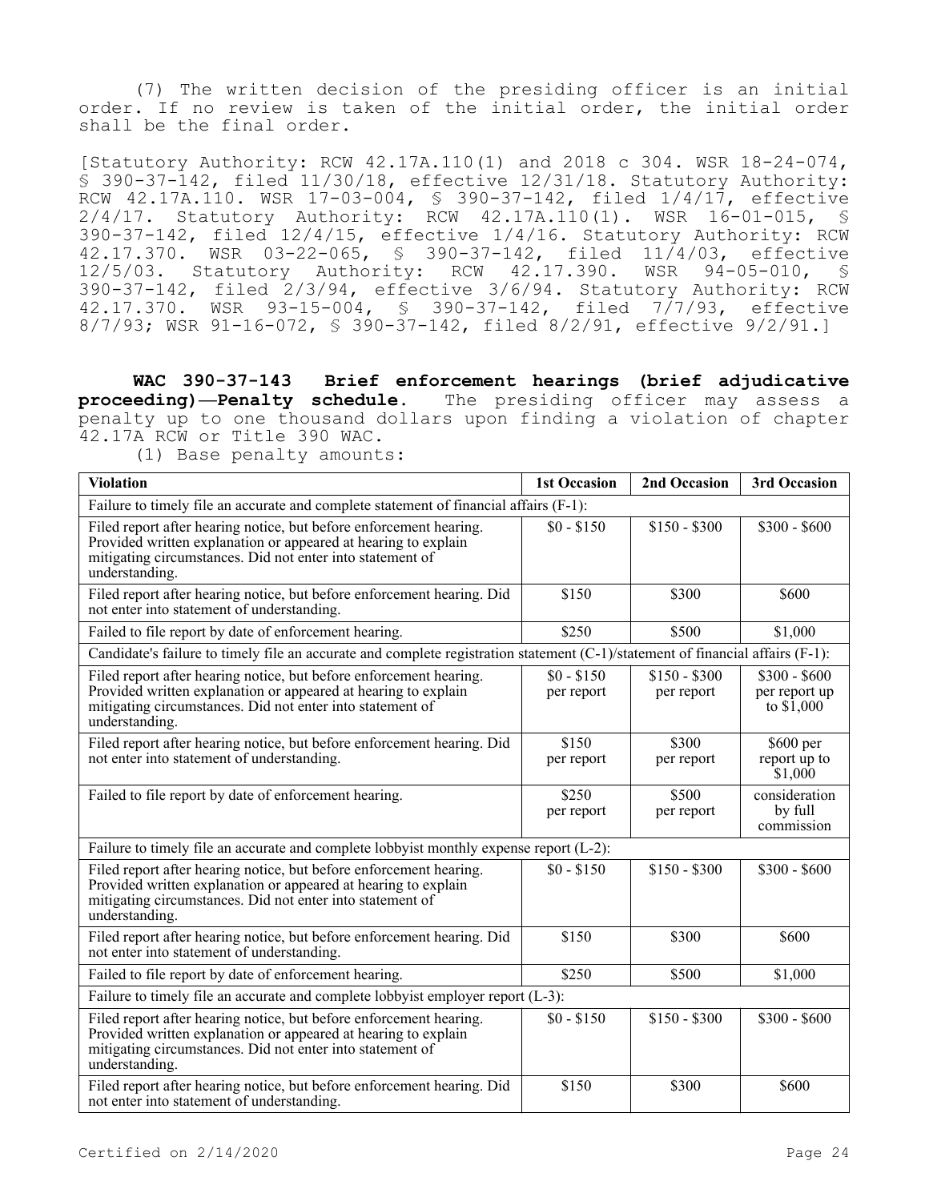(7) The written decision of the presiding officer is an initial order. If no review is taken of the initial order, the initial order shall be the final order.

[Statutory Authority: RCW 42.17A.110(1) and 2018 c 304. WSR 18-24-074, § 390-37-142, filed 11/30/18, effective 12/31/18. Statutory Authority: RCW 42.17A.110. WSR 17-03-004, § 390-37-142, filed 1/4/17, effective 2/4/17. Statutory Authority: RCW 42.17A.110(1). WSR 16-01-015, § 390-37-142, filed 12/4/15, effective 1/4/16. Statutory Authority: RCW 42.17.370. WSR 03-22-065, § 390-37-142, filed 11/4/03, effective<br>12/5/03. Statutory Authority: RCW 42.17.390. WSR 94-05-010, § 12/5/03. Statutory Authority: RCW 42.17.390. 390-37-142, filed 2/3/94, effective 3/6/94. Statutory Authority: RCW 42.17.370. WSR 93-15-004, § 390-37-142, filed 7/7/93, effective 8/7/93; WSR 91-16-072, § 390-37-142, filed 8/2/91, effective 9/2/91.]

**WAC 390-37-143 Brief enforcement hearings (brief adjudicative proceeding)—Penalty schedule.** The presiding officer may assess a penalty up to one thousand dollars upon finding a violation of chapter 42.17A RCW or Title 390 WAC.

<sup>(1)</sup> Base penalty amounts:

| <b>Violation</b>                                                                                                                                                                                                    | <b>1st Occasion</b>       | 2nd Occasion                | 3rd Occasion                                  |  |
|---------------------------------------------------------------------------------------------------------------------------------------------------------------------------------------------------------------------|---------------------------|-----------------------------|-----------------------------------------------|--|
| Failure to timely file an accurate and complete statement of financial affairs (F-1):                                                                                                                               |                           |                             |                                               |  |
| Filed report after hearing notice, but before enforcement hearing.<br>Provided written explanation or appeared at hearing to explain<br>mitigating circumstances. Did not enter into statement of<br>understanding. | $$0 - $150$               | $$150 - $300$               | $$300 - $600$                                 |  |
| Filed report after hearing notice, but before enforcement hearing. Did<br>not enter into statement of understanding.                                                                                                | \$150                     | \$300                       | \$600                                         |  |
| Failed to file report by date of enforcement hearing.                                                                                                                                                               | \$250                     | \$500                       | \$1,000                                       |  |
| Candidate's failure to timely file an accurate and complete registration statement (C-1)/statement of financial affairs (F-1):                                                                                      |                           |                             |                                               |  |
| Filed report after hearing notice, but before enforcement hearing.<br>Provided written explanation or appeared at hearing to explain<br>mitigating circumstances. Did not enter into statement of<br>understanding. | $$0 - $150$<br>per report | $$150 - $300$<br>per report | $$300 - $600$<br>per report up<br>to $$1,000$ |  |
| Filed report after hearing notice, but before enforcement hearing. Did<br>not enter into statement of understanding.                                                                                                | \$150<br>per report       | \$300<br>per report         | \$600 per<br>report up to<br>\$1,000          |  |
| Failed to file report by date of enforcement hearing.                                                                                                                                                               | \$250<br>per report       | \$500<br>per report         | consideration<br>by full<br>commission        |  |
| Failure to timely file an accurate and complete lobbyist monthly expense report (L-2):                                                                                                                              |                           |                             |                                               |  |
| Filed report after hearing notice, but before enforcement hearing.<br>Provided written explanation or appeared at hearing to explain<br>mitigating circumstances. Did not enter into statement of<br>understanding. | $$0 - $150$               | $$150 - $300$               | $$300 - $600$                                 |  |
| Filed report after hearing notice, but before enforcement hearing. Did<br>not enter into statement of understanding.                                                                                                | \$150                     | \$300                       | \$600                                         |  |
| Failed to file report by date of enforcement hearing.                                                                                                                                                               | \$250                     | \$500                       | \$1,000                                       |  |
| Failure to timely file an accurate and complete lobbyist employer report (L-3):                                                                                                                                     |                           |                             |                                               |  |
| Filed report after hearing notice, but before enforcement hearing.<br>Provided written explanation or appeared at hearing to explain<br>mitigating circumstances. Did not enter into statement of<br>understanding. | $$0 - $150$               | $$150 - $300$               | $$300 - $600$                                 |  |
| Filed report after hearing notice, but before enforcement hearing. Did<br>not enter into statement of understanding.                                                                                                | \$150                     | \$300                       | \$600                                         |  |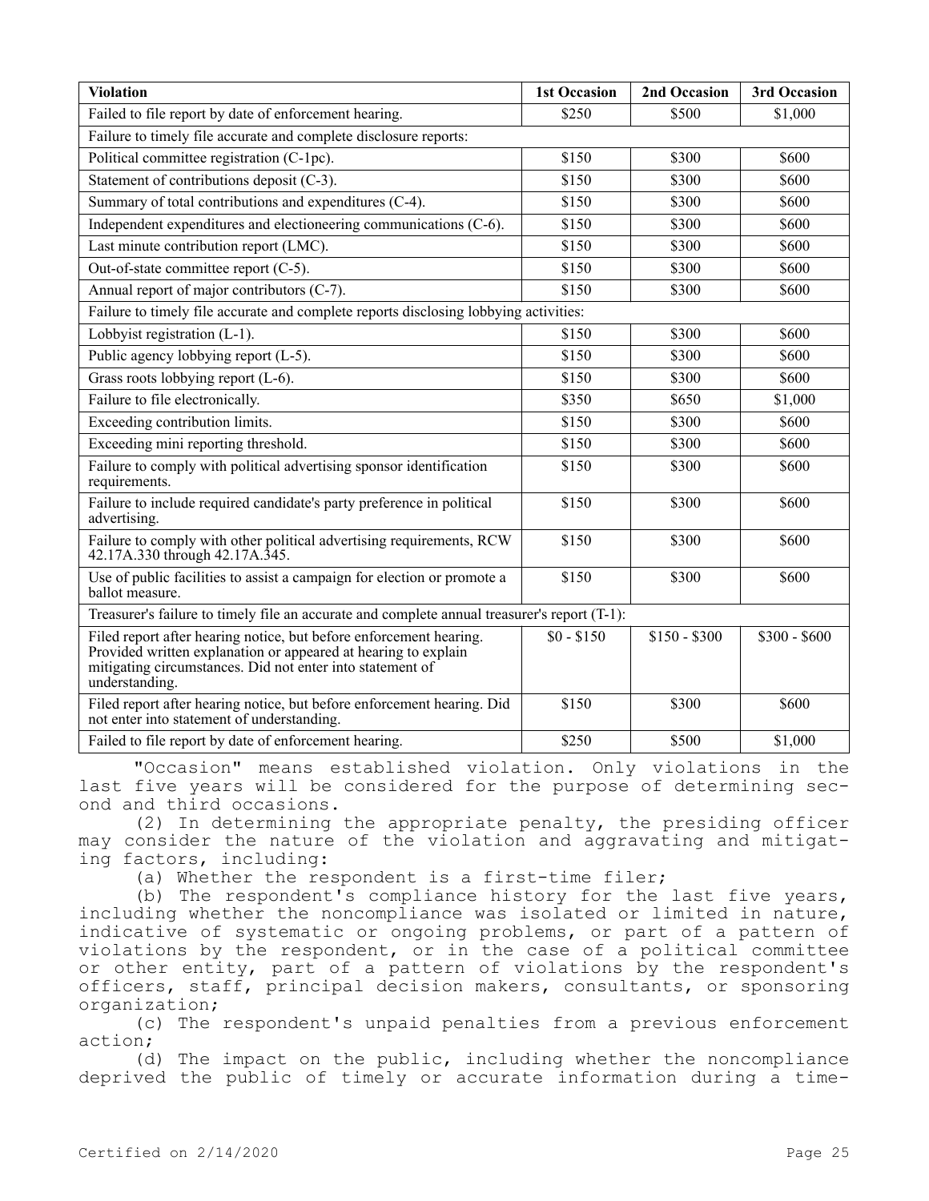| <b>Violation</b>                                                                                                                                                                                                    | <b>1st Occasion</b> | 2nd Occasion  | 3rd Occasion  |  |  |
|---------------------------------------------------------------------------------------------------------------------------------------------------------------------------------------------------------------------|---------------------|---------------|---------------|--|--|
| Failed to file report by date of enforcement hearing.                                                                                                                                                               | \$250               | \$500         | \$1,000       |  |  |
| Failure to timely file accurate and complete disclosure reports:                                                                                                                                                    |                     |               |               |  |  |
| Political committee registration (C-1pc).                                                                                                                                                                           | \$150               | \$300         | \$600         |  |  |
| Statement of contributions deposit (C-3).                                                                                                                                                                           | \$150               | \$300         | \$600         |  |  |
| Summary of total contributions and expenditures (C-4).                                                                                                                                                              | \$150               | \$300         | \$600         |  |  |
| Independent expenditures and electioneering communications (C-6).                                                                                                                                                   | \$150               | \$300         | \$600         |  |  |
| Last minute contribution report (LMC).                                                                                                                                                                              | \$150               | \$300         | \$600         |  |  |
| Out-of-state committee report (C-5).                                                                                                                                                                                | \$150               | \$300         | \$600         |  |  |
| Annual report of major contributors (C-7).                                                                                                                                                                          | \$150               | \$300         | \$600         |  |  |
| Failure to timely file accurate and complete reports disclosing lobbying activities:                                                                                                                                |                     |               |               |  |  |
| Lobbyist registration (L-1).                                                                                                                                                                                        | \$150               | \$300         | \$600         |  |  |
| Public agency lobbying report (L-5).                                                                                                                                                                                | \$150               | \$300         | \$600         |  |  |
| Grass roots lobbying report (L-6).                                                                                                                                                                                  | \$150               | \$300         | \$600         |  |  |
| Failure to file electronically.                                                                                                                                                                                     | \$350               | \$650         | \$1,000       |  |  |
| Exceeding contribution limits.                                                                                                                                                                                      | \$150               | \$300         | \$600         |  |  |
| Exceeding mini reporting threshold.                                                                                                                                                                                 | \$150               | \$300         | \$600         |  |  |
| Failure to comply with political advertising sponsor identification<br>requirements.                                                                                                                                | \$150               | \$300         | \$600         |  |  |
| Failure to include required candidate's party preference in political<br>advertising.                                                                                                                               | \$150               | \$300         | \$600         |  |  |
| Failure to comply with other political advertising requirements, RCW<br>42.17A.330 through 42.17A.345.                                                                                                              | \$150               | \$300         | \$600         |  |  |
| Use of public facilities to assist a campaign for election or promote a<br>ballot measure.                                                                                                                          | \$150               | \$300         | \$600         |  |  |
| Treasurer's failure to timely file an accurate and complete annual treasurer's report (T-1):                                                                                                                        |                     |               |               |  |  |
| Filed report after hearing notice, but before enforcement hearing.<br>Provided written explanation or appeared at hearing to explain<br>mitigating circumstances. Did not enter into statement of<br>understanding. | $$0 - $150$         | $$150 - $300$ | $$300 - $600$ |  |  |
| Filed report after hearing notice, but before enforcement hearing. Did<br>not enter into statement of understanding.                                                                                                | \$150               | \$300         | \$600         |  |  |
| Failed to file report by date of enforcement hearing.                                                                                                                                                               | \$250               | \$500         | \$1,000       |  |  |

"Occasion" means established violation. Only violations in the last five years will be considered for the purpose of determining second and third occasions.

(2) In determining the appropriate penalty, the presiding officer may consider the nature of the violation and aggravating and mitigating factors, including:

(a) Whether the respondent is a first-time filer;

(b) The respondent's compliance history for the last five years, including whether the noncompliance was isolated or limited in nature, indicative of systematic or ongoing problems, or part of a pattern of violations by the respondent, or in the case of a political committee or other entity, part of a pattern of violations by the respondent's officers, staff, principal decision makers, consultants, or sponsoring organization;

(c) The respondent's unpaid penalties from a previous enforcement action;

(d) The impact on the public, including whether the noncompliance deprived the public of timely or accurate information during a time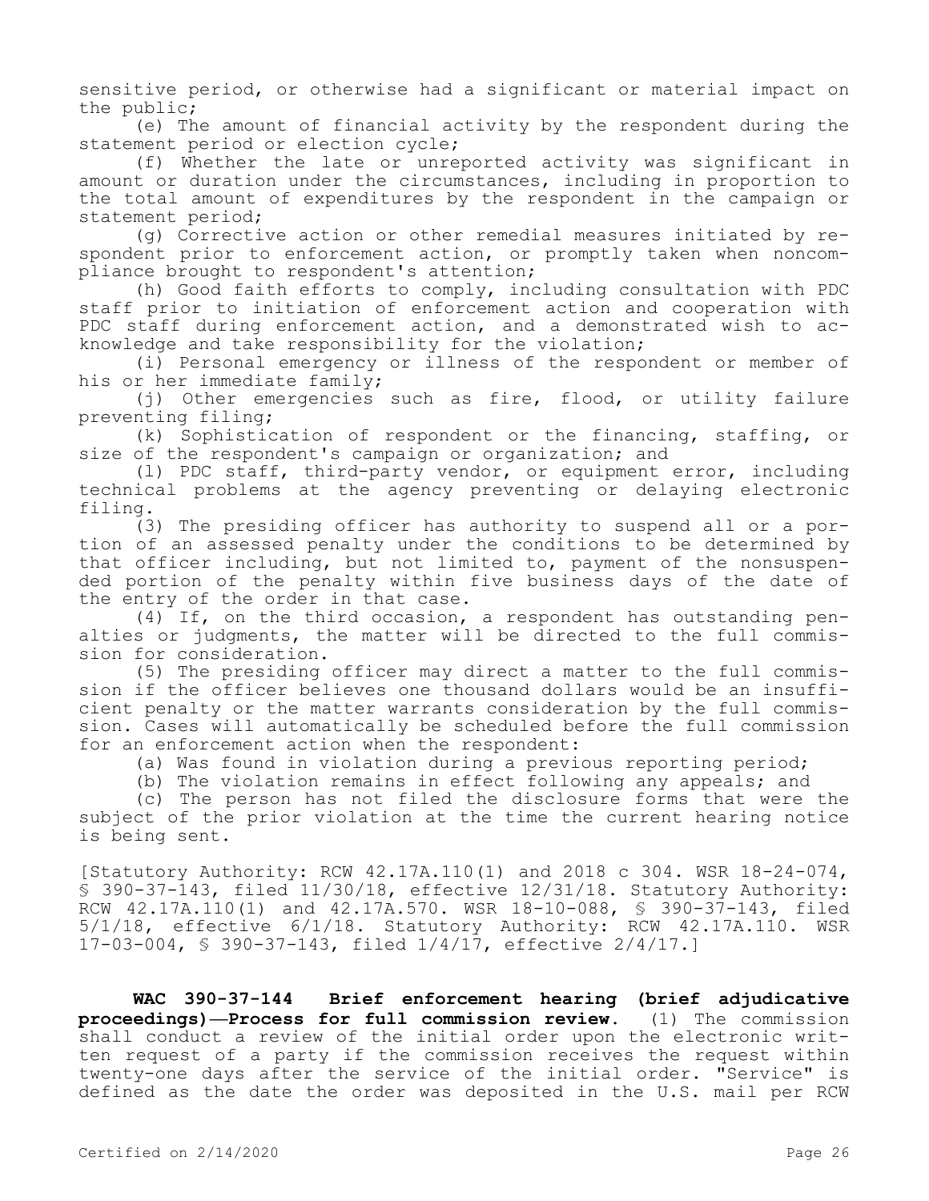sensitive period, or otherwise had a significant or material impact on the public;

(e) The amount of financial activity by the respondent during the statement period or election cycle;

(f) Whether the late or unreported activity was significant in amount or duration under the circumstances, including in proportion to the total amount of expenditures by the respondent in the campaign or statement period;

(g) Corrective action or other remedial measures initiated by respondent prior to enforcement action, or promptly taken when noncompliance brought to respondent's attention;

(h) Good faith efforts to comply, including consultation with PDC staff prior to initiation of enforcement action and cooperation with PDC staff during enforcement action, and a demonstrated wish to acknowledge and take responsibility for the violation;

(i) Personal emergency or illness of the respondent or member of his or her immediate family;

(j) Other emergencies such as fire, flood, or utility failure preventing filing;

(k) Sophistication of respondent or the financing, staffing, or size of the respondent's campaign or organization; and

(l) PDC staff, third-party vendor, or equipment error, including technical problems at the agency preventing or delaying electronic filing.

(3) The presiding officer has authority to suspend all or a portion of an assessed penalty under the conditions to be determined by that officer including, but not limited to, payment of the nonsuspended portion of the penalty within five business days of the date of the entry of the order in that case.

(4) If, on the third occasion, a respondent has outstanding penalties or judgments, the matter will be directed to the full commission for consideration.

(5) The presiding officer may direct a matter to the full commission if the officer believes one thousand dollars would be an insufficient penalty or the matter warrants consideration by the full commission. Cases will automatically be scheduled before the full commission for an enforcement action when the respondent:

(a) Was found in violation during a previous reporting period;

(b) The violation remains in effect following any appeals; and

(c) The person has not filed the disclosure forms that were the subject of the prior violation at the time the current hearing notice is being sent.

[Statutory Authority: RCW 42.17A.110(1) and 2018 c 304. WSR 18-24-074, § 390-37-143, filed 11/30/18, effective 12/31/18. Statutory Authority: RCW 42.17A.110(1) and 42.17A.570. WSR 18-10-088, § 390-37-143, filed 5/1/18, effective 6/1/18. Statutory Authority: RCW 42.17A.110. WSR 17-03-004, § 390-37-143, filed 1/4/17, effective 2/4/17.]

**WAC 390-37-144 Brief enforcement hearing (brief adjudicative proceedings)—Process for full commission review.** (1) The commission shall conduct a review of the initial order upon the electronic written request of a party if the commission receives the request within twenty-one days after the service of the initial order. "Service" is defined as the date the order was deposited in the U.S. mail per RCW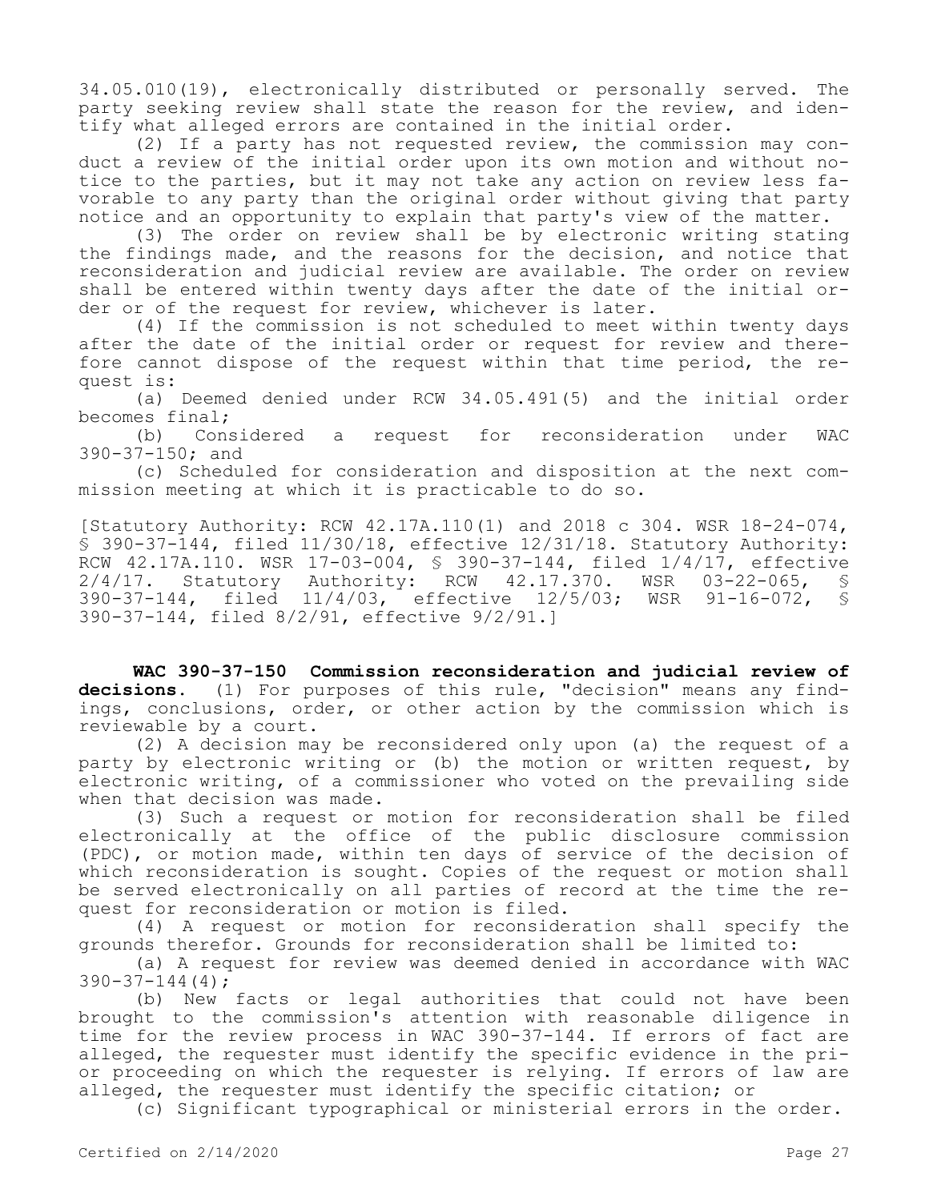34.05.010(19), electronically distributed or personally served. The party seeking review shall state the reason for the review, and identify what alleged errors are contained in the initial order.

(2) If a party has not requested review, the commission may conduct a review of the initial order upon its own motion and without notice to the parties, but it may not take any action on review less favorable to any party than the original order without giving that party notice and an opportunity to explain that party's view of the matter.

(3) The order on review shall be by electronic writing stating the findings made, and the reasons for the decision, and notice that reconsideration and judicial review are available. The order on review shall be entered within twenty days after the date of the initial order or of the request for review, whichever is later.

(4) If the commission is not scheduled to meet within twenty days after the date of the initial order or request for review and therefore cannot dispose of the request within that time period, the request is:

(a) Deemed denied under RCW 34.05.491(5) and the initial order becomes final;

(b) Considered a request for reconsideration under WAC 390-37-150; and

(c) Scheduled for consideration and disposition at the next commission meeting at which it is practicable to do so.

[Statutory Authority: RCW 42.17A.110(1) and 2018 c 304. WSR 18-24-074, § 390-37-144, filed 11/30/18, effective 12/31/18. Statutory Authority: RCW 42.17A.110. WSR 17-03-004, \$ 390-37-144, filed 1/4/17, effective<br>2/4/17. Statutory Authority: RCW 42.17.370. WSR 03-22-065, \$ 2/4/17. Statutory Authority: RCW 42.17.370. WSR 03-22-065, § 390-37-144, filed 11/4/03, effective 12/5/03; WSR 91-16-072, § 390-37-144, filed 8/2/91, effective 9/2/91.]

**WAC 390-37-150 Commission reconsideration and judicial review of decisions.** (1) For purposes of this rule, "decision" means any findings, conclusions, order, or other action by the commission which is reviewable by a court.

(2) A decision may be reconsidered only upon (a) the request of a party by electronic writing or (b) the motion or written request, by electronic writing, of a commissioner who voted on the prevailing side when that decision was made.

(3) Such a request or motion for reconsideration shall be filed electronically at the office of the public disclosure commission (PDC), or motion made, within ten days of service of the decision of which reconsideration is sought. Copies of the request or motion shall be served electronically on all parties of record at the time the request for reconsideration or motion is filed.

(4) A request or motion for reconsideration shall specify the grounds therefor. Grounds for reconsideration shall be limited to:

(a) A request for review was deemed denied in accordance with WAC  $390 - 37 - 144(4)$ ;

(b) New facts or legal authorities that could not have been brought to the commission's attention with reasonable diligence in time for the review process in WAC 390-37-144. If errors of fact are alleged, the requester must identify the specific evidence in the prior proceeding on which the requester is relying. If errors of law are alleged, the requester must identify the specific citation; or

(c) Significant typographical or ministerial errors in the order.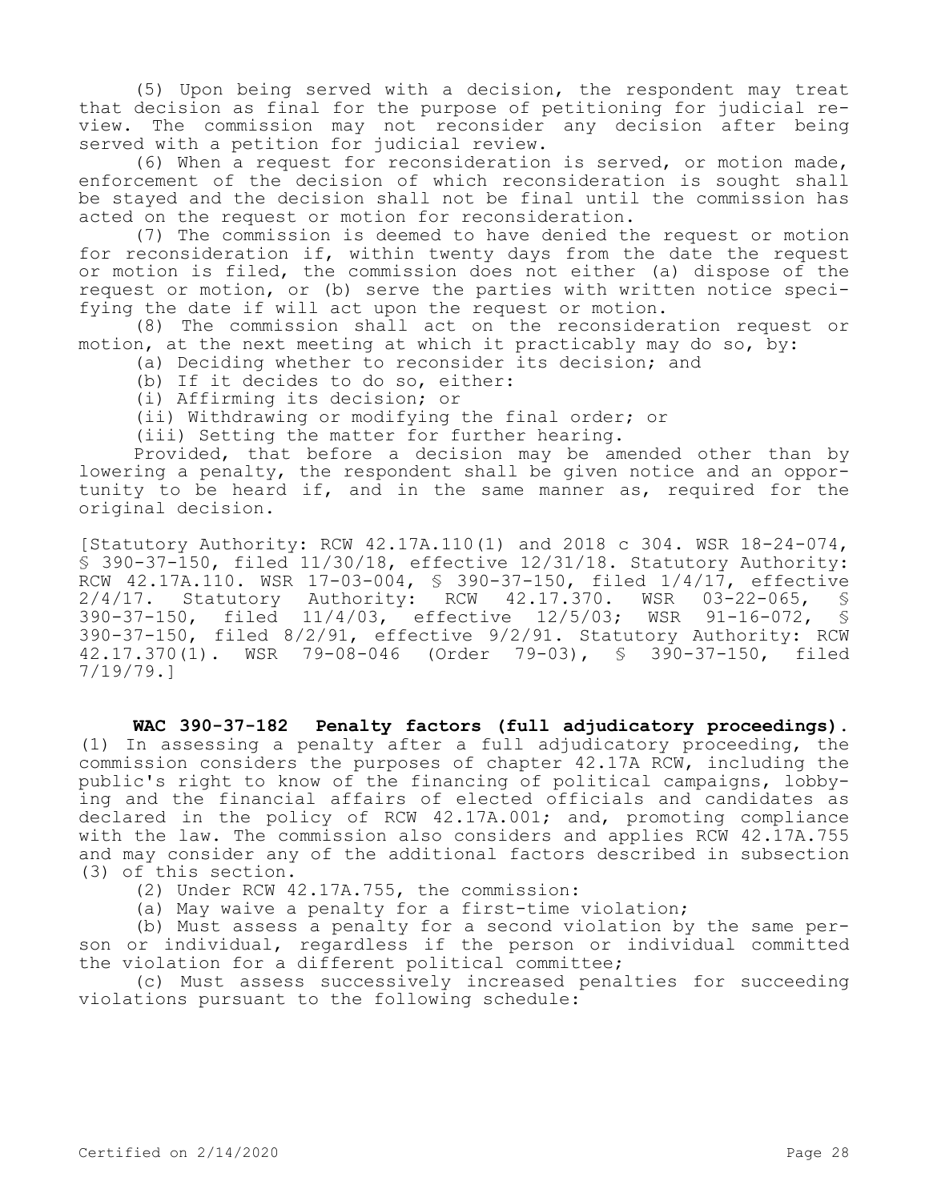(5) Upon being served with a decision, the respondent may treat that decision as final for the purpose of petitioning for judicial review. The commission may not reconsider any decision after being served with a petition for judicial review.

(6) When a request for reconsideration is served, or motion made, enforcement of the decision of which reconsideration is sought shall be stayed and the decision shall not be final until the commission has acted on the request or motion for reconsideration.

(7) The commission is deemed to have denied the request or motion for reconsideration if, within twenty days from the date the request or motion is filed, the commission does not either (a) dispose of the request or motion, or (b) serve the parties with written notice specifying the date if will act upon the request or motion.

(8) The commission shall act on the reconsideration request or motion, at the next meeting at which it practicably may do so, by:

(a) Deciding whether to reconsider its decision; and

- (b) If it decides to do so, either:
- (i) Affirming its decision; or

(ii) Withdrawing or modifying the final order; or

(iii) Setting the matter for further hearing.

Provided, that before a decision may be amended other than by lowering a penalty, the respondent shall be given notice and an opportunity to be heard if, and in the same manner as, required for the original decision.

[Statutory Authority: RCW 42.17A.110(1) and 2018 c 304. WSR 18-24-074, § 390-37-150, filed 11/30/18, effective 12/31/18. Statutory Authority: RCW 42.17A.110. WSR 17-03-004, \$ 390-37-150, filed 1/4/17, effective<br>2/4/17. Statutory Authority: RCW 42.17.370. WSR 03-22-065, \$ 2/4/17. Statutory Authority: RCW 42.17.370. WSR 03-22-065, § 390-37-150, filed 11/4/03, effective 12/5/03; WSR 91-16-072, § 390-37-150, filed 8/2/91, effective 9/2/91. Statutory Authority: RCW 42.17.370(1). WSR 79-08-046 (Order 79-03), § 390-37-150, filed 7/19/79.]

**WAC 390-37-182 Penalty factors (full adjudicatory proceedings).**  (1) In assessing a penalty after a full adjudicatory proceeding, the commission considers the purposes of chapter 42.17A RCW, including the public's right to know of the financing of political campaigns, lobbying and the financial affairs of elected officials and candidates as declared in the policy of RCW 42.17A.001; and, promoting compliance with the law. The commission also considers and applies RCW 42.17A.755 and may consider any of the additional factors described in subsection (3) of this section.

(2) Under RCW 42.17A.755, the commission:

(a) May waive a penalty for a first-time violation;

(b) Must assess a penalty for a second violation by the same person or individual, regardless if the person or individual committed the violation for a different political committee;

(c) Must assess successively increased penalties for succeeding violations pursuant to the following schedule: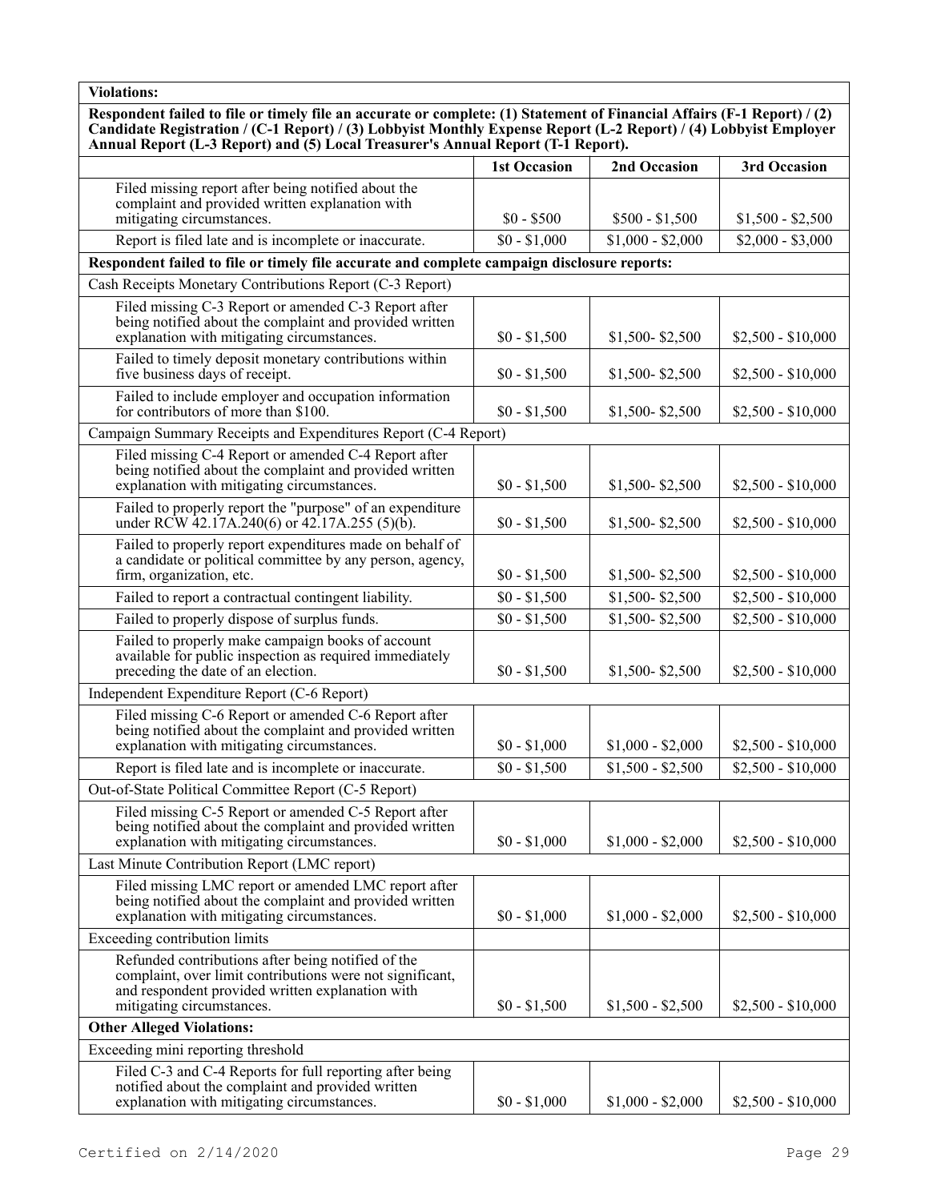**Respondent failed to file or timely file an accurate or complete: (1) Statement of Financial Affairs (F-1 Report) / (2) Candidate Registration / (C-1 Report) / (3) Lobbyist Monthly Expense Report (L-2 Report) / (4) Lobbyist Employer Annual Report (L-3 Report) and (5) Local Treasurer's Annual Report (T-1 Report).**

|                                                                                                                                                                                                  | <b>1st Occasion</b> | 2nd Occasion      | 3rd Occasion       |
|--------------------------------------------------------------------------------------------------------------------------------------------------------------------------------------------------|---------------------|-------------------|--------------------|
| Filed missing report after being notified about the<br>complaint and provided written explanation with                                                                                           |                     |                   |                    |
| mitigating circumstances.                                                                                                                                                                        | $$0 - $500$         | $$500 - $1,500$   | $$1,500 - $2,500$  |
| Report is filed late and is incomplete or inaccurate.                                                                                                                                            | $$0 - $1,000$       | $$1,000 - $2,000$ | $$2,000 - $3,000$  |
| Respondent failed to file or timely file accurate and complete campaign disclosure reports:                                                                                                      |                     |                   |                    |
| Cash Receipts Monetary Contributions Report (C-3 Report)                                                                                                                                         |                     |                   |                    |
| Filed missing C-3 Report or amended C-3 Report after<br>being notified about the complaint and provided written<br>explanation with mitigating circumstances.                                    | $$0 - $1,500$       | \$1,500-\$2,500   | $$2,500 - $10,000$ |
| Failed to timely deposit monetary contributions within<br>five business days of receipt.                                                                                                         | $$0 - $1,500$       | \$1,500-\$2,500   | $$2,500 - $10,000$ |
| Failed to include employer and occupation information<br>for contributors of more than \$100.                                                                                                    | $$0 - $1,500$       | \$1,500-\$2,500   | $$2,500 - $10,000$ |
| Campaign Summary Receipts and Expenditures Report (C-4 Report)                                                                                                                                   |                     |                   |                    |
| Filed missing C-4 Report or amended C-4 Report after<br>being notified about the complaint and provided written<br>explanation with mitigating circumstances.                                    | $$0 - $1,500$       | $$1,500 - $2,500$ | $$2,500 - $10,000$ |
| Failed to properly report the "purpose" of an expenditure<br>under RCW 42.17A.240(6) or $42.17A.255$ (5)(b).                                                                                     | $$0 - $1,500$       | \$1,500-\$2,500   | $$2,500 - $10,000$ |
| Failed to properly report expenditures made on behalf of<br>a candidate or political committee by any person, agency,<br>firm, organization, etc.                                                | $$0 - $1,500$       | $$1,500 - $2,500$ | $$2,500 - $10,000$ |
| Failed to report a contractual contingent liability.                                                                                                                                             | $$0 - $1,500$       | \$1,500-\$2,500   | $$2,500 - $10,000$ |
| Failed to properly dispose of surplus funds.                                                                                                                                                     | $$0 - $1,500$       | \$1,500-\$2,500   | $$2,500 - $10,000$ |
| Failed to properly make campaign books of account<br>available for public inspection as required immediately<br>preceding the date of an election.                                               | $$0 - $1,500$       | \$1,500-\$2,500   | $$2,500 - $10,000$ |
| Independent Expenditure Report (C-6 Report)                                                                                                                                                      |                     |                   |                    |
| Filed missing C-6 Report or amended C-6 Report after<br>being notified about the complaint and provided written<br>explanation with mitigating circumstances.                                    | $$0 - $1,000$       | $$1,000 - $2,000$ | $$2,500 - $10,000$ |
| Report is filed late and is incomplete or inaccurate.                                                                                                                                            | $$0 - $1,500$       | $$1,500 - $2,500$ | $$2,500 - $10,000$ |
| Out-of-State Political Committee Report (C-5 Report)                                                                                                                                             |                     |                   |                    |
| Filed missing C-5 Report or amended C-5 Report after<br>being notified about the complaint and provided written<br>explanation with mitigating circumstances.                                    | $$0 - $1,000$       | $$1,000 - $2,000$ | $$2,500 - $10,000$ |
| Last Minute Contribution Report (LMC report)                                                                                                                                                     |                     |                   |                    |
| Filed missing LMC report or amended LMC report after<br>being notified about the complaint and provided written<br>explanation with mitigating circumstances.                                    | $$0 - $1,000$       | $$1,000 - $2,000$ | $$2,500 - $10,000$ |
| Exceeding contribution limits                                                                                                                                                                    |                     |                   |                    |
| Refunded contributions after being notified of the<br>complaint, over limit contributions were not significant,<br>and respondent provided written explanation with<br>mitigating circumstances. | $$0 - $1,500$       | $$1,500 - $2,500$ | $$2,500 - $10,000$ |
| <b>Other Alleged Violations:</b>                                                                                                                                                                 |                     |                   |                    |
| Exceeding mini reporting threshold                                                                                                                                                               |                     |                   |                    |
| Filed C-3 and C-4 Reports for full reporting after being<br>notified about the complaint and provided written<br>explanation with mitigating circumstances.                                      | $$0 - $1,000$       | $$1,000 - $2,000$ | $$2,500 - $10,000$ |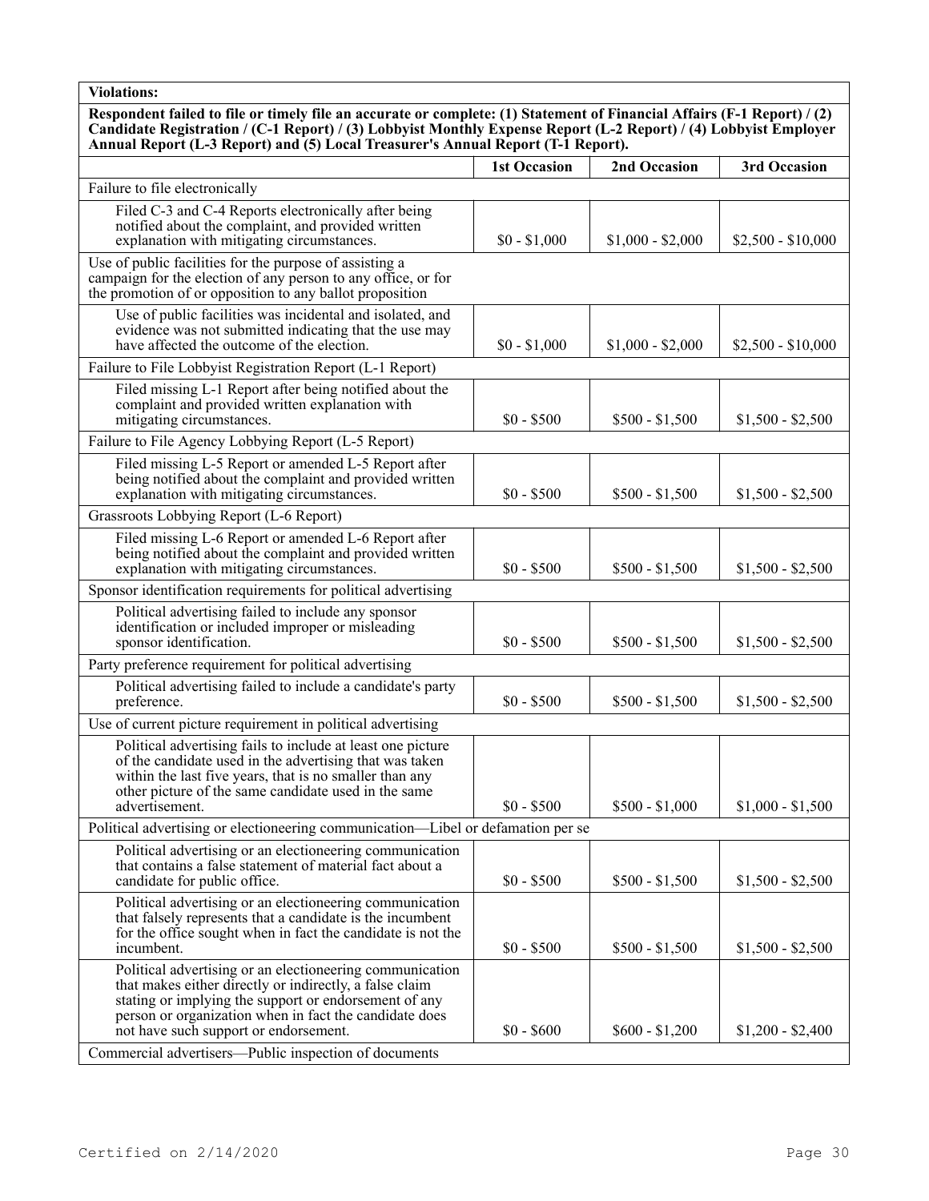**Respondent failed to file or timely file an accurate or complete: (1) Statement of Financial Affairs (F-1 Report) / (2) Candidate Registration / (C-1 Report) / (3) Lobbyist Monthly Expense Report (L-2 Report) / (4) Lobbyist Employer Annual Report (L-3 Report) and (5) Local Treasurer's Annual Report (T-1 Report).**

|                                                                                                                                                                                                                                                                                 | <b>1st Occasion</b> | 2nd Occasion      | 3rd Occasion       |
|---------------------------------------------------------------------------------------------------------------------------------------------------------------------------------------------------------------------------------------------------------------------------------|---------------------|-------------------|--------------------|
| Failure to file electronically                                                                                                                                                                                                                                                  |                     |                   |                    |
| Filed C-3 and C-4 Reports electronically after being<br>notified about the complaint, and provided written<br>explanation with mitigating circumstances.                                                                                                                        | $$0 - $1,000$       | $$1,000 - $2,000$ | $$2,500 - $10,000$ |
| Use of public facilities for the purpose of assisting a<br>campaign for the election of any person to any office, or for<br>the promotion of or opposition to any ballot proposition                                                                                            |                     |                   |                    |
| Use of public facilities was incidental and isolated, and<br>evidence was not submitted indicating that the use may<br>have affected the outcome of the election.                                                                                                               | $$0 - $1,000$       | $$1,000 - $2,000$ | $$2,500 - $10,000$ |
| Failure to File Lobbyist Registration Report (L-1 Report)                                                                                                                                                                                                                       |                     |                   |                    |
| Filed missing L-1 Report after being notified about the<br>complaint and provided written explanation with<br>mitigating circumstances.                                                                                                                                         | $$0 - $500$         | $$500 - $1,500$   | $$1,500 - $2,500$  |
| Failure to File Agency Lobbying Report (L-5 Report)                                                                                                                                                                                                                             |                     |                   |                    |
| Filed missing L-5 Report or amended L-5 Report after<br>being notified about the complaint and provided written<br>explanation with mitigating circumstances.                                                                                                                   | $$0 - $500$         | $$500 - $1,500$   | $$1,500 - $2,500$  |
| Grassroots Lobbying Report (L-6 Report)                                                                                                                                                                                                                                         |                     |                   |                    |
| Filed missing L-6 Report or amended L-6 Report after<br>being notified about the complaint and provided written<br>explanation with mitigating circumstances.                                                                                                                   | $$0 - $500$         | $$500 - $1,500$   | $$1,500 - $2,500$  |
| Sponsor identification requirements for political advertising                                                                                                                                                                                                                   |                     |                   |                    |
| Political advertising failed to include any sponsor<br>identification or included improper or misleading<br>sponsor identification.                                                                                                                                             | $$0 - $500$         | $$500 - $1,500$   | $$1,500 - $2,500$  |
| Party preference requirement for political advertising                                                                                                                                                                                                                          |                     |                   |                    |
| Political advertising failed to include a candidate's party<br>preference.                                                                                                                                                                                                      | $$0 - $500$         | $$500 - $1,500$   | $$1,500 - $2,500$  |
| Use of current picture requirement in political advertising                                                                                                                                                                                                                     |                     |                   |                    |
| Political advertising fails to include at least one picture<br>of the candidate used in the advertising that was taken<br>within the last five years, that is no smaller than any<br>other picture of the same candidate used in the same<br>advertisement.                     | $$0 - $500$         | $$500 - $1,000$   | $$1,000 - $1,500$  |
| Political advertising or electioneering communication-Libel or defamation per se                                                                                                                                                                                                |                     |                   |                    |
| Political advertising or an electioneering communication<br>that contains a false statement of material fact about a<br>candidate for public office.                                                                                                                            | $$0 - $500$         | $$500 - $1,500$   | $$1,500 - $2,500$  |
| Political advertising or an electioneering communication<br>that falsely represents that a candidate is the incumbent<br>for the office sought when in fact the candidate is not the<br>incumbent.                                                                              | $$0 - $500$         | $$500 - $1,500$   | $$1,500 - $2,500$  |
| Political advertising or an electioneering communication<br>that makes either directly or indirectly, a false claim<br>stating or implying the support or endorsement of any<br>person or organization when in fact the candidate does<br>not have such support or endorsement. | $$0 - $600$         | $$600 - $1,200$   | $$1,200 - $2,400$  |
| Commercial advertisers—Public inspection of documents                                                                                                                                                                                                                           |                     |                   |                    |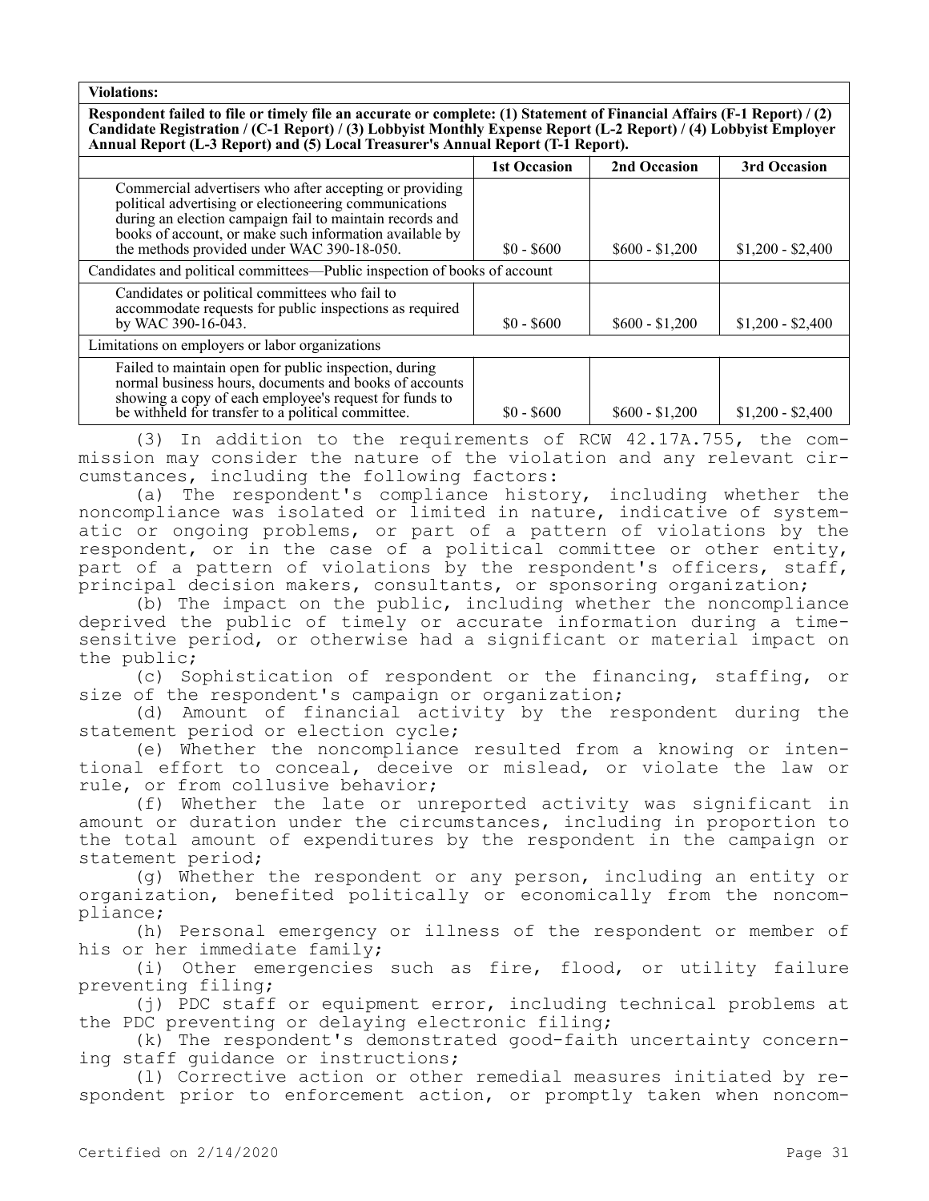**Respondent failed to file or timely file an accurate or complete: (1) Statement of Financial Affairs (F-1 Report) / (2) Candidate Registration / (C-1 Report) / (3) Lobbyist Monthly Expense Report (L-2 Report) / (4) Lobbyist Employer Annual Report (L-3 Report) and (5) Local Treasurer's Annual Report (T-1 Report).**

|                                                                                                                                                                                                                                                                                        | <b>1st Occasion</b> | 2nd Occasion    | 3rd Occasion      |  |
|----------------------------------------------------------------------------------------------------------------------------------------------------------------------------------------------------------------------------------------------------------------------------------------|---------------------|-----------------|-------------------|--|
| Commercial advertisers who after accepting or providing<br>political advertising or electioneering communications<br>during an election campaign fail to maintain records and<br>books of account, or make such information available by<br>the methods provided under WAC 390-18-050. | $$0 - $600$         | $$600 - $1,200$ | $$1,200 - $2,400$ |  |
| Candidates and political committees—Public inspection of books of account                                                                                                                                                                                                              |                     |                 |                   |  |
| Candidates or political committees who fail to<br>accommodate requests for public inspections as required<br>by WAC 390-16-043.                                                                                                                                                        | $$0 - $600$         | $$600 - $1,200$ | $$1,200 - $2,400$ |  |
| Limitations on employers or labor organizations                                                                                                                                                                                                                                        |                     |                 |                   |  |
| Failed to maintain open for public inspection, during<br>normal business hours, documents and books of accounts<br>showing a copy of each employee's request for funds to<br>be withheld for transfer to a political committee.                                                        | $$0 - $600$         | $$600 - $1,200$ | $$1,200 - $2,400$ |  |

(3) In addition to the requirements of RCW 42.17A.755, the commission may consider the nature of the violation and any relevant circumstances, including the following factors:

(a) The respondent's compliance history, including whether the noncompliance was isolated or limited in nature, indicative of systematic or ongoing problems, or part of a pattern of violations by the respondent, or in the case of a political committee or other entity, part of a pattern of violations by the respondent's officers, staff, principal decision makers, consultants, or sponsoring organization;

(b) The impact on the public, including whether the noncompliance deprived the public of timely or accurate information during a timesensitive period, or otherwise had a significant or material impact on the public;

(c) Sophistication of respondent or the financing, staffing, or size of the respondent's campaign or organization;

(d) Amount of financial activity by the respondent during the statement period or election cycle;

(e) Whether the noncompliance resulted from a knowing or intentional effort to conceal, deceive or mislead, or violate the law or rule, or from collusive behavior;

(f) Whether the late or unreported activity was significant in amount or duration under the circumstances, including in proportion to the total amount of expenditures by the respondent in the campaign or statement period;

(g) Whether the respondent or any person, including an entity or organization, benefited politically or economically from the noncompliance;

(h) Personal emergency or illness of the respondent or member of his or her immediate family;

(i) Other emergencies such as fire, flood, or utility failure preventing filing;

(j) PDC staff or equipment error, including technical problems at the PDC preventing or delaying electronic filing;

(k) The respondent's demonstrated good-faith uncertainty concerning staff guidance or instructions;

(l) Corrective action or other remedial measures initiated by respondent prior to enforcement action, or promptly taken when noncom